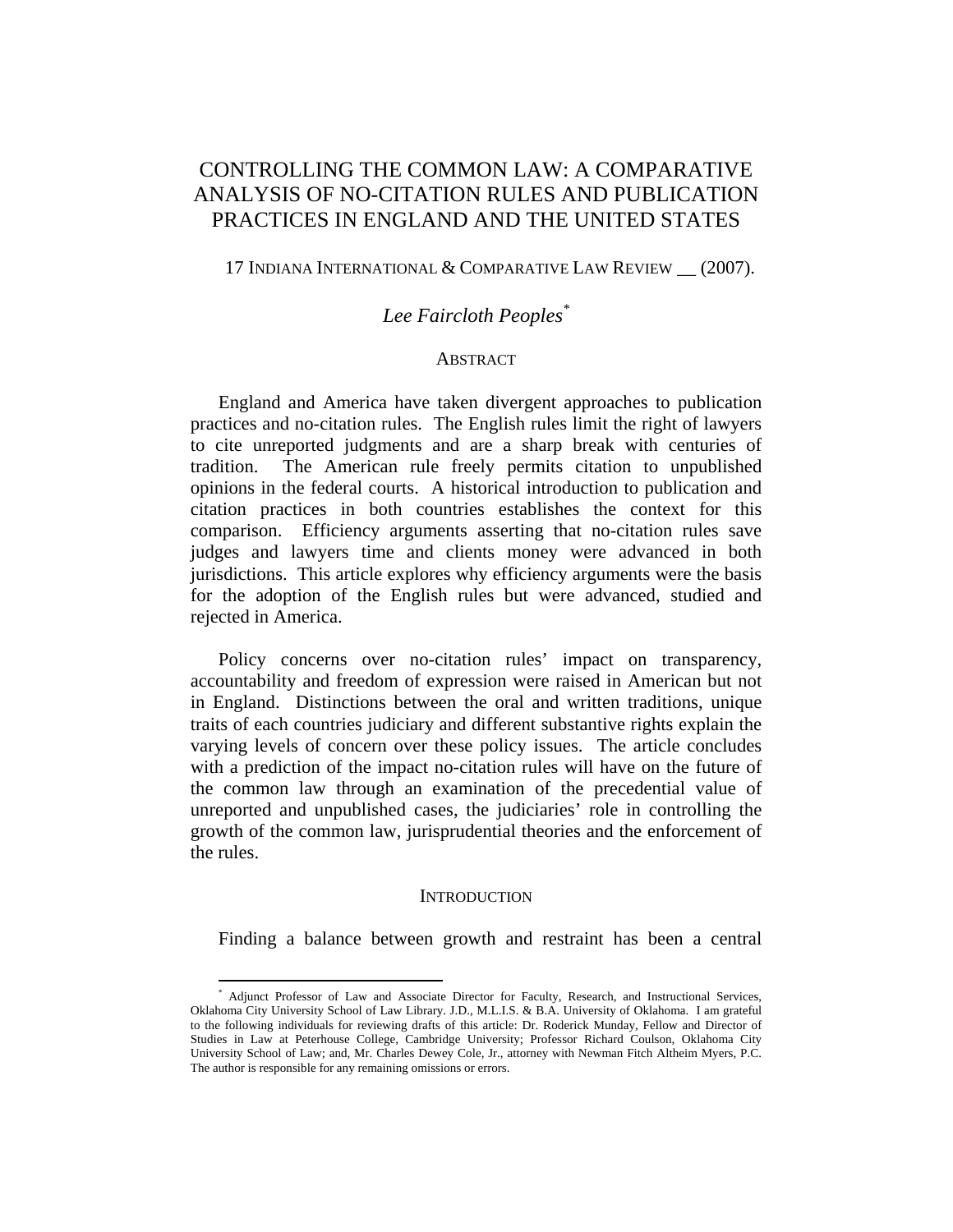# CONTROLLING THE COMMON LAW: A COMPARATIVE ANALYSIS OF NO-CITATION RULES AND PUBLICATION PRACTICES IN ENGLAND AND THE UNITED STATES

### 17 INDIANA INTERNATIONAL & COMPARATIVE LAW REVIEW \_\_ (2007).

## *Lee Faircloth Peoples\**

### **ABSTRACT**

England and America have taken divergent approaches to publication practices and no-citation rules. The English rules limit the right of lawyers to cite unreported judgments and are a sharp break with centuries of tradition. The American rule freely permits citation to unpublished opinions in the federal courts. A historical introduction to publication and citation practices in both countries establishes the context for this comparison. Efficiency arguments asserting that no-citation rules save judges and lawyers time and clients money were advanced in both jurisdictions. This article explores why efficiency arguments were the basis for the adoption of the English rules but were advanced, studied and rejected in America.

Policy concerns over no-citation rules' impact on transparency, accountability and freedom of expression were raised in American but not in England. Distinctions between the oral and written traditions, unique traits of each countries judiciary and different substantive rights explain the varying levels of concern over these policy issues. The article concludes with a prediction of the impact no-citation rules will have on the future of the common law through an examination of the precedential value of unreported and unpublished cases, the judiciaries' role in controlling the growth of the common law, jurisprudential theories and the enforcement of the rules.

#### **INTRODUCTION**

Finding a balance between growth and restraint has been a central

<sup>\*</sup> Adjunct Professor of Law and Associate Director for Faculty, Research, and Instructional Services, Oklahoma City University School of Law Library. J.D., M.L.I.S. & B.A. University of Oklahoma. I am grateful to the following individuals for reviewing drafts of this article: Dr. Roderick Munday, Fellow and Director of Studies in Law at Peterhouse College, Cambridge University; Professor Richard Coulson, Oklahoma City University School of Law; and, Mr. Charles Dewey Cole, Jr., attorney with Newman Fitch Altheim Myers, P.C. The author is responsible for any remaining omissions or errors.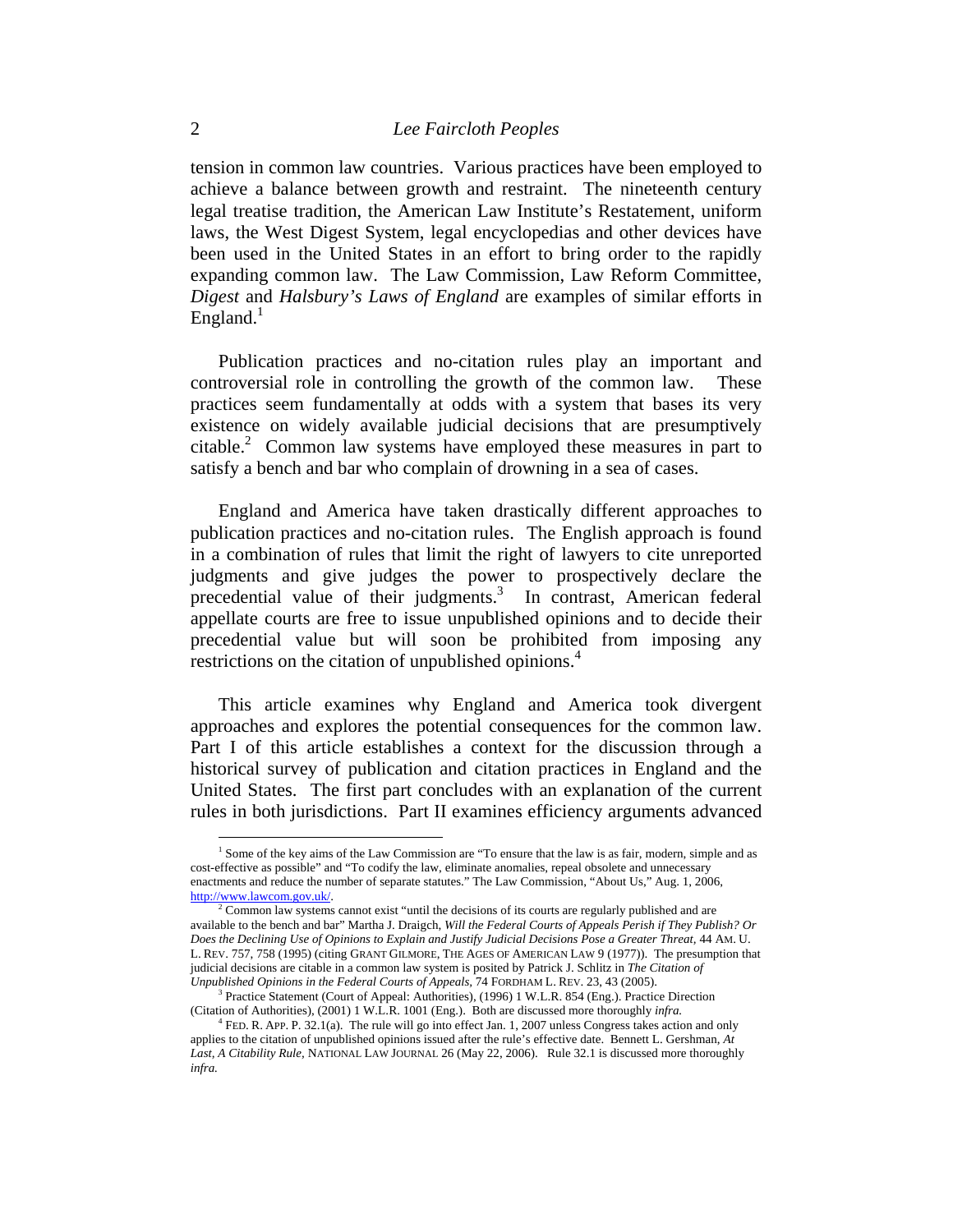tension in common law countries. Various practices have been employed to achieve a balance between growth and restraint. The nineteenth century legal treatise tradition, the American Law Institute's Restatement, uniform laws, the West Digest System, legal encyclopedias and other devices have been used in the United States in an effort to bring order to the rapidly expanding common law. The Law Commission, Law Reform Committee, *Digest* and *Halsbury's Laws of England* are examples of similar efforts in England. $<sup>1</sup>$ </sup>

Publication practices and no-citation rules play an important and controversial role in controlling the growth of the common law. These practices seem fundamentally at odds with a system that bases its very existence on widely available judicial decisions that are presumptively citable.2 Common law systems have employed these measures in part to satisfy a bench and bar who complain of drowning in a sea of cases.

England and America have taken drastically different approaches to publication practices and no-citation rules. The English approach is found in a combination of rules that limit the right of lawyers to cite unreported judgments and give judges the power to prospectively declare the precedential value of their judgments.<sup>3</sup> In contrast, American federal appellate courts are free to issue unpublished opinions and to decide their precedential value but will soon be prohibited from imposing any restrictions on the citation of unpublished opinions.<sup>4</sup>

This article examines why England and America took divergent approaches and explores the potential consequences for the common law. Part I of this article establishes a context for the discussion through a historical survey of publication and citation practices in England and the United States. The first part concludes with an explanation of the current rules in both jurisdictions. Part II examines efficiency arguments advanced

<sup>&</sup>lt;sup>1</sup> Some of the key aims of the Law Commission are "To ensure that the law is as fair, modern, simple and as cost-effective as possible" and "To codify the law, eliminate anomalies, repeal obsolete and unnecessary enactments and reduce the number of separate statutes." The Law Commission, "About Us," Aug. 1, 2006, http://www.lawcom.gov.uk/. 2

Common law systems cannot exist "until the decisions of its courts are regularly published and are available to the bench and bar" Martha J. Draigch, *Will the Federal Courts of Appeals Perish if They Publish? Or Does the Declining Use of Opinions to Explain and Justify Judicial Decisions Pose a Greater Threat,* 44 AM. U. L. REV. 757, 758 (1995) (citing GRANT GILMORE, THE AGES OF AMERICAN LAW 9 (1977)). The presumption that judicial decisions are citable in a common law system is posited by Patrick J. Schlitz in *The Citation of Unpublished Opinions in the Federal Courts of Appeals,* 74 FORDHAM L. REV. 23, 43 (2005). 3

Practice Statement (Court of Appeal: Authorities), (1996) 1 W.L.R. 854 (Eng.). Practice Direction (Citation of Authorities), (2001) 1 W.L.R. 1001 (Eng.). Both are discussed more thoroughly *infra.* 

<sup>4</sup> FED. R. APP. P. 32.1(a). The rule will go into effect Jan. 1, 2007 unless Congress takes action and only applies to the citation of unpublished opinions issued after the rule's effective date. Bennett L. Gershman, *At Last, A Citability Rule,* NATIONAL LAW JOURNAL 26 (May 22, 2006). Rule 32.1 is discussed more thoroughly *infra.*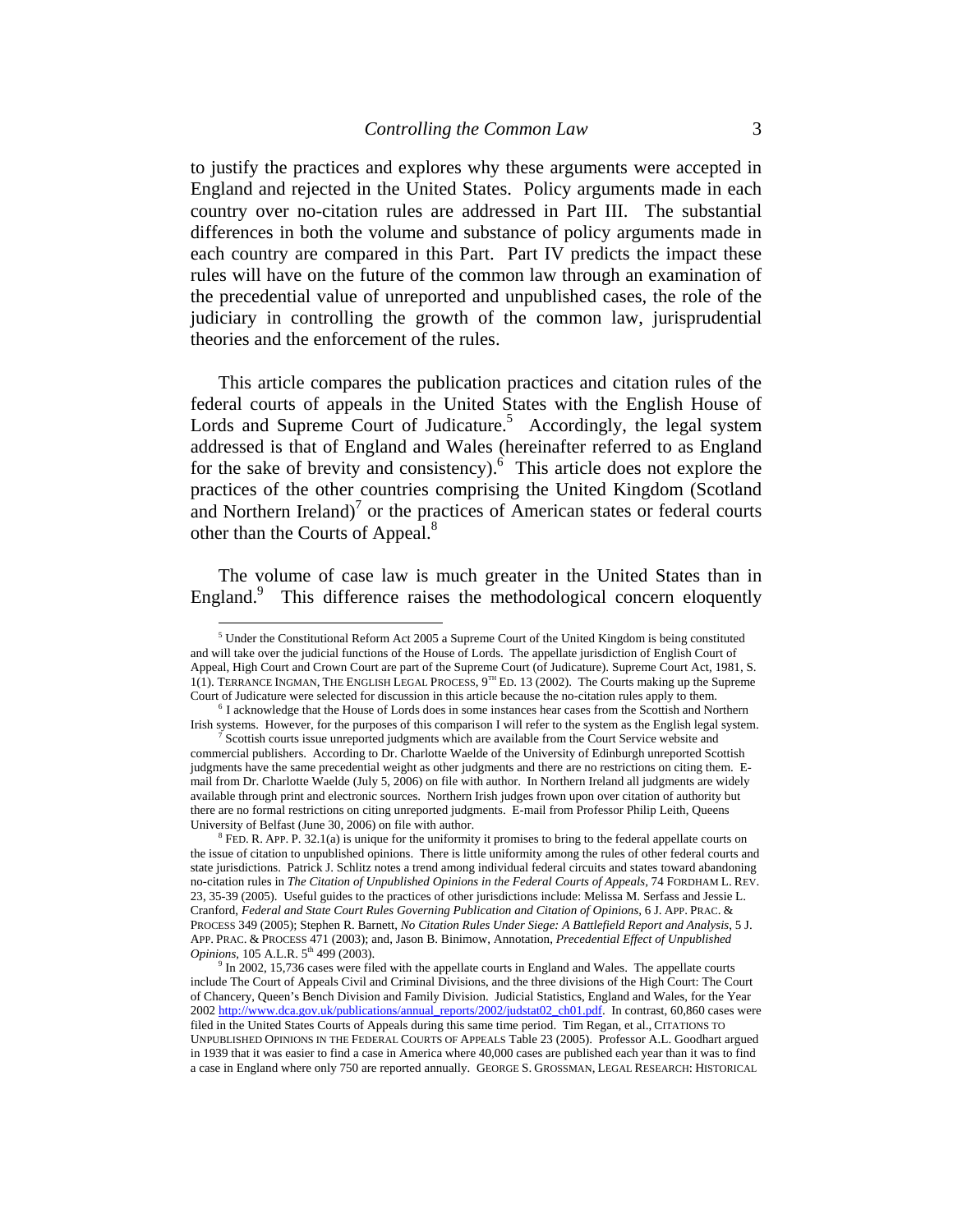to justify the practices and explores why these arguments were accepted in England and rejected in the United States. Policy arguments made in each country over no-citation rules are addressed in Part III. The substantial differences in both the volume and substance of policy arguments made in each country are compared in this Part. Part IV predicts the impact these rules will have on the future of the common law through an examination of the precedential value of unreported and unpublished cases, the role of the judiciary in controlling the growth of the common law, jurisprudential theories and the enforcement of the rules.

This article compares the publication practices and citation rules of the federal courts of appeals in the United States with the English House of Lords and Supreme Court of Judicature.<sup>5</sup> Accordingly, the legal system addressed is that of England and Wales (hereinafter referred to as England for the sake of brevity and consistency). $6$  This article does not explore the practices of the other countries comprising the United Kingdom (Scotland and Northern Ireland) $<sup>7</sup>$  or the practices of American states or federal courts</sup> other than the Courts of Appeal.<sup>8</sup>

The volume of case law is much greater in the United States than in England.<sup>9</sup> This difference raises the methodological concern eloquently

 $<sup>5</sup>$  Under the Constitutional Reform Act 2005 a Supreme Court of the United Kingdom is being constituted</sup> and will take over the judicial functions of the House of Lords. The appellate jurisdiction of English Court of Appeal, High Court and Crown Court are part of the Supreme Court (of Judicature). Supreme Court Act, 1981, S. 1(1). TERRANCE INGMAN, THE ENGLISH LEGAL PROCESS,  $9^{TH}$  ED. 13 (2002). The Courts making up the Supreme Court of Judicature were selected for discussion in this article because the no-citation rules apply to them. 6 I acknowledge that the House of Lords does in some instances hear cases from the Scottish and Northern

Irish systems. However, for the purposes of this comparison I will refer to the system as the English legal system.

Scottish courts issue unreported judgments which are available from the Court Service website and commercial publishers. According to Dr. Charlotte Waelde of the University of Edinburgh unreported Scottish judgments have the same precedential weight as other judgments and there are no restrictions on citing them. Email from Dr. Charlotte Waelde (July 5, 2006) on file with author. In Northern Ireland all judgments are widely available through print and electronic sources. Northern Irish judges frown upon over citation of authority but there are no formal restrictions on citing unreported judgments. E-mail from Professor Philip Leith, Queens University of Belfast (June 30, 2006) on file with author.

 $8$  FED. R. APP. P. 32.1(a) is unique for the uniformity it promises to bring to the federal appellate courts on the issue of citation to unpublished opinions. There is little uniformity among the rules of other federal courts and state jurisdictions. Patrick J. Schlitz notes a trend among individual federal circuits and states toward abandoning no-citation rules in *The Citation of Unpublished Opinions in the Federal Courts of Appeals*, 74 FORDHAM L. REV. 23, 35-39 (2005). Useful guides to the practices of other jurisdictions include: Melissa M. Serfass and Jessie L. Cranford, *Federal and State Court Rules Governing Publication and Citation of Opinions,* 6 J. APP. PRAC. & PROCESS 349 (2005); Stephen R. Barnett, *No Citation Rules Under Siege: A Battlefield Report and Analysis*, 5 J. APP. PRAC. & PROCESS 471 (2003); and, Jason B. Binimow, Annotation, *Precedential Effect of Unpublished Opinions, 105 A.L.R.*  $5^{th}$  499 (2003).

 $9$  In 2002, 15,736 cases were filed with the appellate courts in England and Wales. The appellate courts include The Court of Appeals Civil and Criminal Divisions, and the three divisions of the High Court: The Court of Chancery, Queen's Bench Division and Family Division. Judicial Statistics, England and Wales, for the Year 2002 http://www.dca.gov.uk/publications/annual\_reports/2002/judstat02\_ch01.pdf. In contrast, 60,860 cases were filed in the United States Courts of Appeals during this same time period. Tim Regan, et al., CITATIONS TO UNPUBLISHED OPINIONS IN THE FEDERAL COURTS OF APPEALS Table 23 (2005). Professor A.L. Goodhart argued in 1939 that it was easier to find a case in America where 40,000 cases are published each year than it was to find a case in England where only 750 are reported annually. GEORGE S. GROSSMAN, LEGAL RESEARCH: HISTORICAL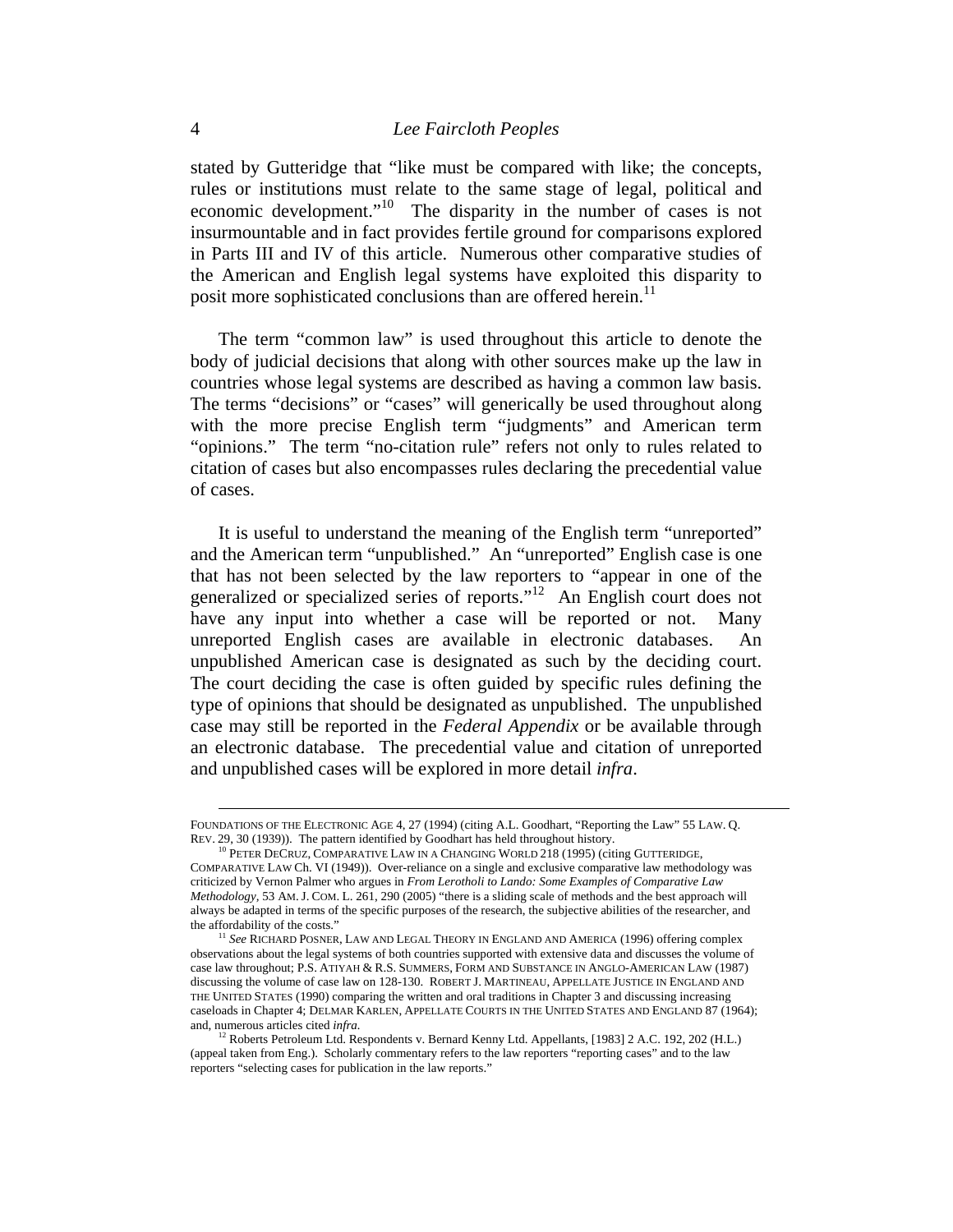stated by Gutteridge that "like must be compared with like; the concepts, rules or institutions must relate to the same stage of legal, political and economic development."<sup>10</sup> The disparity in the number of cases is not insurmountable and in fact provides fertile ground for comparisons explored in Parts III and IV of this article. Numerous other comparative studies of the American and English legal systems have exploited this disparity to posit more sophisticated conclusions than are offered herein.<sup>11</sup>

The term "common law" is used throughout this article to denote the body of judicial decisions that along with other sources make up the law in countries whose legal systems are described as having a common law basis. The terms "decisions" or "cases" will generically be used throughout along with the more precise English term "judgments" and American term "opinions." The term "no-citation rule" refers not only to rules related to citation of cases but also encompasses rules declaring the precedential value of cases.

It is useful to understand the meaning of the English term "unreported" and the American term "unpublished." An "unreported" English case is one that has not been selected by the law reporters to "appear in one of the generalized or specialized series of reports."12 An English court does not have any input into whether a case will be reported or not. Many unreported English cases are available in electronic databases. An unpublished American case is designated as such by the deciding court. The court deciding the case is often guided by specific rules defining the type of opinions that should be designated as unpublished. The unpublished case may still be reported in the *Federal Appendix* or be available through an electronic database. The precedential value and citation of unreported and unpublished cases will be explored in more detail *infra*.

FOUNDATIONS OF THE ELECTRONIC AGE 4, 27 (1994) (citing A.L. Goodhart, "Reporting the Law" 55 LAW. Q.<br>REV. 29, 30 (1939)). The pattern identified by Goodhart has held throughout history.

 $^{10}$  PETER DECRUZ, COMPARATIVE LAW IN A CHANGING WORLD 218 (1995) (citing GUTTERIDGE, COMPARATIVE LAW Ch. VI (1949)). Over-reliance on a single and exclusive comparative law methodology was criticized by Vernon Palmer who argues in *From Lerotholi to Lando: Some Examples of Comparative Law Methodology,* 53 AM. J. COM. L. 261, 290 (2005) "there is a sliding scale of methods and the best approach will always be adapted in terms of the specific purposes of the research, the subjective abilities of the researcher, and

<sup>&</sup>lt;sup>11</sup> See RICHARD POSNER, LAW AND LEGAL THEORY IN ENGLAND AND AMERICA (1996) offering complex observations about the legal systems of both countries supported with extensive data and discusses the volume of case law throughout; P.S. ATIYAH & R.S. SUMMERS, FORM AND SUBSTANCE IN ANGLO-AMERICAN LAW (1987) discussing the volume of case law on 128-130. ROBERT J. MARTINEAU, APPELLATE JUSTICE IN ENGLAND AND THE UNITED STATES (1990) comparing the written and oral traditions in Chapter 3 and discussing increasing caseloads in Chapter 4; DELMAR KARLEN, APPELLATE COURTS IN THE UNITED STATES AND ENGLAND 87 (1964); and, numerous articles cited *infra.*

 $12$  Roberts Petroleum Ltd. Respondents v. Bernard Kenny Ltd. Appellants, [1983] 2 A.C. 192, 202 (H.L.) (appeal taken from Eng.). Scholarly commentary refers to the law reporters "reporting cases" and to the law reporters "selecting cases for publication in the law reports."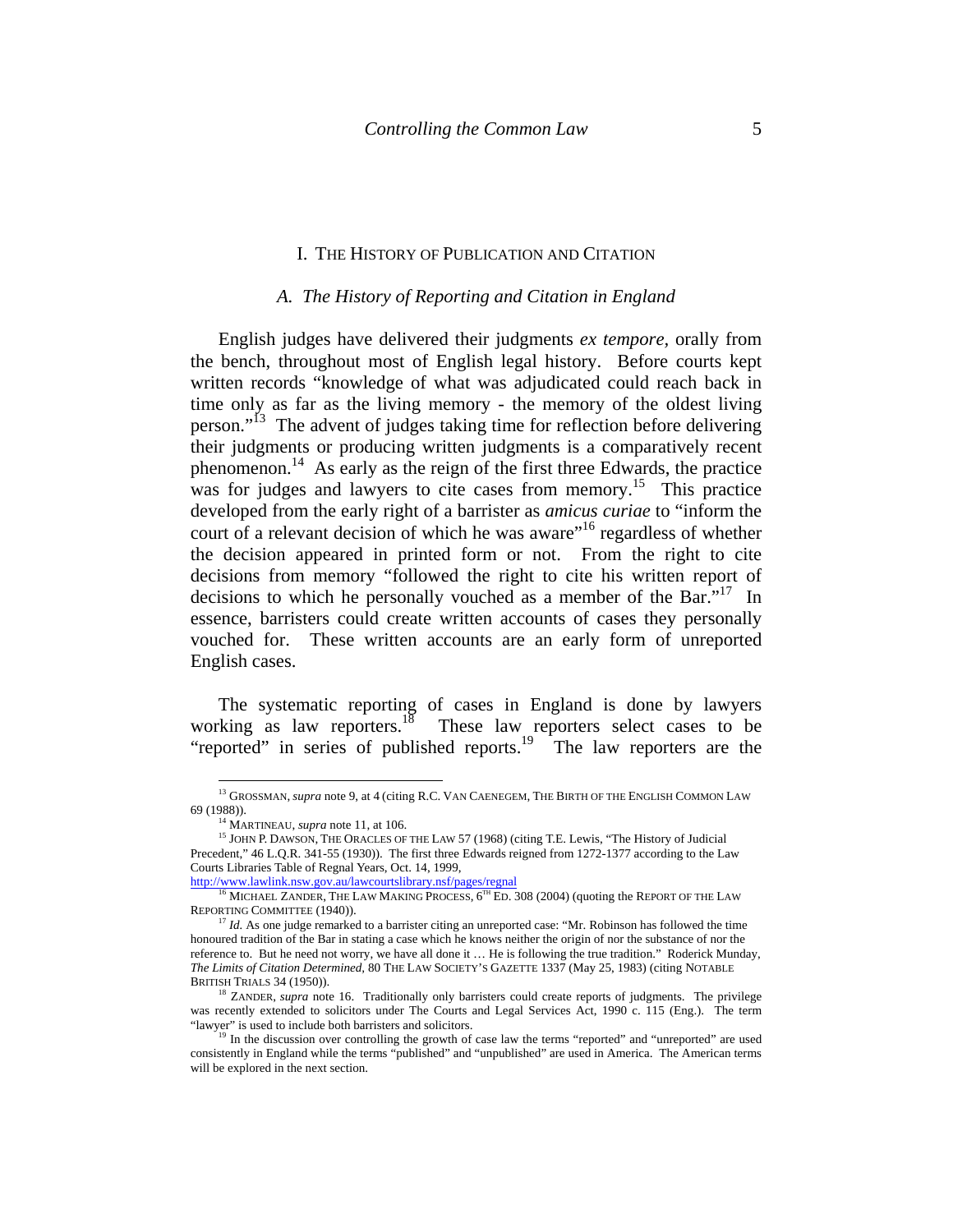#### I. THE HISTORY OF PUBLICATION AND CITATION

#### *A. The History of Reporting and Citation in England*

English judges have delivered their judgments *ex tempore,* orally from the bench, throughout most of English legal history. Before courts kept written records "knowledge of what was adjudicated could reach back in time only as far as the living memory - the memory of the oldest living person."<sup>13</sup> The advent of judges taking time for reflection before delivering their judgments or producing written judgments is a comparatively recent phenomenon.14 As early as the reign of the first three Edwards, the practice was for judges and lawyers to cite cases from memory.<sup>15</sup> This practice developed from the early right of a barrister as *amicus curiae* to "inform the court of a relevant decision of which he was aware<sup>"16</sup> regardless of whether the decision appeared in printed form or not. From the right to cite decisions from memory "followed the right to cite his written report of decisions to which he personally vouched as a member of the Bar."<sup>17</sup> In essence, barristers could create written accounts of cases they personally vouched for. These written accounts are an early form of unreported English cases.

The systematic reporting of cases in England is done by lawyers working as law reporters.<sup>18</sup> These law reporters select cases to be "reported" in series of published reports.<sup>19</sup> The law reporters are the

<sup>13</sup> GROSSMAN, *supra* note 9, at 4 (citing R.C. VAN CAENEGEM, THE BIRTH OF THE ENGLISH COMMON LAW 69 (1988)).<br><sup>14</sup> MARTINEAU, *supra* note 11, at 106.<br><sup>15</sup> JOHN P. DAWSON, THE ORACLES OF THE LAW 57 (1968) (citing T.E. Lewis, "The History of Judicial

Precedent," 46 L.Q.R. 341-55 (1930)). The first three Edwards reigned from 1272-1377 according to the Law Courts Libraries Table of Regnal Years, Oct. 14, 1999,

http://www.lawlink.nsw.gov.au/lawcourtslibrary.nsf/pages/regnal<br><sup>16</sup> MICHAEL ZANDER, THE LAW MAKING PROCESS, 6<sup>TH</sup> ED. 308 (2004) (quoting the REPORT OF THE LAW REPORTING COMMITTEE (1940)).<br><sup>17</sup> *Id.* As one judge remarked to a barrister citing an unreported case: "Mr. Robinson has followed the time

honoured tradition of the Bar in stating a case which he knows neither the origin of nor the substance of nor the reference to. But he need not worry, we have all done it … He is following the true tradition." Roderick Munday, *The Limits of Citation Determined,* 80 THE LAW SOCIETY'S GAZETTE 1337 (May 25, 1983) (citing NOTABLE BRITISH TRIALS 34 (1950)).

<sup>&</sup>lt;sup>18</sup> ZANDER, *supra* note 16. Traditionally only barristers could create reports of judgments. The privilege was recently extended to solicitors under The Courts and Legal Services Act, 1990 c. 115 (Eng.). The term "lawyer" is used to include both barristers and solicitors.<br><sup>19</sup> In the discussion over controlling the growth of case law the terms "reported" and "unreported" are used

consistently in England while the terms "published" and "unpublished" are used in America. The American terms will be explored in the next section.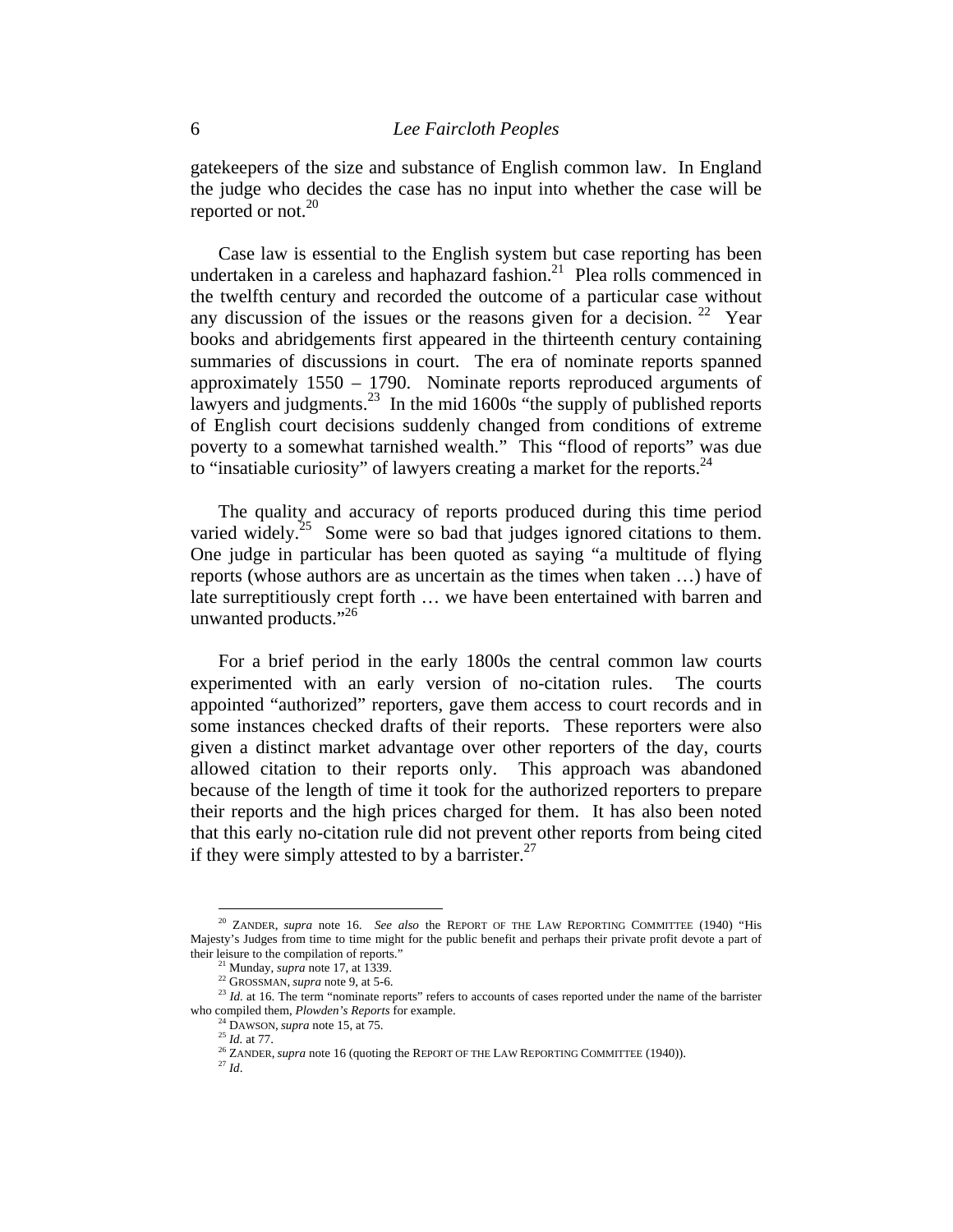gatekeepers of the size and substance of English common law. In England the judge who decides the case has no input into whether the case will be reported or not.<sup>20</sup>

Case law is essential to the English system but case reporting has been undertaken in a careless and haphazard fashion.<sup>21</sup> Plea rolls commenced in the twelfth century and recorded the outcome of a particular case without any discussion of the issues or the reasons given for a decision.  $22$  Year books and abridgements first appeared in the thirteenth century containing summaries of discussions in court. The era of nominate reports spanned approximately 1550 – 1790. Nominate reports reproduced arguments of lawyers and judgments.<sup>23</sup> In the mid 1600s  $\cdot$  the supply of published reports of English court decisions suddenly changed from conditions of extreme poverty to a somewhat tarnished wealth." This "flood of reports" was due to "insatiable curiosity" of lawyers creating a market for the reports.<sup>24</sup>

The quality and accuracy of reports produced during this time period varied widely.<sup>25</sup> Some were so bad that judges ignored citations to them. One judge in particular has been quoted as saying "a multitude of flying reports (whose authors are as uncertain as the times when taken …) have of late surreptitiously crept forth … we have been entertained with barren and unwanted products."<sup>26</sup>

For a brief period in the early 1800s the central common law courts experimented with an early version of no-citation rules. The courts appointed "authorized" reporters, gave them access to court records and in some instances checked drafts of their reports. These reporters were also given a distinct market advantage over other reporters of the day, courts allowed citation to their reports only. This approach was abandoned because of the length of time it took for the authorized reporters to prepare their reports and the high prices charged for them. It has also been noted that this early no-citation rule did not prevent other reports from being cited if they were simply attested to by a barrister.<sup>27</sup>

<sup>20</sup> ZANDER, *supra* note 16. *See also* the REPORT OF THE LAW REPORTING COMMITTEE (1940) "His Majesty's Judges from time to time might for the public benefit and perhaps their private profit devote a part of their leisure to the compilation of reports."<br>
<sup>21</sup> Munday, *supra* note 17, at 1339.<br>
<sup>22</sup> GROSSMAN, *supra* note 9, at 5-6.<br>
<sup>23</sup> Id. at 16. The term "nominate reports" refers to accounts of cases reported under the nam

who compiled them, *Plowden's Reports* for example.<br><sup>24</sup> DAWSON, *supra* note 15, at 75.<br><sup>25</sup> *Id.* at 77.<br><sup>26</sup> ZANDER, *supra* note 16 (quoting the REPORT OF THE LAW REPORTING COMMITTEE (1940)).<br><sup>27</sup> *Id*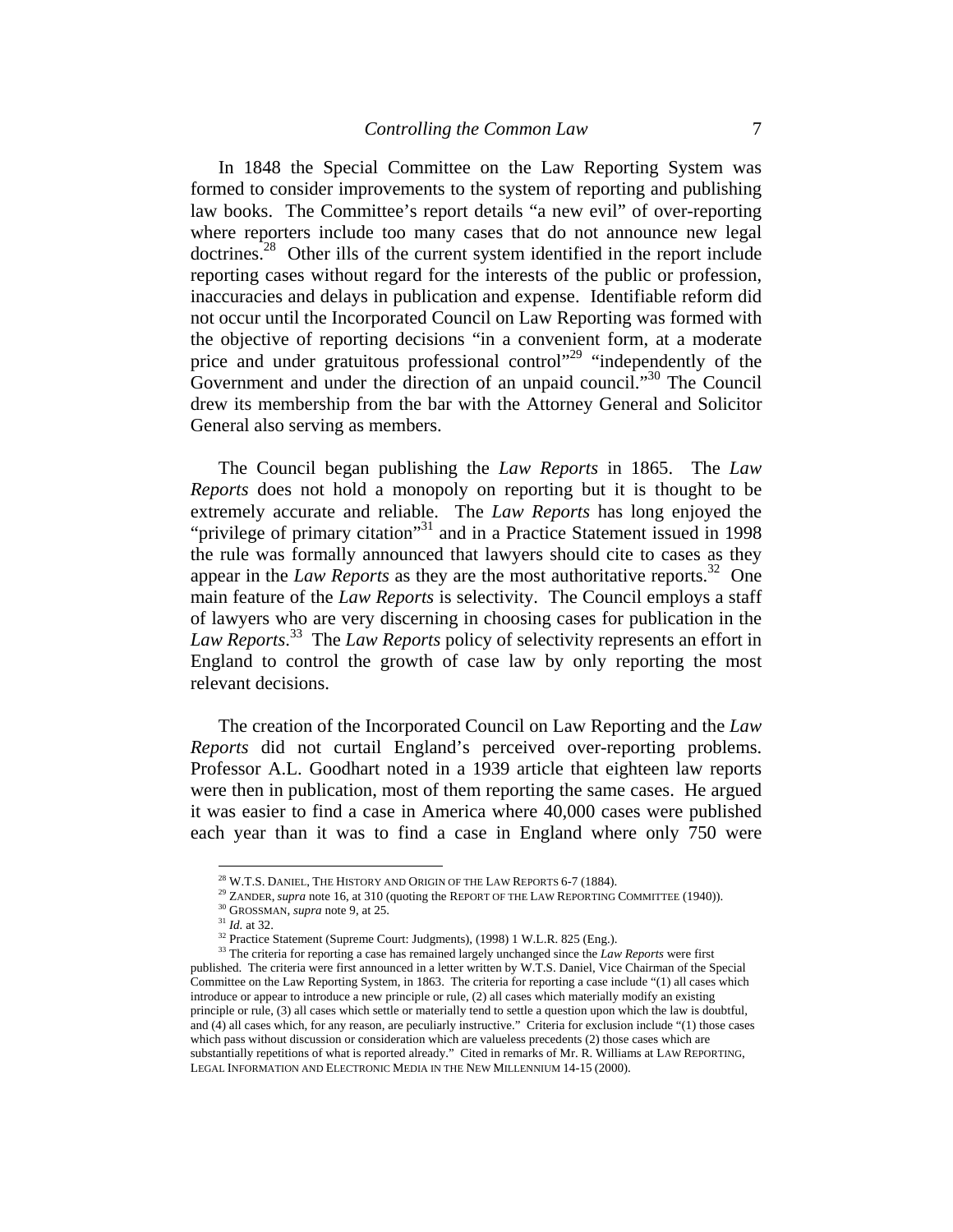In 1848 the Special Committee on the Law Reporting System was formed to consider improvements to the system of reporting and publishing law books. The Committee's report details "a new evil" of over-reporting where reporters include too many cases that do not announce new legal doctrines.<sup>28</sup> Other ills of the current system identified in the report include reporting cases without regard for the interests of the public or profession, inaccuracies and delays in publication and expense. Identifiable reform did not occur until the Incorporated Council on Law Reporting was formed with the objective of reporting decisions "in a convenient form, at a moderate price and under gratuitous professional control"<sup>29</sup> "independently of the Government and under the direction of an unpaid council."<sup>30</sup> The Council drew its membership from the bar with the Attorney General and Solicitor General also serving as members.

The Council began publishing the *Law Reports* in 1865. The *Law Reports* does not hold a monopoly on reporting but it is thought to be extremely accurate and reliable. The *Law Reports* has long enjoyed the "privilege of primary citation"<sup>31</sup> and in a Practice Statement issued in 1998 the rule was formally announced that lawyers should cite to cases as they appear in the *Law Reports* as they are the most authoritative reports.<sup>32</sup> One main feature of the *Law Reports* is selectivity. The Council employs a staff of lawyers who are very discerning in choosing cases for publication in the *Law Reports*. 33 The *Law Reports* policy of selectivity represents an effort in England to control the growth of case law by only reporting the most relevant decisions.

The creation of the Incorporated Council on Law Reporting and the *Law Reports* did not curtail England's perceived over-reporting problems. Professor A.L. Goodhart noted in a 1939 article that eighteen law reports were then in publication, most of them reporting the same cases. He argued it was easier to find a case in America where 40,000 cases were published each year than it was to find a case in England where only 750 were

<sup>&</sup>lt;sup>28</sup> W.T.S. DANIEL, THE HISTORY AND ORIGIN OF THE LAW REPORTS 6-7 (1884).<br><sup>29</sup> ZANDER, *supra* note 16, at 310 (quoting the REPORT OF THE LAW REPORTING COMMITTEE (1940)).<br><sup>30</sup> GROSSMAN, *supra* note 9, at 25.<br><sup>31</sup> Id. at

<sup>33</sup> The criteria for reporting a case has remained largely unchanged since the *Law Reports* were first published. The criteria were first announced in a letter written by W.T.S. Daniel, Vice Chairman of the Special Committee on the Law Reporting System, in 1863. The criteria for reporting a case include "(1) all cases which introduce or appear to introduce a new principle or rule, (2) all cases which materially modify an existing principle or rule, (3) all cases which settle or materially tend to settle a question upon which the law is doubtful, and (4) all cases which, for any reason, are peculiarly instructive." Criteria for exclusion include "(1) those cases which pass without discussion or consideration which are valueless precedents (2) those cases which are substantially repetitions of what is reported already." Cited in remarks of Mr. R. Williams at LAW REPORTING, LEGAL INFORMATION AND ELECTRONIC MEDIA IN THE NEW MILLENNIUM 14-15 (2000).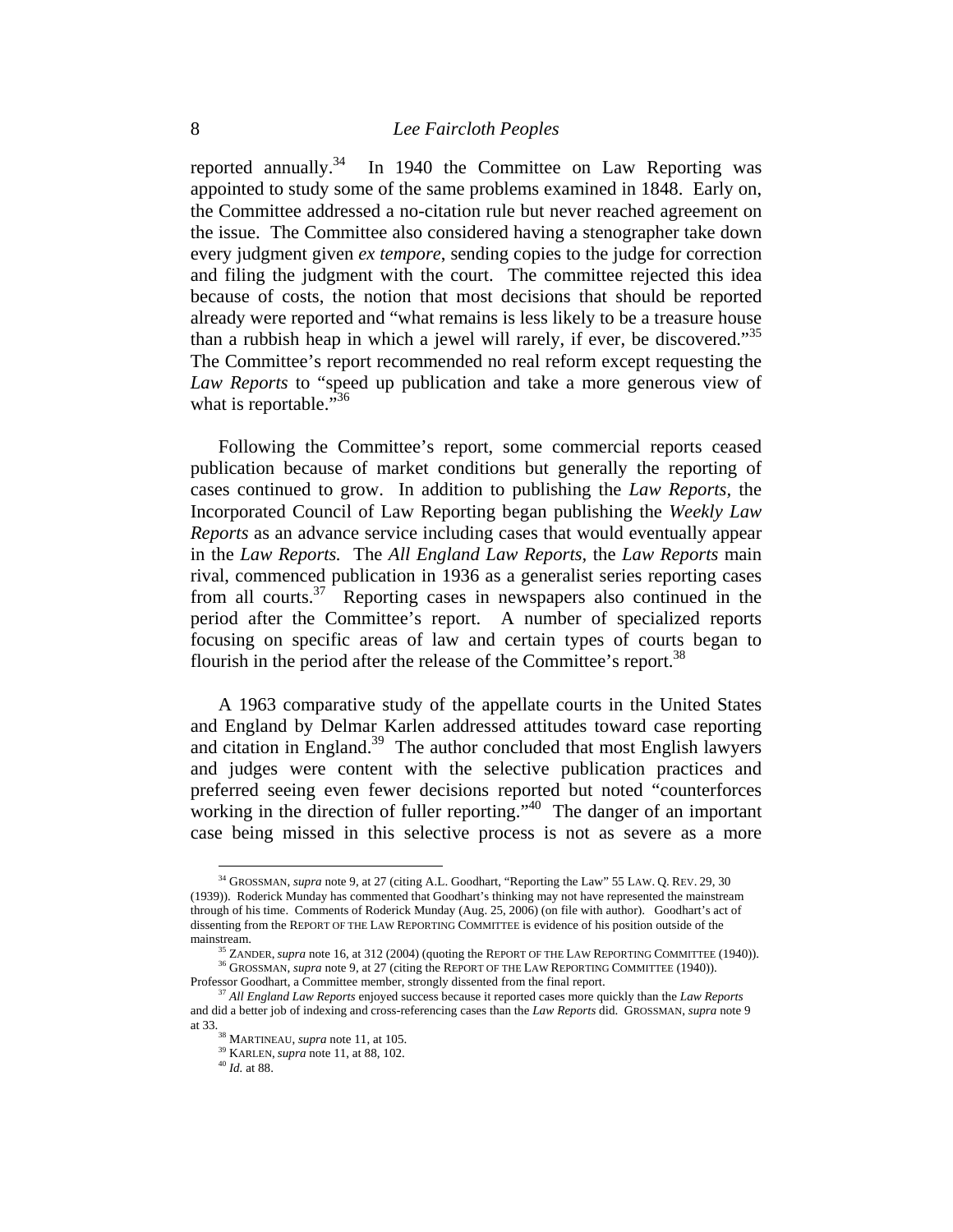reported annually.<sup>34</sup> In 1940 the Committee on Law Reporting was appointed to study some of the same problems examined in 1848. Early on, the Committee addressed a no-citation rule but never reached agreement on the issue. The Committee also considered having a stenographer take down every judgment given *ex tempore*, sending copies to the judge for correction and filing the judgment with the court. The committee rejected this idea because of costs, the notion that most decisions that should be reported already were reported and "what remains is less likely to be a treasure house than a rubbish heap in which a jewel will rarely, if ever, be discovered."<sup>35</sup> The Committee's report recommended no real reform except requesting the *Law Reports* to "speed up publication and take a more generous view of what is reportable."<sup>36</sup>

Following the Committee's report, some commercial reports ceased publication because of market conditions but generally the reporting of cases continued to grow. In addition to publishing the *Law Reports,* the Incorporated Council of Law Reporting began publishing the *Weekly Law Reports* as an advance service including cases that would eventually appear in the *Law Reports.* The *All England Law Reports,* the *Law Reports* main rival, commenced publication in 1936 as a generalist series reporting cases from all courts. $37$  Reporting cases in newspapers also continued in the period after the Committee's report. A number of specialized reports focusing on specific areas of law and certain types of courts began to flourish in the period after the release of the Committee's report.<sup>38</sup>

A 1963 comparative study of the appellate courts in the United States and England by Delmar Karlen addressed attitudes toward case reporting and citation in England.<sup>39</sup> The author concluded that most English lawyers and judges were content with the selective publication practices and preferred seeing even fewer decisions reported but noted "counterforces working in the direction of fuller reporting."<sup>40</sup> The danger of an important case being missed in this selective process is not as severe as a more

<sup>34</sup> GROSSMAN, *supra* note 9, at 27 (citing A.L. Goodhart, "Reporting the Law" 55 LAW. Q. REV. 29, 30 (1939)). Roderick Munday has commented that Goodhart's thinking may not have represented the mainstream through of his time. Comments of Roderick Munday (Aug. 25, 2006) (on file with author). Goodhart's act of dissenting from the REPORT OF THE LAW REPORTING COMMITTEE is evidence of his position outside of the

mainstream.<br><sup>35</sup> ZANDER, *supra* note 16, at 312 (2004) (quoting the REPORT OF THE LAW REPORTING COMMITTEE (1940)).<br><sup>36</sup> GROSSMAN, *supra* note 9, at 27 (citing the REPORT OF THE LAW REPORTING COMMITTEE (1940)).

Professor Goodhart, a Committee member, strongly dissented from the final report.

<sup>37</sup> *All England Law Reports* enjoyed success because it reported cases more quickly than the *Law Reports* and did a better job of indexing and cross-referencing cases than the *Law Reports* did. GROSSMAN, *supra* note 9 at 33. 38 MARTINEAU, *supra* note 11, at 105. 39 KARLEN, *supra* note 11, at 88, 102. 40 *Id.* at 88.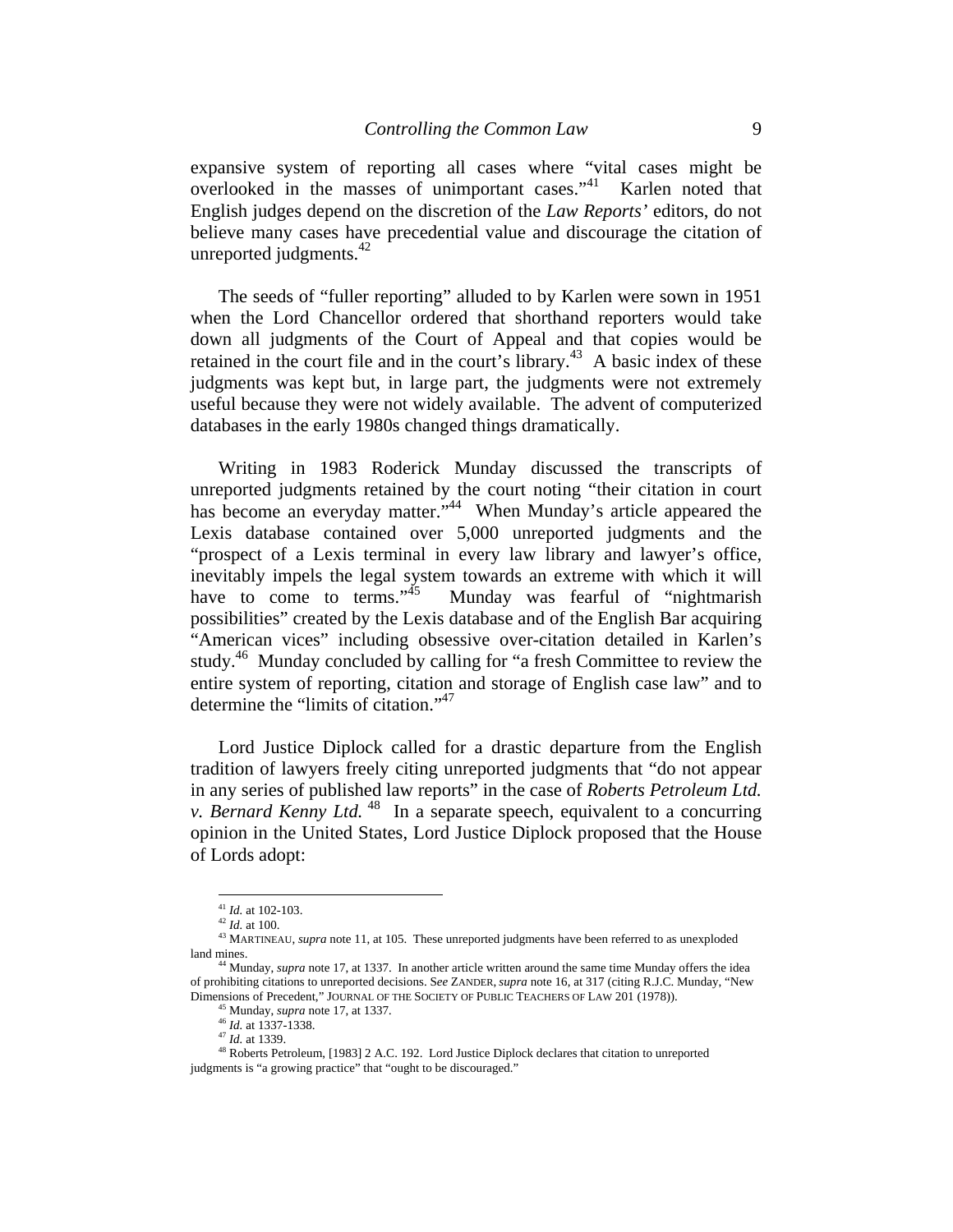expansive system of reporting all cases where "vital cases might be overlooked in the masses of unimportant cases."41 Karlen noted that English judges depend on the discretion of the *Law Reports'* editors, do not believe many cases have precedential value and discourage the citation of unreported judgments. $42$ 

The seeds of "fuller reporting" alluded to by Karlen were sown in 1951 when the Lord Chancellor ordered that shorthand reporters would take down all judgments of the Court of Appeal and that copies would be retained in the court file and in the court's library.<sup>43</sup> A basic index of these judgments was kept but, in large part, the judgments were not extremely useful because they were not widely available. The advent of computerized databases in the early 1980s changed things dramatically.

Writing in 1983 Roderick Munday discussed the transcripts of unreported judgments retained by the court noting "their citation in court has become an everyday matter."<sup>44</sup> When Munday's article appeared the Lexis database contained over 5,000 unreported judgments and the "prospect of a Lexis terminal in every law library and lawyer's office, inevitably impels the legal system towards an extreme with which it will have to come to terms." $45$  Munday was fearful of "nightmarish" possibilities" created by the Lexis database and of the English Bar acquiring "American vices" including obsessive over-citation detailed in Karlen's study.<sup>46</sup> Munday concluded by calling for "a fresh Committee to review the entire system of reporting, citation and storage of English case law" and to determine the "limits of citation."<sup>47</sup>

Lord Justice Diplock called for a drastic departure from the English tradition of lawyers freely citing unreported judgments that "do not appear in any series of published law reports" in the case of *Roberts Petroleum Ltd. v. Bernard Kenny Ltd.* <sup>48</sup> In a separate speech, equivalent to a concurring opinion in the United States, Lord Justice Diplock proposed that the House of Lords adopt:

 $41$  *Id.* at 102-103.

<sup>&</sup>lt;sup>42</sup> *Id.* at 100.<br><sup>43</sup> *Id.* at 100. 43 MARTINEAU, *supra* note 11, at 105. These unreported judgments have been referred to as unexploded

land mines. 44 Munday, *supra* note 17, at 1337. In another article written around the same time Munday offers the idea of prohibiting citations to unreported decisions. S*ee* ZANDER, *supra* note 16, at 317 (citing R.J.C. Munday, "New Dimensions of Precedent," JOURNAL OF THE SOCIETY OF PUBLIC TEACHERS OF LAW 201 (1978)). <sup>45</sup> Munday, *supra* note 17, at 1337. <sup>46</sup> *Id.* at 1337-1338.

<sup>&</sup>lt;sup>47</sup> *Id.* at 1339. **48 Roberts Petroleum, [1983] 2 A.C. 192.** Lord Justice Diplock declares that citation to unreported judgments is "a growing practice" that "ought to be discouraged."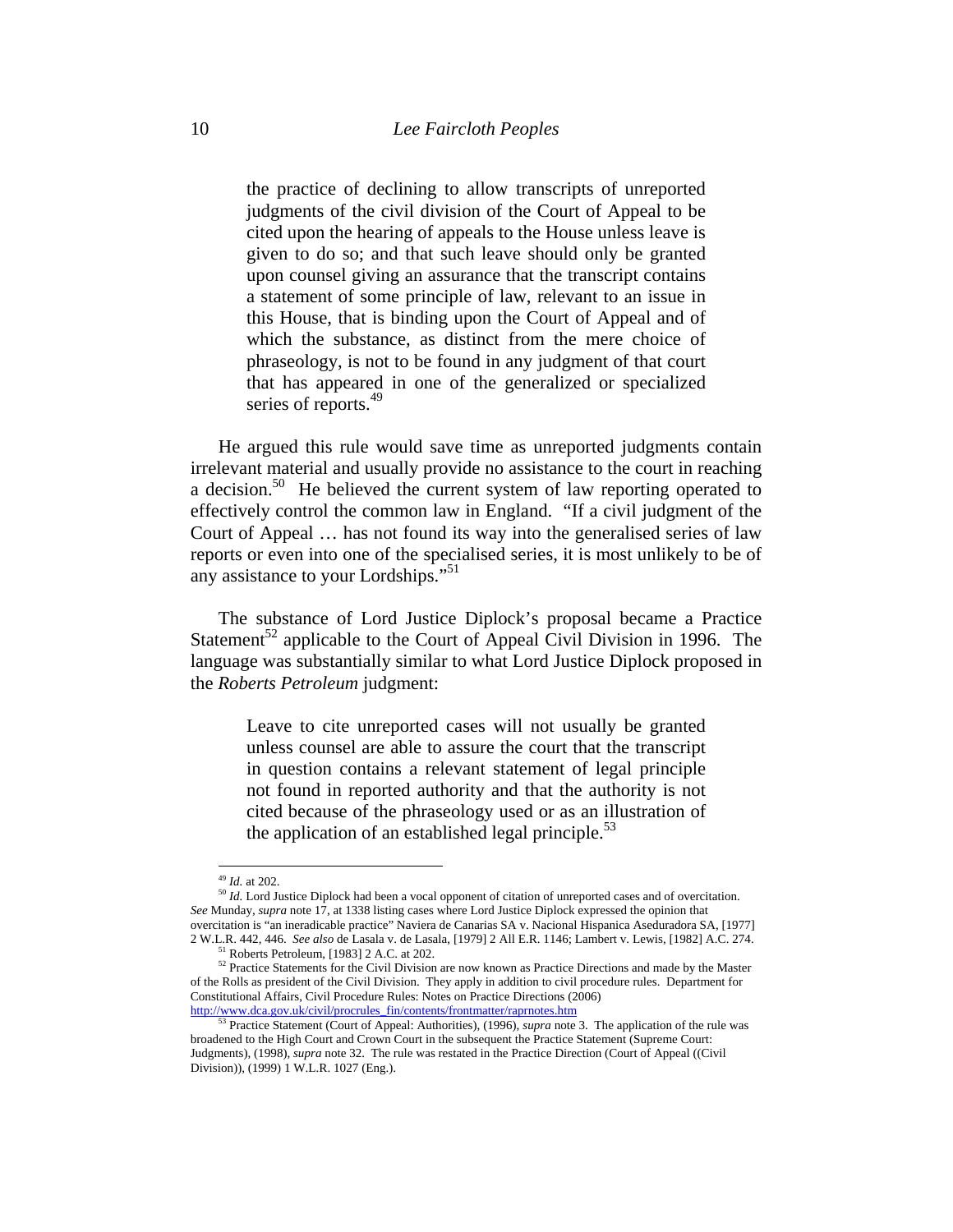the practice of declining to allow transcripts of unreported judgments of the civil division of the Court of Appeal to be cited upon the hearing of appeals to the House unless leave is given to do so; and that such leave should only be granted upon counsel giving an assurance that the transcript contains a statement of some principle of law, relevant to an issue in this House, that is binding upon the Court of Appeal and of which the substance, as distinct from the mere choice of phraseology, is not to be found in any judgment of that court that has appeared in one of the generalized or specialized series of reports.<sup>49</sup>

He argued this rule would save time as unreported judgments contain irrelevant material and usually provide no assistance to the court in reaching a decision.<sup>50</sup> He believed the current system of law reporting operated to effectively control the common law in England. "If a civil judgment of the Court of Appeal … has not found its way into the generalised series of law reports or even into one of the specialised series, it is most unlikely to be of any assistance to your Lordships."51

The substance of Lord Justice Diplock's proposal became a Practice Statement<sup>52</sup> applicable to the Court of Appeal Civil Division in 1996. The language was substantially similar to what Lord Justice Diplock proposed in the *Roberts Petroleum* judgment:

Leave to cite unreported cases will not usually be granted unless counsel are able to assure the court that the transcript in question contains a relevant statement of legal principle not found in reported authority and that the authority is not cited because of the phraseology used or as an illustration of the application of an established legal principle. $53$ 

<sup>&</sup>lt;sup>49</sup> *Id.* at 202.<br><sup>50</sup> *Id.* Lord Justice Diplock had been a vocal opponent of citation of unreported cases and of overcitation. *See* Munday, *supra* note 17, at 1338 listing cases where Lord Justice Diplock expressed the opinion that overcitation is "an ineradicable practice" Naviera de Canarias SA v. Nacional Hispanica Aseduradora SA, [1977] 2 W.L.R. 442, 446. *See also* de Lasala v. de Lasala, [1979] 2 All E.R. 1146; Lambert v. Lewis, [1982] A.C. 274. 51 Roberts Petroleum, [1983] 2 A.C. at 202.

<sup>&</sup>lt;sup>52</sup> Practice Statements for the Civil Division are now known as Practice Directions and made by the Master of the Rolls as president of the Civil Division. They apply in addition to civil procedure rules. Department for Constitutional Affairs, Civil Procedure Rules: Notes on Practice Directions (2006)<br>http://www.dca.gov.uk/civil/procrules\_fin/contents/frontmatter/raprnotes.htm

<sup>&</sup>lt;sup>53</sup> Practice Statement (Court of Appeal: Authorities), (1996), *supra* note 3. The application of the rule was broadened to the High Court and Crown Court in the subsequent the Practice Statement (Supreme Court: Judgments), (1998), *supra* note 32. The rule was restated in the Practice Direction (Court of Appeal ((Civil Division)), (1999) 1 W.L.R. 1027 (Eng.).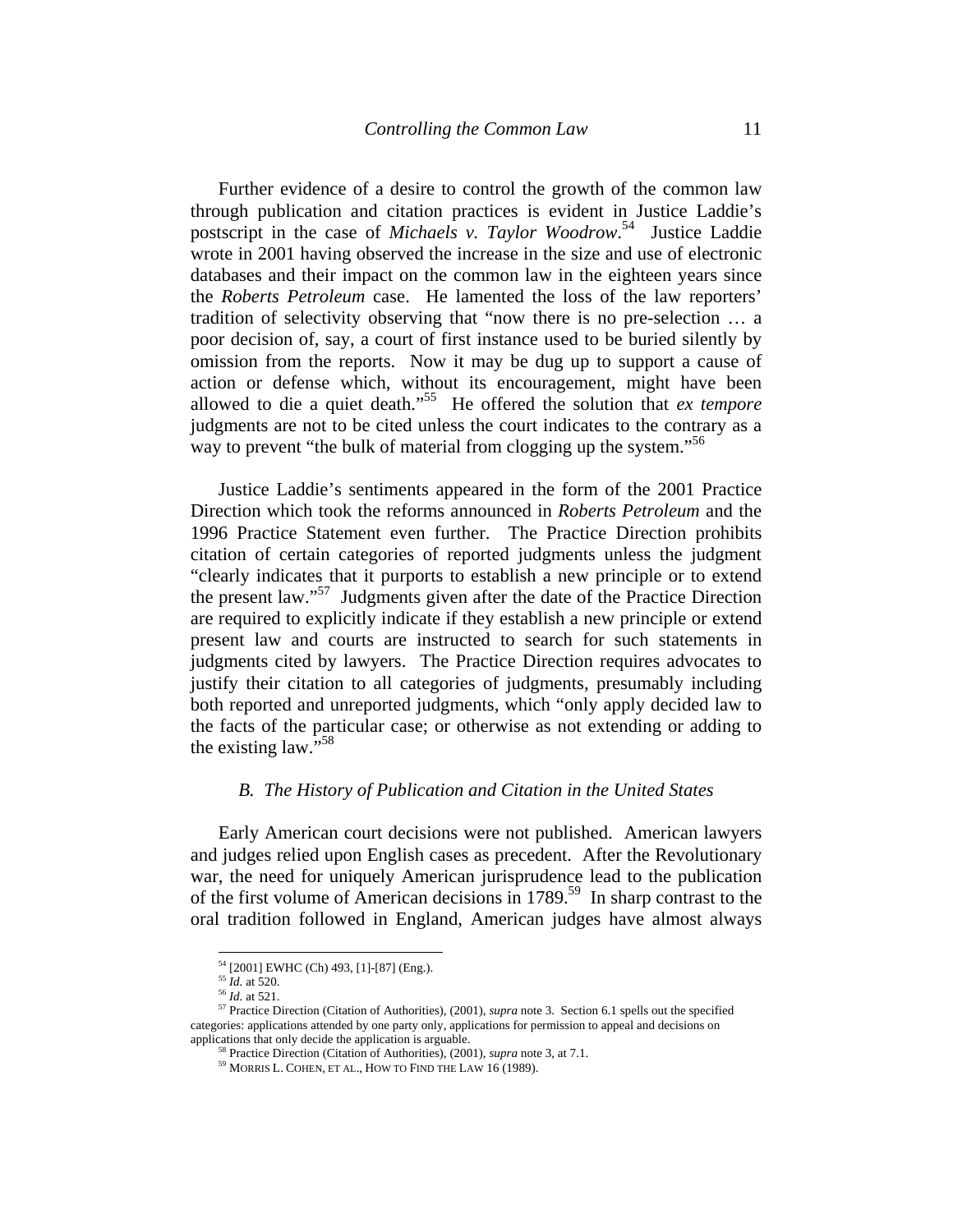Further evidence of a desire to control the growth of the common law through publication and citation practices is evident in Justice Laddie's postscript in the case of *Michaels v. Taylor Woodrow*. 54 Justice Laddie wrote in 2001 having observed the increase in the size and use of electronic databases and their impact on the common law in the eighteen years since the *Roberts Petroleum* case. He lamented the loss of the law reporters' tradition of selectivity observing that "now there is no pre-selection … a poor decision of, say, a court of first instance used to be buried silently by omission from the reports. Now it may be dug up to support a cause of action or defense which, without its encouragement, might have been allowed to die a quiet death."55 He offered the solution that *ex tempore* judgments are not to be cited unless the court indicates to the contrary as a way to prevent "the bulk of material from clogging up the system."<sup>56</sup>

Justice Laddie's sentiments appeared in the form of the 2001 Practice Direction which took the reforms announced in *Roberts Petroleum* and the 1996 Practice Statement even further. The Practice Direction prohibits citation of certain categories of reported judgments unless the judgment "clearly indicates that it purports to establish a new principle or to extend the present law."<sup>57</sup> Judgments given after the date of the Practice Direction are required to explicitly indicate if they establish a new principle or extend present law and courts are instructed to search for such statements in judgments cited by lawyers. The Practice Direction requires advocates to justify their citation to all categories of judgments, presumably including both reported and unreported judgments, which "only apply decided law to the facts of the particular case; or otherwise as not extending or adding to the existing law."58

### *B. The History of Publication and Citation in the United States*

Early American court decisions were not published. American lawyers and judges relied upon English cases as precedent. After the Revolutionary war, the need for uniquely American jurisprudence lead to the publication of the first volume of American decisions in  $1789$ <sup>59</sup> In sharp contrast to the oral tradition followed in England, American judges have almost always

<sup>54 [2001]</sup> EWHC (Ch) 493, [1]-[87] (Eng.).

<sup>&</sup>lt;sup>55</sup> *Id.* at 520.<br><sup>56</sup> *Id.* at 521.<br><sup>56</sup> *Id.* at 521.<br><sup>57</sup> Practice Direction (Citation of Authorities), (2001), *supra* note 3. Section 6.1 spells out the specified categories: applications attended by one party only, applications for permission to appeal and decisions on

<sup>&</sup>lt;sup>58</sup> Practice Direction (Citation of Authorities), (2001), *supra* note 3, at 7.1. <sup>59</sup> MORRIS L. COHEN, ET AL., HOW TO FIND THE LAW 16 (1989).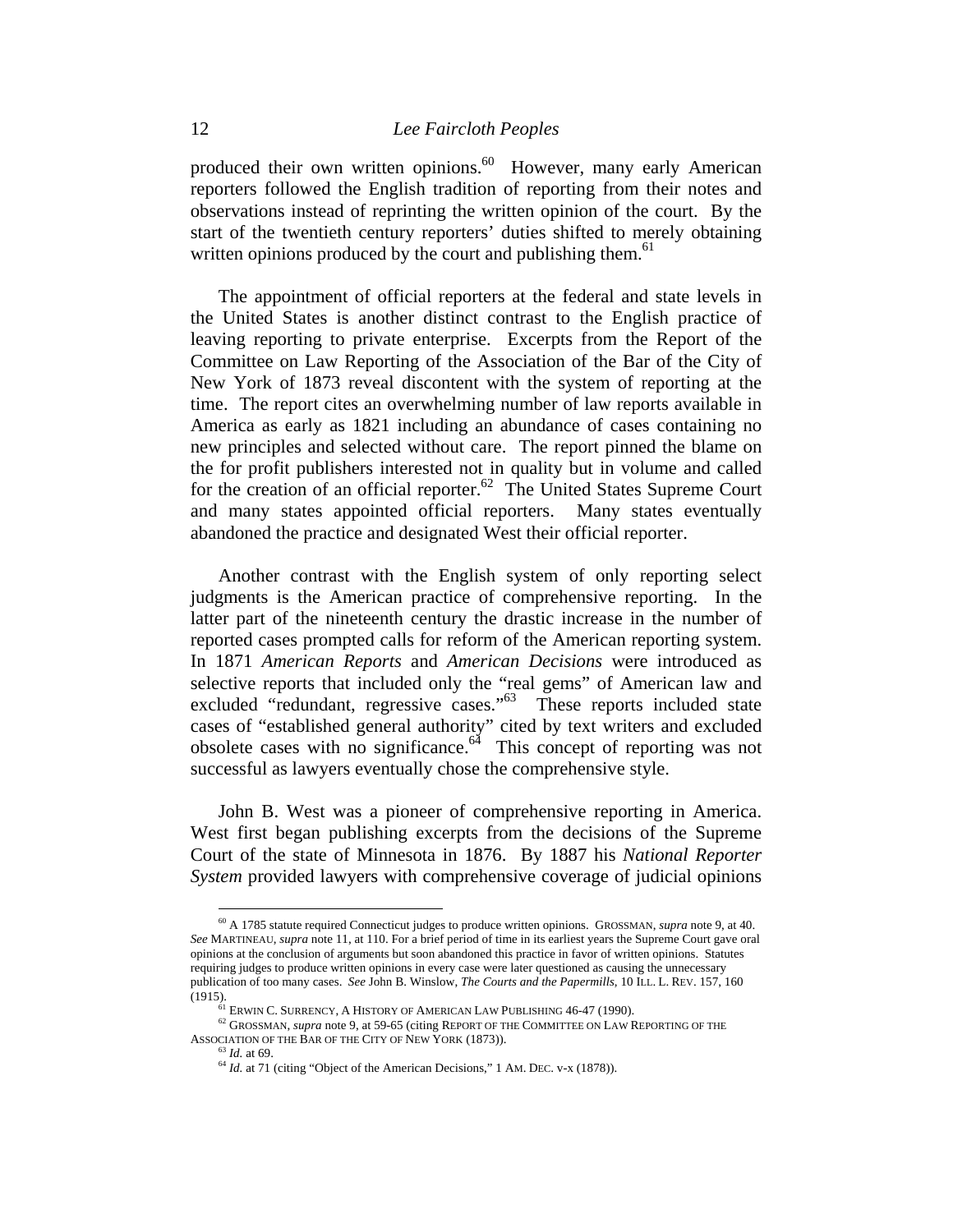produced their own written opinions.<sup>60</sup> However, many early American reporters followed the English tradition of reporting from their notes and observations instead of reprinting the written opinion of the court. By the start of the twentieth century reporters' duties shifted to merely obtaining written opinions produced by the court and publishing them.<sup>61</sup>

The appointment of official reporters at the federal and state levels in the United States is another distinct contrast to the English practice of leaving reporting to private enterprise. Excerpts from the Report of the Committee on Law Reporting of the Association of the Bar of the City of New York of 1873 reveal discontent with the system of reporting at the time. The report cites an overwhelming number of law reports available in America as early as 1821 including an abundance of cases containing no new principles and selected without care. The report pinned the blame on the for profit publishers interested not in quality but in volume and called for the creation of an official reporter.<sup>62</sup> The United States Supreme Court and many states appointed official reporters. Many states eventually abandoned the practice and designated West their official reporter.

Another contrast with the English system of only reporting select judgments is the American practice of comprehensive reporting. In the latter part of the nineteenth century the drastic increase in the number of reported cases prompted calls for reform of the American reporting system. In 1871 *American Reports* and *American Decisions* were introduced as selective reports that included only the "real gems" of American law and excluded "redundant, regressive cases."<sup>63</sup> These reports included state cases of "established general authority" cited by text writers and excluded obsolete cases with no significance. $64$  This concept of reporting was not successful as lawyers eventually chose the comprehensive style.

John B. West was a pioneer of comprehensive reporting in America. West first began publishing excerpts from the decisions of the Supreme Court of the state of Minnesota in 1876. By 1887 his *National Reporter System* provided lawyers with comprehensive coverage of judicial opinions

<sup>60</sup> A 1785 statute required Connecticut judges to produce written opinions. GROSSMAN, *supra* note 9, at 40. *See* MARTINEAU, *supra* note 11, at 110. For a brief period of time in its earliest years the Supreme Court gave oral opinions at the conclusion of arguments but soon abandoned this practice in favor of written opinions. Statutes requiring judges to produce written opinions in every case were later questioned as causing the unnecessary publication of too many cases. *See* John B. Winslow, *The Courts and the Papermills,* 10 ILL. L. REV. 157, 160

<sup>&</sup>lt;sup>1</sup> (1915).<br><sup>61</sup> ERWIN C. SURRENCY, A HISTORY OF AMERICAN LAW PUBLISHING 46-47 (1990).<br><sup>62</sup> GROSSMAN, *supra* note 9, at 59-65 (citing REPORT OF THE COMMITTEE ON LAW REPORTING OF THE<br>ASSOCIATION OF THE BAR OF THE CITY OF N

 $^{63}$  *Id.* at 69.  $^{64}$  *Id.* at 71 (citing "Object of the American Decisions," 1 AM. DEC. v-x (1878)).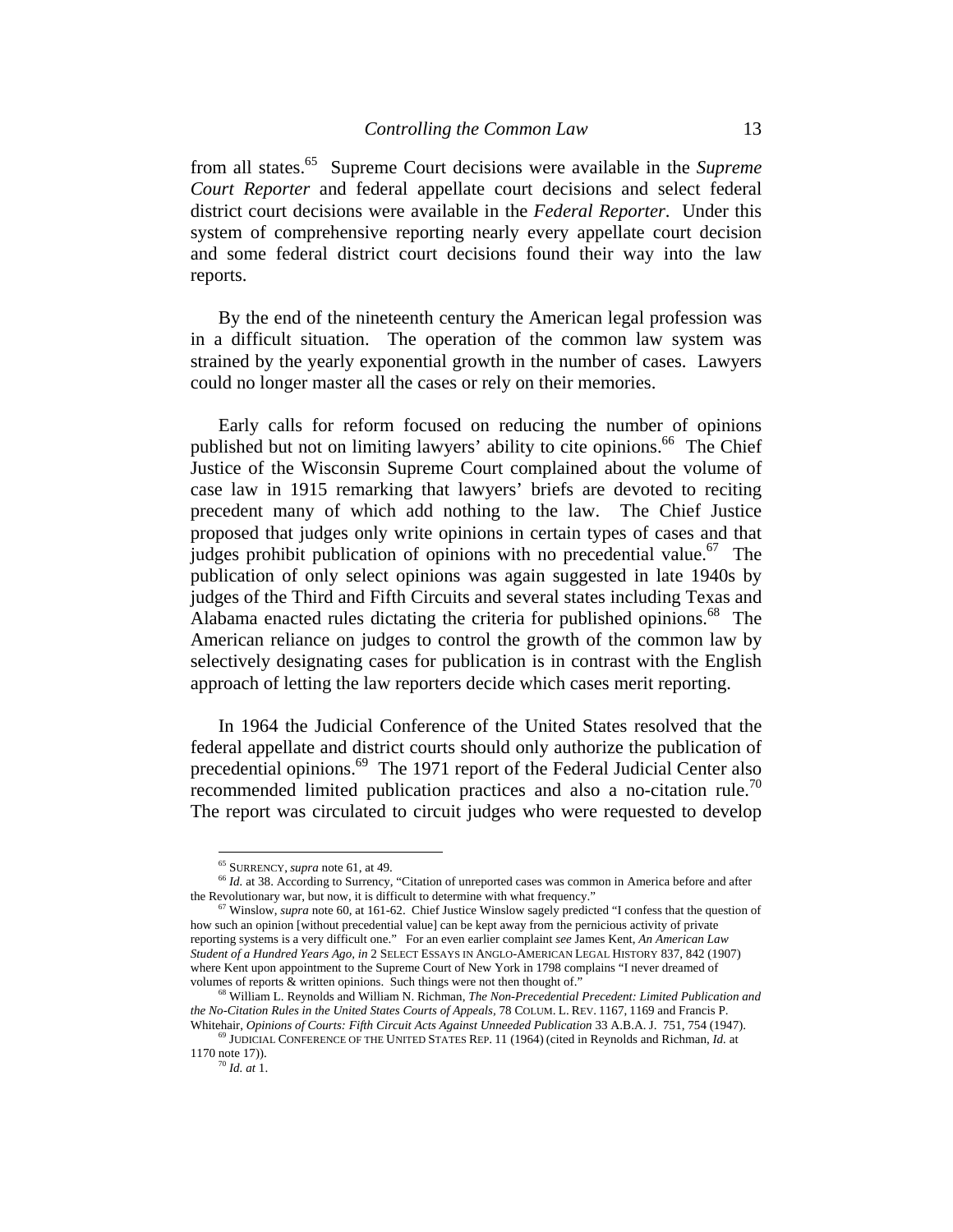from all states.65 Supreme Court decisions were available in the *Supreme Court Reporter* and federal appellate court decisions and select federal district court decisions were available in the *Federal Reporter*. Under this system of comprehensive reporting nearly every appellate court decision and some federal district court decisions found their way into the law reports.

By the end of the nineteenth century the American legal profession was in a difficult situation. The operation of the common law system was strained by the yearly exponential growth in the number of cases. Lawyers could no longer master all the cases or rely on their memories.

Early calls for reform focused on reducing the number of opinions published but not on limiting lawyers' ability to cite opinions.<sup>66</sup> The Chief Justice of the Wisconsin Supreme Court complained about the volume of case law in 1915 remarking that lawyers' briefs are devoted to reciting precedent many of which add nothing to the law. The Chief Justice proposed that judges only write opinions in certain types of cases and that judges prohibit publication of opinions with no precedential value.<sup>67</sup> The publication of only select opinions was again suggested in late 1940s by judges of the Third and Fifth Circuits and several states including Texas and Alabama enacted rules dictating the criteria for published opinions.<sup>68</sup> The American reliance on judges to control the growth of the common law by selectively designating cases for publication is in contrast with the English approach of letting the law reporters decide which cases merit reporting.

In 1964 the Judicial Conference of the United States resolved that the federal appellate and district courts should only authorize the publication of precedential opinions.<sup>69</sup> The 1971 report of the Federal Judicial Center also recommended limited publication practices and also a no-citation rule.<sup>70</sup> The report was circulated to circuit judges who were requested to develop

<sup>&</sup>lt;sup>65</sup> SURRENCY, *supra* note 61, at 49.<br><sup>66</sup> *Id.* at 38. According to Surrency, "Citation of unreported cases was common in America before and after the Revolutionary war, but now, it is difficult to determine with what frequency."<br><sup>67</sup> Winslow, *supra* note 60, at 161-62. Chief Justice Winslow sagely predicted "I confess that the question of

how such an opinion [without precedential value] can be kept away from the pernicious activity of private reporting systems is a very difficult one." For an even earlier complaint *see* James Kent, *An American Law Student of a Hundred Years Ago, in* 2 SELECT ESSAYS IN ANGLO-AMERICAN LEGAL HISTORY 837, 842 (1907) where Kent upon appointment to the Supreme Court of New York in 1798 complains "I never dreamed of volumes of reports & written opinions. Such things were not then thought of."

<sup>&</sup>lt;sup>68</sup> William L. Reynolds and William N. Richman, *The Non-Precedential Precedent: Limited Publication and the No-Citation Rules in the United States Courts of Appeals,* 78 COLUM. L. REV. 1167, 1169 and Francis P. Whitehair, *Opinions of Courts: Fifth Circuit Acts Against Unneeded Publication* 33 A.B.A. J. 751, 754 (1947). <sup>69</sup> JUDICIAL CONFERENCE OF THE UNITED STATES REP. 11 (1964) (cited in Reynolds and Richman, *Id.* at

<sup>1170</sup> note 17)). 70 *Id. at* 1.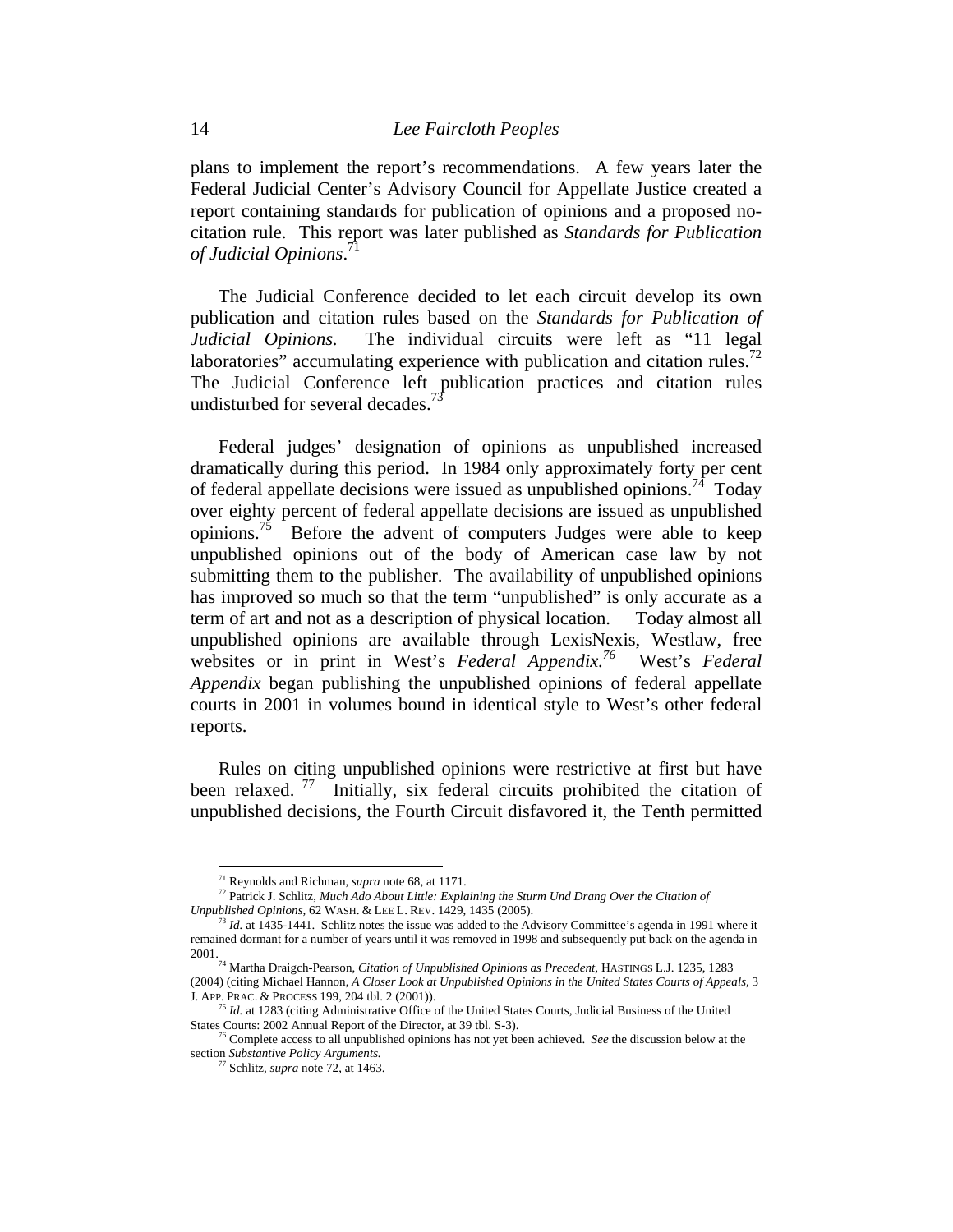plans to implement the report's recommendations. A few years later the Federal Judicial Center's Advisory Council for Appellate Justice created a report containing standards for publication of opinions and a proposed nocitation rule. This report was later published as *Standards for Publication of Judicial Opinions*. 71

The Judicial Conference decided to let each circuit develop its own publication and citation rules based on the *Standards for Publication of Judicial Opinions.* The individual circuits were left as "11 legal laboratories" accumulating experience with publication and citation rules.<sup>72</sup> The Judicial Conference left publication practices and citation rules undisturbed for several decades.<sup>73</sup>

Federal judges' designation of opinions as unpublished increased dramatically during this period. In 1984 only approximately forty per cent of federal appellate decisions were issued as unpublished opinions.<sup>74</sup> Today over eighty percent of federal appellate decisions are issued as unpublished opinions.<sup>75</sup> Before the advent of computers Judges were able to keep unpublished opinions out of the body of American case law by not submitting them to the publisher. The availability of unpublished opinions has improved so much so that the term "unpublished" is only accurate as a term of art and not as a description of physical location. Today almost all unpublished opinions are available through LexisNexis, Westlaw, free websites or in print in West's *Federal Appendix.<sup>76</sup>* West's *Federal Appendix* began publishing the unpublished opinions of federal appellate courts in 2001 in volumes bound in identical style to West's other federal reports.

Rules on citing unpublished opinions were restrictive at first but have been relaxed.<sup>77</sup> Initially, six federal circuits prohibited the citation of unpublished decisions, the Fourth Circuit disfavored it, the Tenth permitted

<sup>&</sup>lt;sup>71</sup> Reynolds and Richman, *supra* note 68, at 1171.<br><sup>72</sup> Patrick J. Schlitz, *Much Ado About Little: Explaining the Sturm Und Drang Over the Citation of Unpublished Opinions,* 62 WASH. & LEE L. REV. 1429, 1435 (2005).<br><sup>73</sup> *Id.* at 1435-1441. Schlitz notes the issue was added to the Advisory Committee's agenda in 1991 where it

remained dormant for a number of years until it was removed in 1998 and subsequently put back on the agenda in

<sup>2001. 74</sup> Martha Draigch-Pearson, *Citation of Unpublished Opinions as Precedent,* HASTINGS L.J. 1235, 1283 (2004) (citing Michael Hannon, *A Closer Look at Unpublished Opinions in the United States Courts of Appeals,* 3

*Id.* at 1283 (citing Administrative Office of the United States Courts, Judicial Business of the United States Courts: 2002 Annual Report of the Director, at 39 tbl. S-3). 76 Complete access to all unpublished opinions has not yet been achieved. *See* the discussion below at the

section *Substantive Policy Arguments.* 

Schlitz, *supra* note 72, at 1463.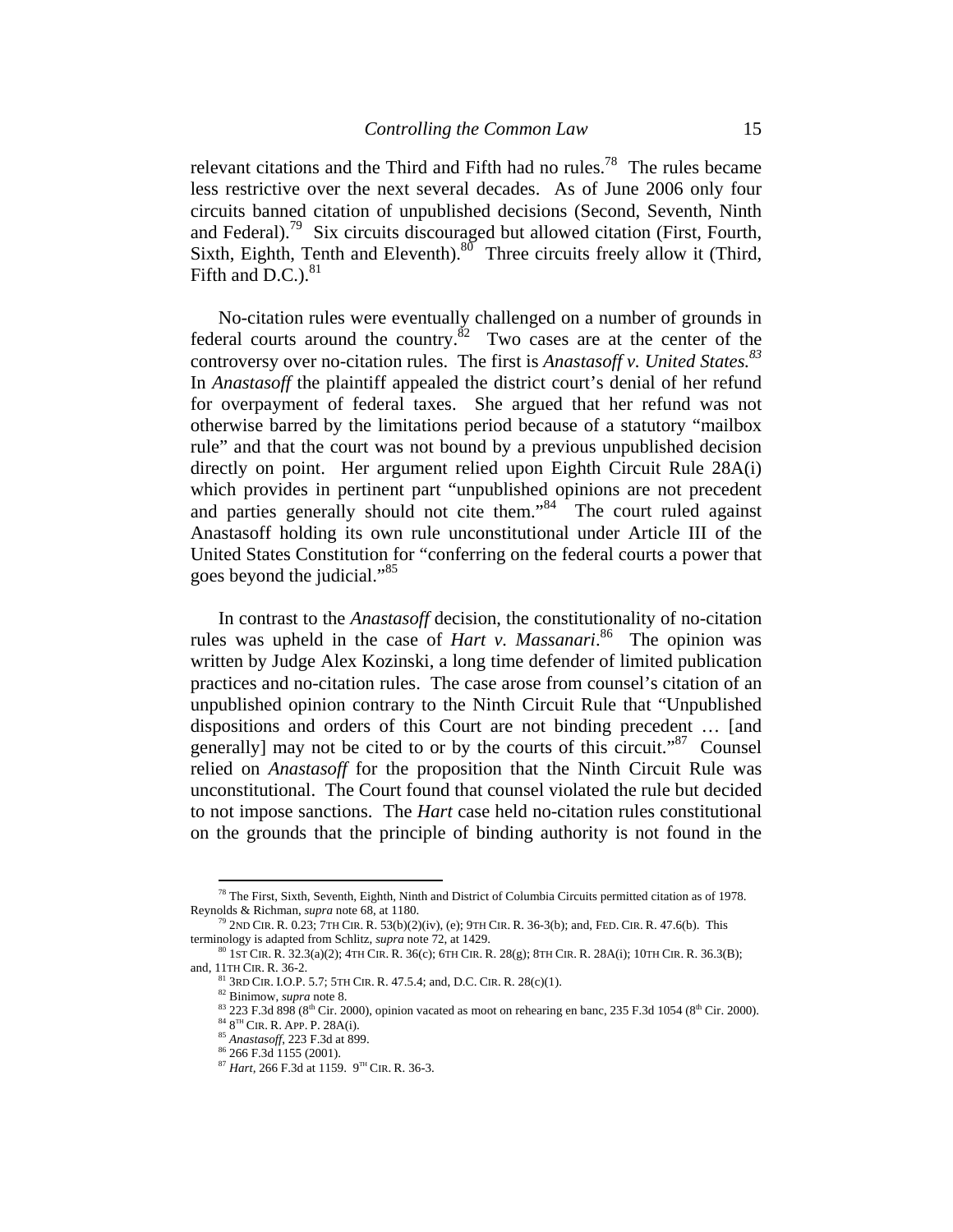relevant citations and the Third and Fifth had no rules.<sup>78</sup> The rules became less restrictive over the next several decades. As of June 2006 only four circuits banned citation of unpublished decisions (Second, Seventh, Ninth and Federal).79 Six circuits discouraged but allowed citation (First, Fourth, Sixth, Eighth, Tenth and Eleventh). $80^{\circ}$  Three circuits freely allow it (Third, Fifth and D.C.). $81$ 

No-citation rules were eventually challenged on a number of grounds in federal courts around the country.<sup>82</sup> Two cases are at the center of the controversy over no-citation rules. The first is *Anastasoff v. United States.83*  In *Anastasoff* the plaintiff appealed the district court's denial of her refund for overpayment of federal taxes. She argued that her refund was not otherwise barred by the limitations period because of a statutory "mailbox rule" and that the court was not bound by a previous unpublished decision directly on point. Her argument relied upon Eighth Circuit Rule 28A(i) which provides in pertinent part "unpublished opinions are not precedent and parties generally should not cite them."<sup>84</sup> The court ruled against Anastasoff holding its own rule unconstitutional under Article III of the United States Constitution for "conferring on the federal courts a power that goes beyond the judicial."85

In contrast to the *Anastasoff* decision, the constitutionality of no-citation rules was upheld in the case of *Hart v. Massanari*. 86 The opinion was written by Judge Alex Kozinski, a long time defender of limited publication practices and no-citation rules. The case arose from counsel's citation of an unpublished opinion contrary to the Ninth Circuit Rule that "Unpublished dispositions and orders of this Court are not binding precedent … [and generally] may not be cited to or by the courts of this circuit."<sup>87</sup> Counsel relied on *Anastasoff* for the proposition that the Ninth Circuit Rule was unconstitutional. The Court found that counsel violated the rule but decided to not impose sanctions. The *Hart* case held no-citation rules constitutional on the grounds that the principle of binding authority is not found in the

 $^{78}$  The First, Sixth, Seventh, Eighth, Ninth and District of Columbia Circuits permitted citation as of 1978. Reynolds & Richman, *supra* note 68, at 1180. 79 2ND CIR. R. 0.23; 7TH CIR. R. 53(b)(2)(iv), (e); 9TH CIR. R. 36-3(b); and, FED. CIR. R. 47.6(b). This

terminology is adapted from Schlitz, *supra* note 72, at 1429.<br><sup>80</sup> 1ST CIR. R. 32.3(a)(2); 4TH CIR. R. 36(c); 6TH CIR. R. 28(g); 8TH CIR. R. 28A(i); 10TH CIR. R. 36.3(B); and, 11TH CIR. R. 36-2.

<sup>&</sup>lt;sup>81</sup> 3RD CIR. I.O.P. 5.7; 5TH CIR. R. 47.5.4; and, D.C. CIR. R. 28(c)(1).<br><sup>82</sup> Binimow, *supra* note 8.<br><sup>83</sup> 223 F.3d 898 (8<sup>th</sup> Cir. 2000), opinion vacated as moot on rehearing en banc, 235 F.3d 1054 (8<sup>th</sup> Cir. 2000).<br><sup></sup>

<sup>87</sup> *Hart,* 266 F.3d at 1159. 9TH CIR. R. 36-3.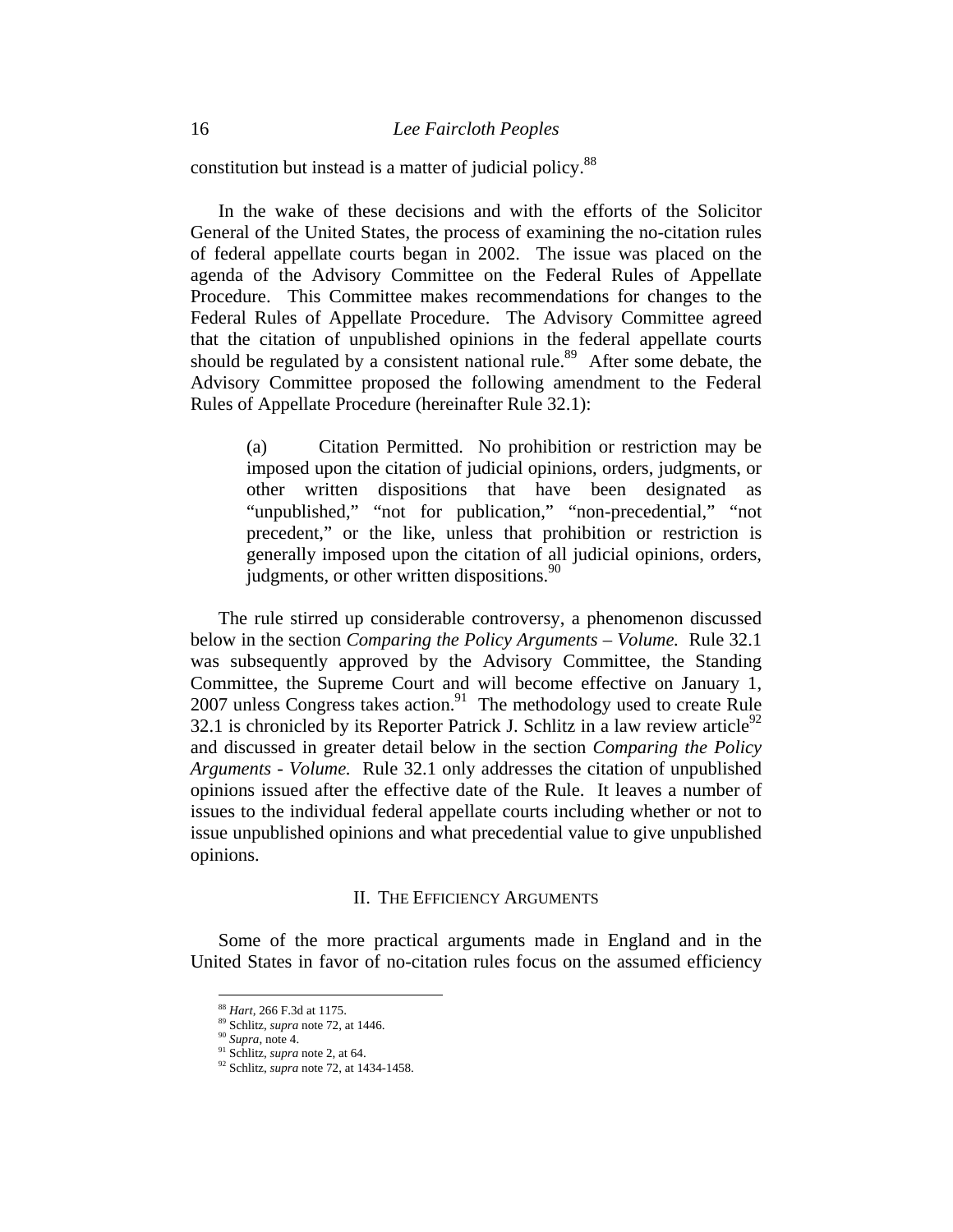constitution but instead is a matter of judicial policy.<sup>88</sup>

In the wake of these decisions and with the efforts of the Solicitor General of the United States, the process of examining the no-citation rules of federal appellate courts began in 2002. The issue was placed on the agenda of the Advisory Committee on the Federal Rules of Appellate Procedure. This Committee makes recommendations for changes to the Federal Rules of Appellate Procedure. The Advisory Committee agreed that the citation of unpublished opinions in the federal appellate courts should be regulated by a consistent national rule.<sup>89</sup> After some debate, the Advisory Committee proposed the following amendment to the Federal Rules of Appellate Procedure (hereinafter Rule 32.1):

(a) Citation Permitted. No prohibition or restriction may be imposed upon the citation of judicial opinions, orders, judgments, or other written dispositions that have been designated as "unpublished," "not for publication," "non-precedential," "not precedent," or the like, unless that prohibition or restriction is generally imposed upon the citation of all judicial opinions, orders, judgments, or other written dispositions.<sup>90</sup>

The rule stirred up considerable controversy, a phenomenon discussed below in the section *Comparing the Policy Arguments – Volume.* Rule 32.1 was subsequently approved by the Advisory Committee, the Standing Committee, the Supreme Court and will become effective on January 1,  $2007$  unless Congress takes action.<sup>91</sup> The methodology used to create Rule 32.1 is chronicled by its Reporter Patrick J. Schlitz in a law review article<sup>92</sup> and discussed in greater detail below in the section *Comparing the Policy Arguments - Volume.* Rule 32.1 only addresses the citation of unpublished opinions issued after the effective date of the Rule. It leaves a number of issues to the individual federal appellate courts including whether or not to issue unpublished opinions and what precedential value to give unpublished opinions.

### II. THE EFFICIENCY ARGUMENTS

Some of the more practical arguments made in England and in the United States in favor of no-citation rules focus on the assumed efficiency

<sup>&</sup>lt;sup>88</sup> Hart, 266 F.3d at 1175.

<sup>88</sup> *Hart,* 266 F.3d at 1175. 89 Schlitz, *supra* note 72, at 1446. 90 *Supra*, note 4. 91 Schlitz, *supra* note 2, at 64.

<sup>92</sup> Schlitz, *supra* note 72, at 1434-1458.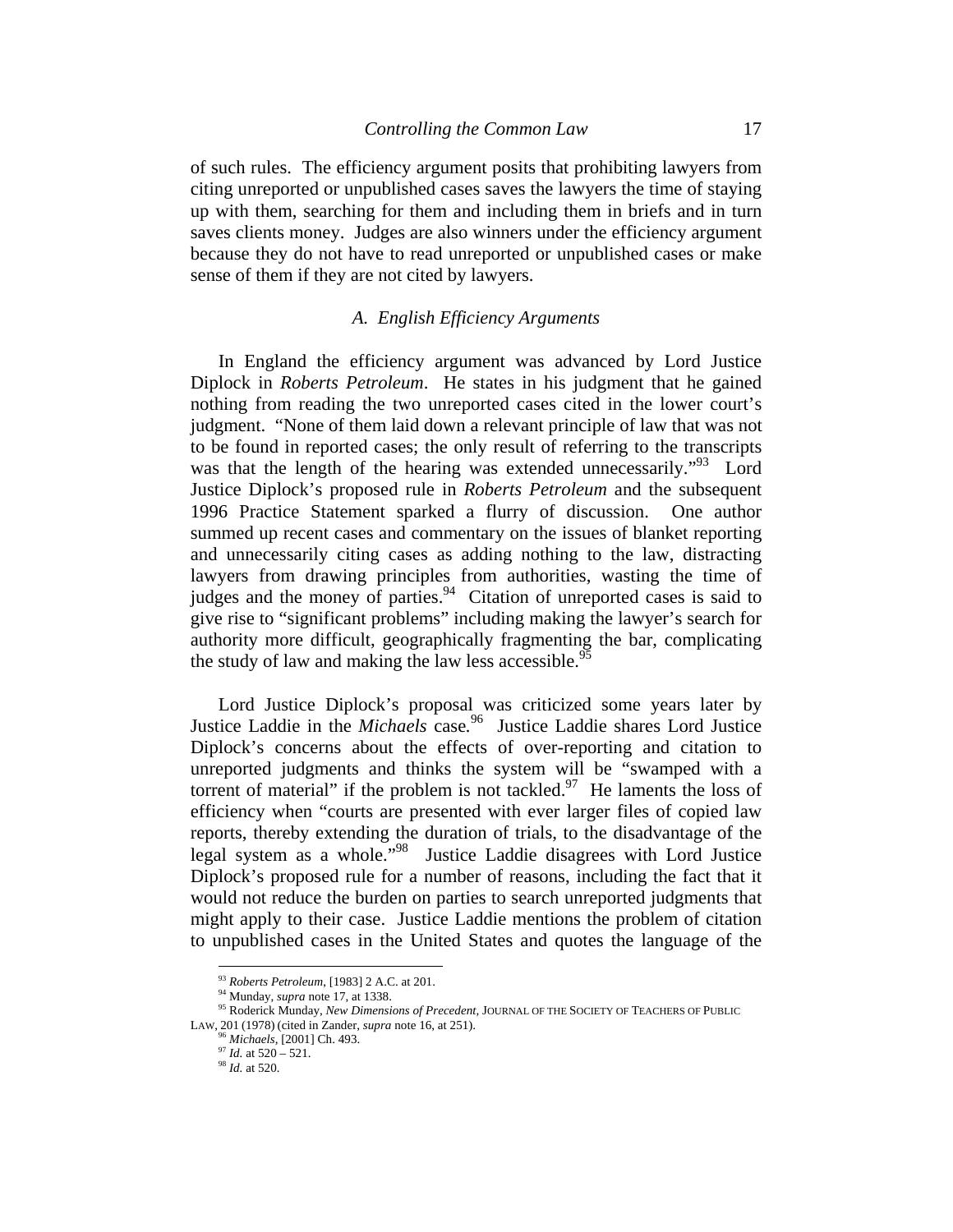of such rules. The efficiency argument posits that prohibiting lawyers from citing unreported or unpublished cases saves the lawyers the time of staying up with them, searching for them and including them in briefs and in turn saves clients money. Judges are also winners under the efficiency argument because they do not have to read unreported or unpublished cases or make sense of them if they are not cited by lawyers.

### *A. English Efficiency Arguments*

In England the efficiency argument was advanced by Lord Justice Diplock in *Roberts Petroleum*. He states in his judgment that he gained nothing from reading the two unreported cases cited in the lower court's judgment. "None of them laid down a relevant principle of law that was not to be found in reported cases; the only result of referring to the transcripts was that the length of the hearing was extended unnecessarily.<sup>"93</sup> Lord Justice Diplock's proposed rule in *Roberts Petroleum* and the subsequent 1996 Practice Statement sparked a flurry of discussion. One author summed up recent cases and commentary on the issues of blanket reporting and unnecessarily citing cases as adding nothing to the law, distracting lawyers from drawing principles from authorities, wasting the time of judges and the money of parties.<sup>94</sup> Citation of unreported cases is said to give rise to "significant problems" including making the lawyer's search for authority more difficult, geographically fragmenting the bar, complicating the study of law and making the law less accessible.<sup>95</sup>

Lord Justice Diplock's proposal was criticized some years later by Justice Laddie in the *Michaels* case*.* <sup>96</sup>Justice Laddie shares Lord Justice Diplock's concerns about the effects of over-reporting and citation to unreported judgments and thinks the system will be "swamped with a torrent of material" if the problem is not tackled. $97$  He laments the loss of efficiency when "courts are presented with ever larger files of copied law reports, thereby extending the duration of trials, to the disadvantage of the legal system as a whole."98 Justice Laddie disagrees with Lord Justice Diplock's proposed rule for a number of reasons, including the fact that it would not reduce the burden on parties to search unreported judgments that might apply to their case. Justice Laddie mentions the problem of citation to unpublished cases in the United States and quotes the language of the

<sup>93</sup> *Roberts Petroleum*, [1983] 2 A.C. at 201.

<sup>&</sup>lt;sup>94</sup> Munday, *supra* note 17, at 1338.<br><sup>95</sup> Roderick Munday, *New Dimensions of Precedent*, JOURNAL OF THE SOCIETY OF TEACHERS OF PUBLIC LAW, <sup>201</sup> (1978) (cited in Zander, *supra* note 16, at 251). 96 *Michaels,* [2001] Ch. 493. 97 *Id.* at 520 – 521. 98 *Id.* at 520.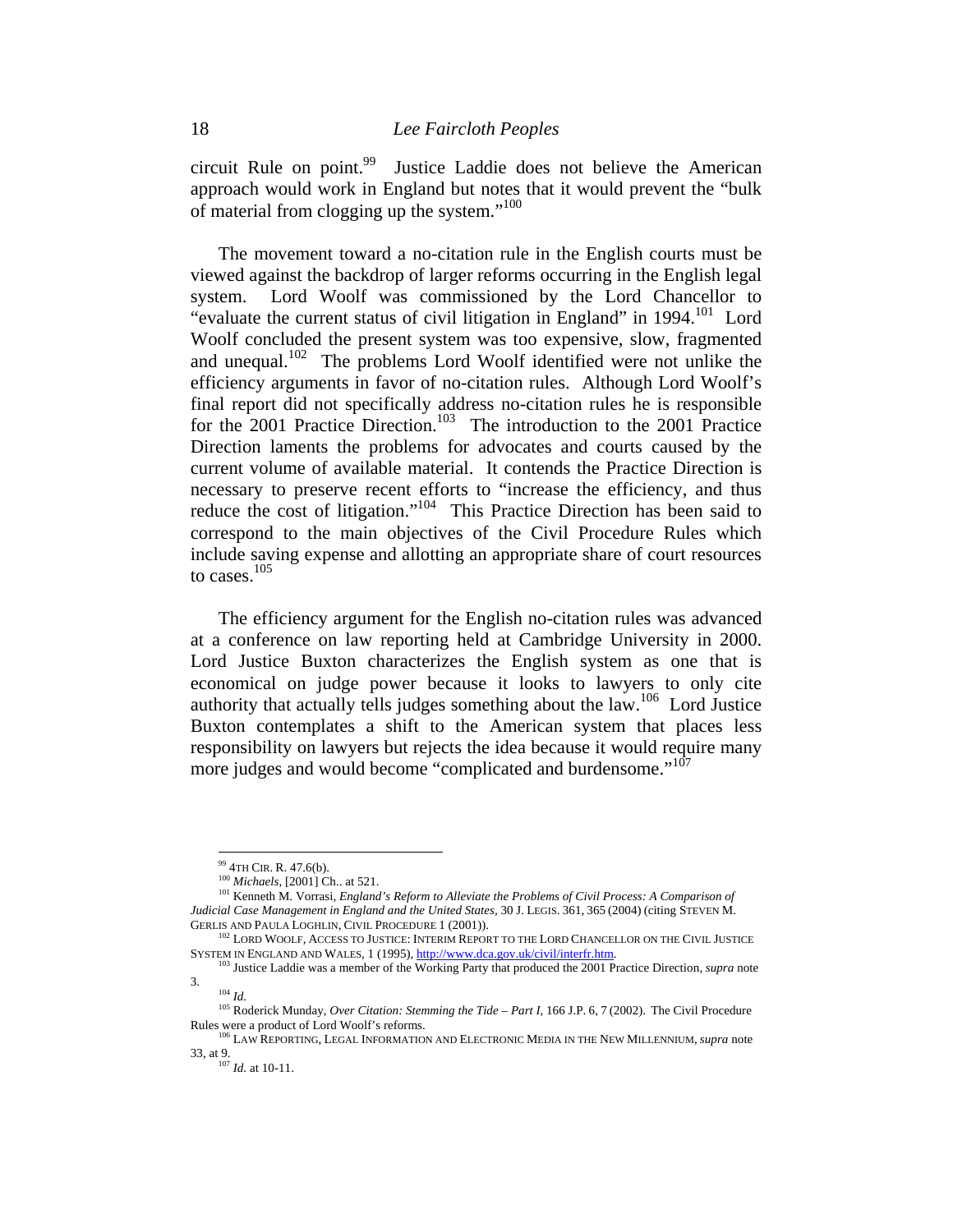circuit Rule on point.<sup>99</sup> Justice Laddie does not believe the American approach would work in England but notes that it would prevent the "bulk of material from clogging up the system."<sup>100</sup>

The movement toward a no-citation rule in the English courts must be viewed against the backdrop of larger reforms occurring in the English legal system. Lord Woolf was commissioned by the Lord Chancellor to "evaluate the current status of civil litigation in England" in  $1994$ <sup>101</sup> Lord Woolf concluded the present system was too expensive, slow, fragmented and unequal.<sup>102</sup> The problems Lord Woolf identified were not unlike the efficiency arguments in favor of no-citation rules. Although Lord Woolf's final report did not specifically address no-citation rules he is responsible for the 2001 Practice Direction.<sup>103</sup> The introduction to the 2001 Practice Direction laments the problems for advocates and courts caused by the current volume of available material. It contends the Practice Direction is necessary to preserve recent efforts to "increase the efficiency, and thus reduce the cost of litigation."<sup>104</sup> This Practice Direction has been said to correspond to the main objectives of the Civil Procedure Rules which include saving expense and allotting an appropriate share of court resources to cases.<sup>105</sup>

The efficiency argument for the English no-citation rules was advanced at a conference on law reporting held at Cambridge University in 2000. Lord Justice Buxton characterizes the English system as one that is economical on judge power because it looks to lawyers to only cite authority that actually tells judges something about the law.106 Lord Justice Buxton contemplates a shift to the American system that places less responsibility on lawyers but rejects the idea because it would require many more judges and would become "complicated and burdensome."<sup>107</sup>

<sup>&</sup>lt;sup>99</sup> 4TH CIR. R. 47.6(b).<br><sup>100</sup> *Michaels*, [2001] Ch.. at 521.<br><sup>101</sup> Kenneth M. Vorrasi, *England's Reform to Alleviate the Problems of Civil Process: A Comparison of Judicial Case Management in England and the United States,* 30 J. LEGIS. 361, 365 (2004) (citing STEVEN M.

<sup>&</sup>lt;sup>102</sup> LORD WOOLF, ACCESS TO JUSTICE: INTERIM REPORT TO THE LORD CHANCELLOR ON THE CIVIL JUSTICE

SYSTEM IN ENGLAND AND WALES, 1 (1995), http://www.dca.gov.uk/civil/interfr.htm. 103 Justice Laddie was a member of the Working Party that produced the 2001 Practice Direction, *supra* note  $^{104}\,$   $ld.$ 

<sup>105</sup> Roderick Munday, *Over Citation: Stemming the Tide – Part I*, 166 J.P. 6, 7 (2002). The Civil Procedure

Rules were a product of Lord Woolf's reforms. 106 LAW REPORTING, LEGAL INFORMATION AND ELECTRONIC MEDIA IN THE NEW MILLENNIUM, *supra* note 33, at 9. 107 *Id.* at 10-11.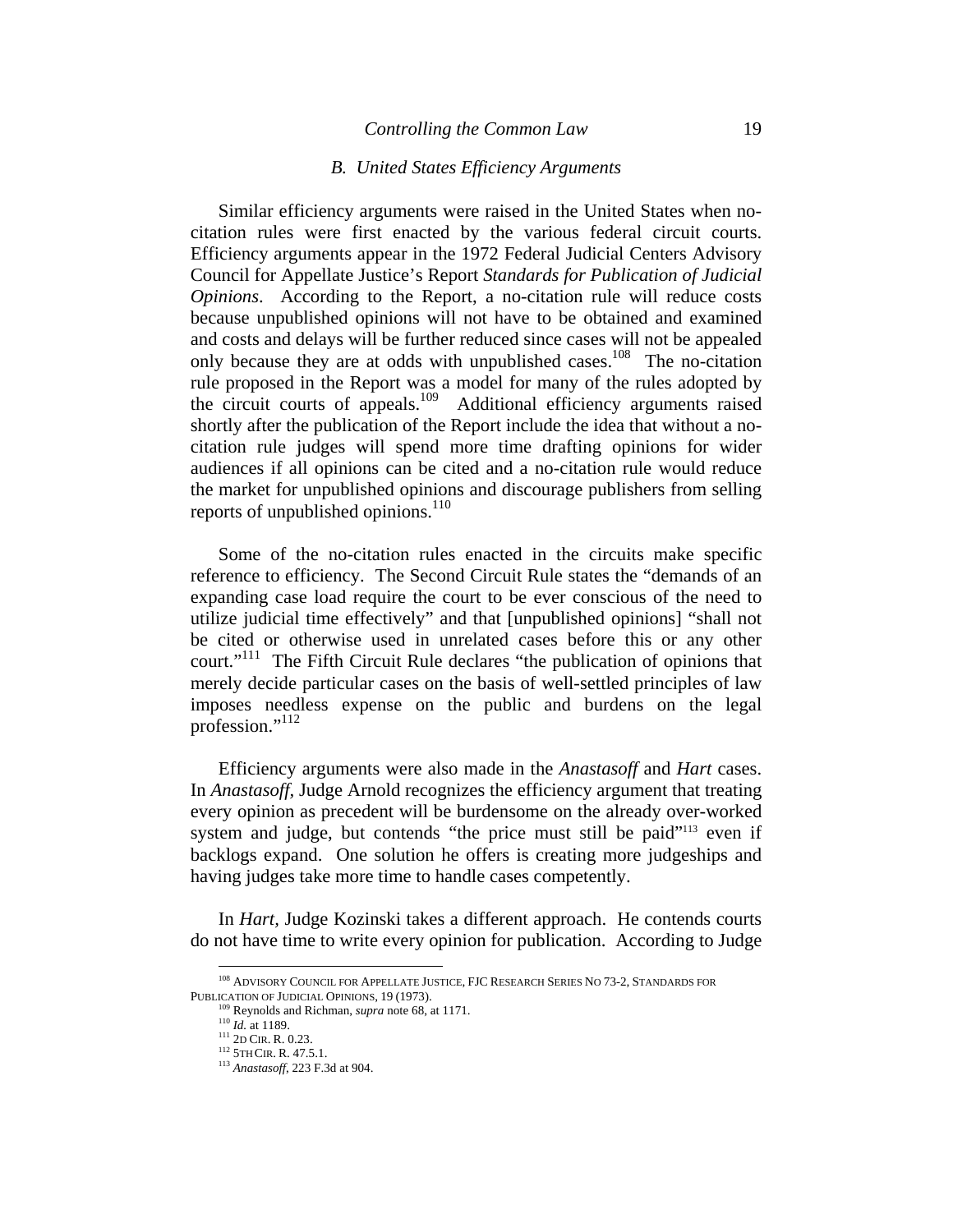#### *Controlling the Common Law* 19

#### *B. United States Efficiency Arguments*

Similar efficiency arguments were raised in the United States when nocitation rules were first enacted by the various federal circuit courts. Efficiency arguments appear in the 1972 Federal Judicial Centers Advisory Council for Appellate Justice's Report *Standards for Publication of Judicial Opinions*. According to the Report, a no-citation rule will reduce costs because unpublished opinions will not have to be obtained and examined and costs and delays will be further reduced since cases will not be appealed only because they are at odds with unpublished cases.<sup>108</sup> The no-citation rule proposed in the Report was a model for many of the rules adopted by the circuit courts of appeals.109 Additional efficiency arguments raised shortly after the publication of the Report include the idea that without a nocitation rule judges will spend more time drafting opinions for wider audiences if all opinions can be cited and a no-citation rule would reduce the market for unpublished opinions and discourage publishers from selling reports of unpublished opinions.<sup>110</sup>

Some of the no-citation rules enacted in the circuits make specific reference to efficiency. The Second Circuit Rule states the "demands of an expanding case load require the court to be ever conscious of the need to utilize judicial time effectively" and that [unpublished opinions] "shall not be cited or otherwise used in unrelated cases before this or any other court."<sup>111</sup> The Fifth Circuit Rule declares "the publication of opinions that merely decide particular cases on the basis of well-settled principles of law imposes needless expense on the public and burdens on the legal profession."<sup>112</sup>

Efficiency arguments were also made in the *Anastasoff* and *Hart* cases. In *Anastasoff,* Judge Arnold recognizes the efficiency argument that treating every opinion as precedent will be burdensome on the already over-worked system and judge, but contends "the price must still be paid"<sup>113</sup> even if backlogs expand. One solution he offers is creating more judgeships and having judges take more time to handle cases competently.

In *Hart,* Judge Kozinski takes a different approach. He contends courts do not have time to write every opinion for publication. According to Judge

<sup>108</sup> ADVISORY COUNCIL FOR APPELLATE JUSTICE, FJC RESEARCH SERIES NO 73-2, STANDARDS FOR PUBLICATION OF JUDICIAL OPINIONS, 19 (1973).<br><sup>109</sup> Reynolds and Richman, *supra* note 68, at 1171.<br><sup>110</sup> *Id.* at 1189.<br><sup>111</sup> 2D CIR. R. 0.23.<br><sup>112</sup> 5TH CIR. R. 47.5.1.

<sup>&</sup>lt;sup>113</sup> *Anastasoff*, 223 F.3d at 904.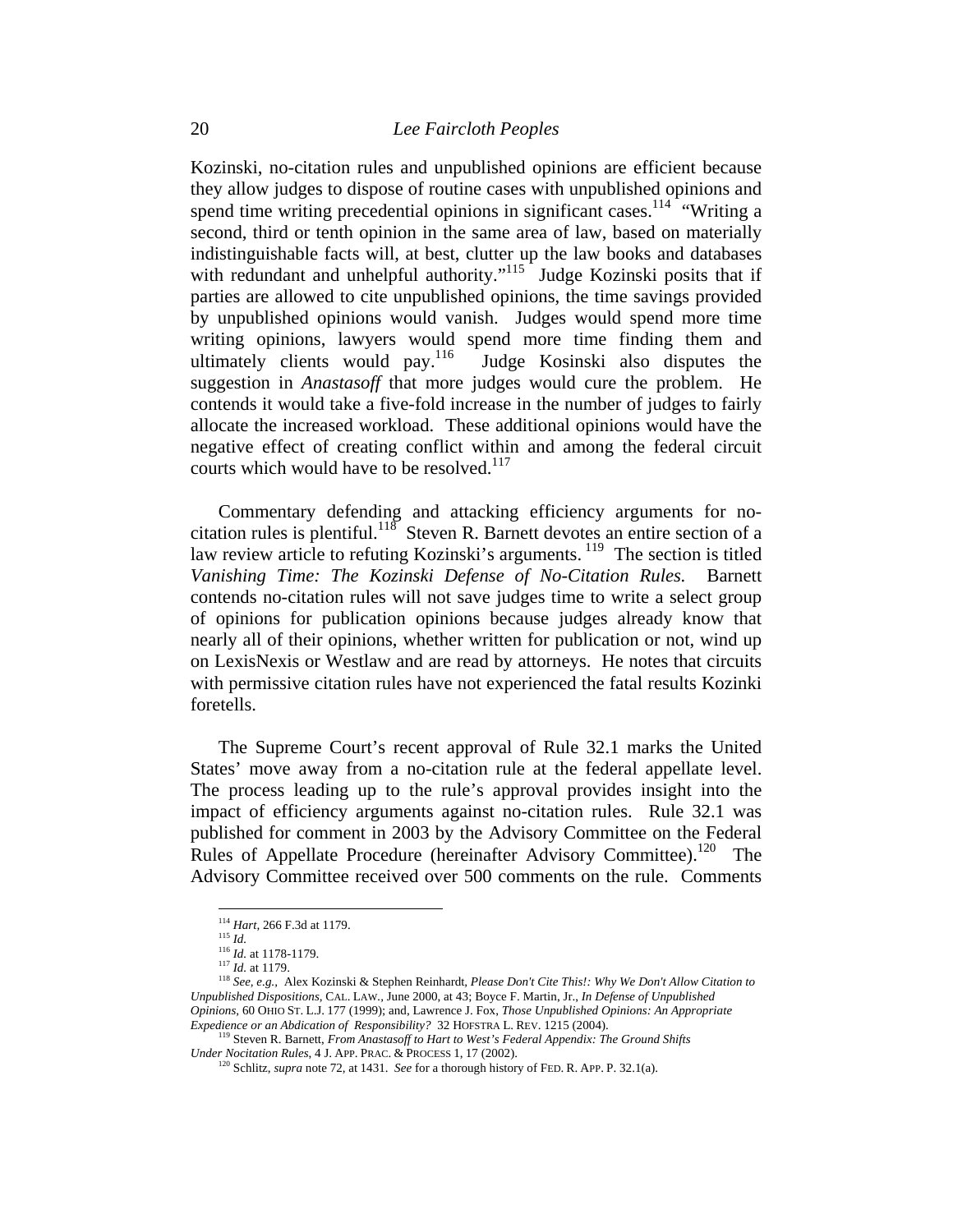Kozinski, no-citation rules and unpublished opinions are efficient because they allow judges to dispose of routine cases with unpublished opinions and spend time writing precedential opinions in significant cases.<sup>114</sup> "Writing a second, third or tenth opinion in the same area of law, based on materially indistinguishable facts will, at best, clutter up the law books and databases with redundant and unhelpful authority."<sup>115</sup> Judge Kozinski posits that if parties are allowed to cite unpublished opinions, the time savings provided by unpublished opinions would vanish. Judges would spend more time writing opinions, lawyers would spend more time finding them and ultimately clients would pay.<sup>116</sup> Judge Kosinski also disputes the suggestion in *Anastasoff* that more judges would cure the problem. He contends it would take a five-fold increase in the number of judges to fairly allocate the increased workload. These additional opinions would have the negative effect of creating conflict within and among the federal circuit courts which would have to be resolved.<sup>117</sup>

Commentary defending and attacking efficiency arguments for nocitation rules is plentiful.<sup>118</sup> Steven R. Barnett devotes an entire section of a law review article to refuting Kozinski's arguments. <sup>119</sup> The section is titled *Vanishing Time: The Kozinski Defense of No-Citation Rules.* Barnett contends no-citation rules will not save judges time to write a select group of opinions for publication opinions because judges already know that nearly all of their opinions, whether written for publication or not, wind up on LexisNexis or Westlaw and are read by attorneys. He notes that circuits with permissive citation rules have not experienced the fatal results Kozinki foretells.

The Supreme Court's recent approval of Rule 32.1 marks the United States' move away from a no-citation rule at the federal appellate level. The process leading up to the rule's approval provides insight into the impact of efficiency arguments against no-citation rules. Rule 32.1 was published for comment in 2003 by the Advisory Committee on the Federal Rules of Appellate Procedure (hereinafter Advisory Committee).<sup>120</sup> The Advisory Committee received over 500 comments on the rule. Comments

<sup>&</sup>lt;sup>114</sup> *Hart*, 266 F.3d at 1179.<br><sup>115</sup> *Id.* 

<sup>116</sup> *Id.*<br><sup>116</sup> *Id.* at 1178-1179.<br><sup>117</sup> *Id.* at 1179.<br><sup>117</sup> *Id.* at 1179.<br><sup>118</sup> *See, e.g.*, Alex Kozinski & Stephen Reinhardt, *Please Don't Cite This!: Why We Don't Allow Citation to Unpublished Dispositions,* CAL. LAW*.,* June 2000, at 43; Boyce F. Martin, Jr., *In Defense of Unpublished Opinions,* 60 OHIO ST. L.J. 177 (1999); and, Lawrence J. Fox, *Those Unpublished Opinions: An Appropriate* 

<sup>&</sup>lt;sup>119</sup> Steven R. Barnett, *From Anastasoff to Hart to West's Federal Appendix: The Ground Shifts Under Nocitation Rules, 4 J. APP. PRAC. & PROCESS 1, 17 (2002).* 

<sup>&</sup>lt;sup>1</sup> Schlitz, *supra* note 72, at 1431. *See* for a thorough history of FED. R. APP. P. 32.1(a).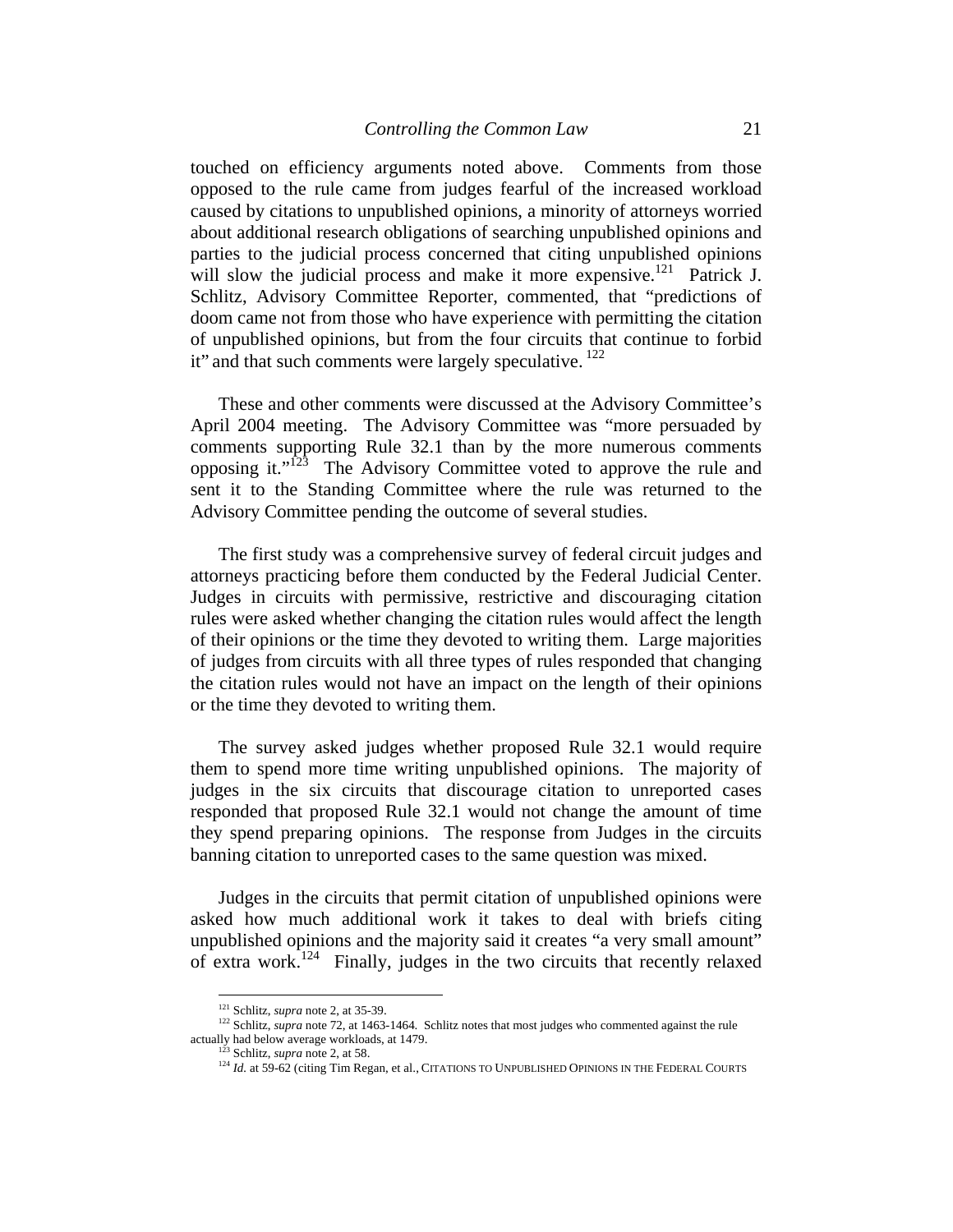touched on efficiency arguments noted above. Comments from those opposed to the rule came from judges fearful of the increased workload caused by citations to unpublished opinions, a minority of attorneys worried about additional research obligations of searching unpublished opinions and parties to the judicial process concerned that citing unpublished opinions will slow the judicial process and make it more expensive.<sup>121</sup> Patrick J. Schlitz, Advisory Committee Reporter, commented, that "predictions of doom came not from those who have experience with permitting the citation of unpublished opinions, but from the four circuits that continue to forbid it" and that such comments were largely speculative. <sup>122</sup>

These and other comments were discussed at the Advisory Committee's April 2004 meeting. The Advisory Committee was "more persuaded by comments supporting Rule 32.1 than by the more numerous comments opposing it."123 The Advisory Committee voted to approve the rule and sent it to the Standing Committee where the rule was returned to the Advisory Committee pending the outcome of several studies.

The first study was a comprehensive survey of federal circuit judges and attorneys practicing before them conducted by the Federal Judicial Center. Judges in circuits with permissive, restrictive and discouraging citation rules were asked whether changing the citation rules would affect the length of their opinions or the time they devoted to writing them. Large majorities of judges from circuits with all three types of rules responded that changing the citation rules would not have an impact on the length of their opinions or the time they devoted to writing them.

The survey asked judges whether proposed Rule 32.1 would require them to spend more time writing unpublished opinions. The majority of judges in the six circuits that discourage citation to unreported cases responded that proposed Rule 32.1 would not change the amount of time they spend preparing opinions. The response from Judges in the circuits banning citation to unreported cases to the same question was mixed.

Judges in the circuits that permit citation of unpublished opinions were asked how much additional work it takes to deal with briefs citing unpublished opinions and the majority said it creates "a very small amount" of extra work.124 Finally, judges in the two circuits that recently relaxed

<sup>&</sup>lt;sup>121</sup> Schlitz, *supra* note 2, at 35-39.

<sup>&</sup>lt;sup>122</sup> Schlitz, *supra* note 72, at 1463-1464. Schlitz notes that most judges who commented against the rule actually had below average workloads, at 1479.

<sup>&</sup>lt;sup>123</sup> Schlitz, *supra* note 2, at 58. 124 *Id.* 123 Schlitz, *aupra note 2*, at 58. 124 *Id.* at 59-62 (citing Tim Regan, et al., CITATIONS TO UNPUBLISHED OPINIONS IN THE FEDERAL COURTS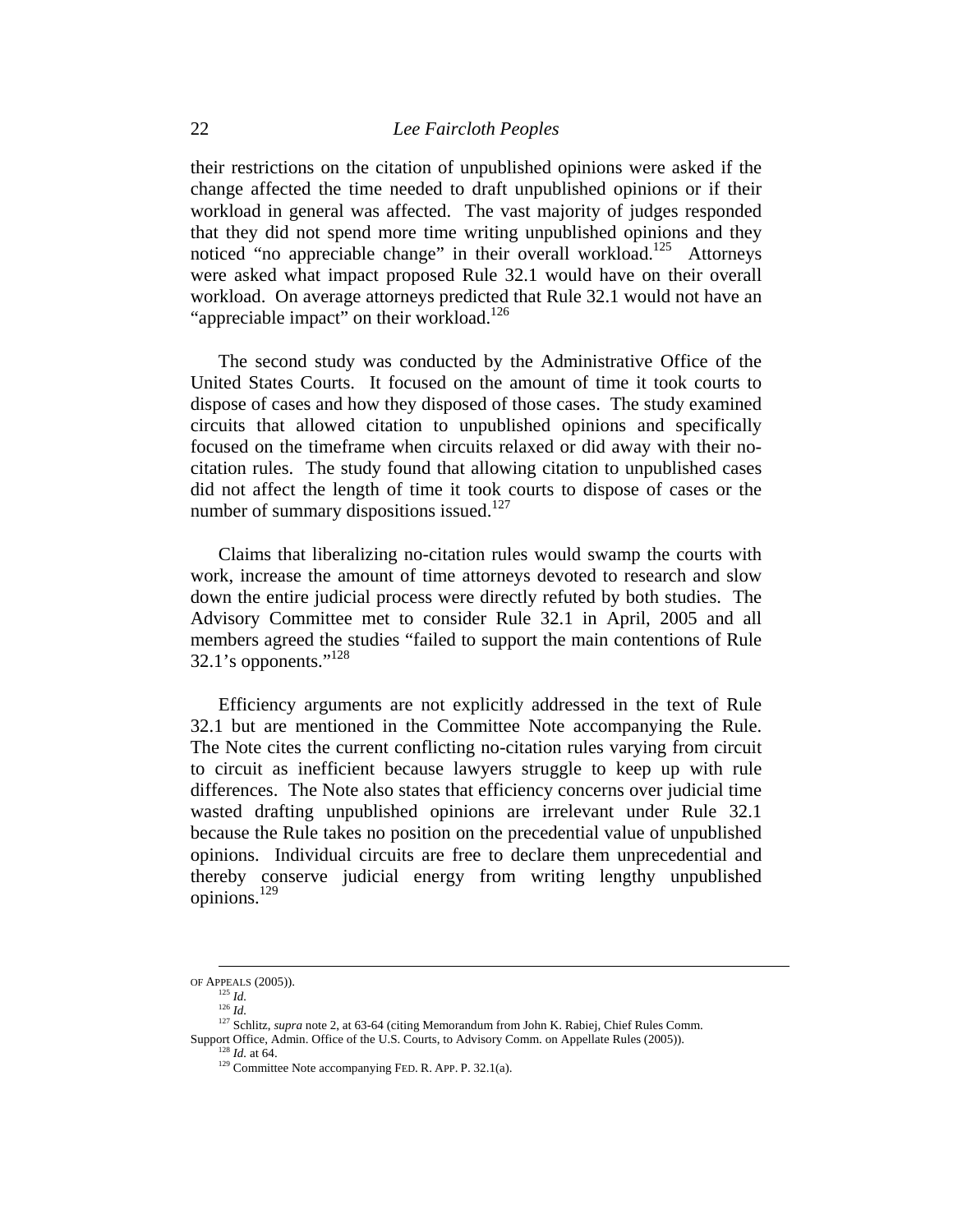their restrictions on the citation of unpublished opinions were asked if the change affected the time needed to draft unpublished opinions or if their workload in general was affected. The vast majority of judges responded that they did not spend more time writing unpublished opinions and they noticed "no appreciable change" in their overall workload.<sup>125</sup> Attorneys were asked what impact proposed Rule 32.1 would have on their overall workload. On average attorneys predicted that Rule 32.1 would not have an "appreciable impact" on their workload.<sup>126</sup>

The second study was conducted by the Administrative Office of the United States Courts. It focused on the amount of time it took courts to dispose of cases and how they disposed of those cases. The study examined circuits that allowed citation to unpublished opinions and specifically focused on the timeframe when circuits relaxed or did away with their nocitation rules. The study found that allowing citation to unpublished cases did not affect the length of time it took courts to dispose of cases or the number of summary dispositions issued.<sup>127</sup>

Claims that liberalizing no-citation rules would swamp the courts with work, increase the amount of time attorneys devoted to research and slow down the entire judicial process were directly refuted by both studies. The Advisory Committee met to consider Rule 32.1 in April, 2005 and all members agreed the studies "failed to support the main contentions of Rule  $32.1$ 's opponents."<sup>128</sup>

Efficiency arguments are not explicitly addressed in the text of Rule 32.1 but are mentioned in the Committee Note accompanying the Rule. The Note cites the current conflicting no-citation rules varying from circuit to circuit as inefficient because lawyers struggle to keep up with rule differences. The Note also states that efficiency concerns over judicial time wasted drafting unpublished opinions are irrelevant under Rule 32.1 because the Rule takes no position on the precedential value of unpublished opinions. Individual circuits are free to declare them unprecedential and thereby conserve judicial energy from writing lengthy unpublished opinions.129

OF APPEALS (2005)). 125 *Id.*<sup>126</sup> *Id.* 

<sup>&</sup>lt;sup>127</sup> Schlitz, *supra* note 2, at 63-64 (citing Memorandum from John K. Rabiej, Chief Rules Comm.<br>Support Office, Admin. Office of the U.S. Courts, to Advisory Comm. on Appellate Rules (2005)).

<sup>&</sup>lt;sup>128</sup> *Id.* at 64. Committee Note accompanying FED. R. APP. P. 32.1(a).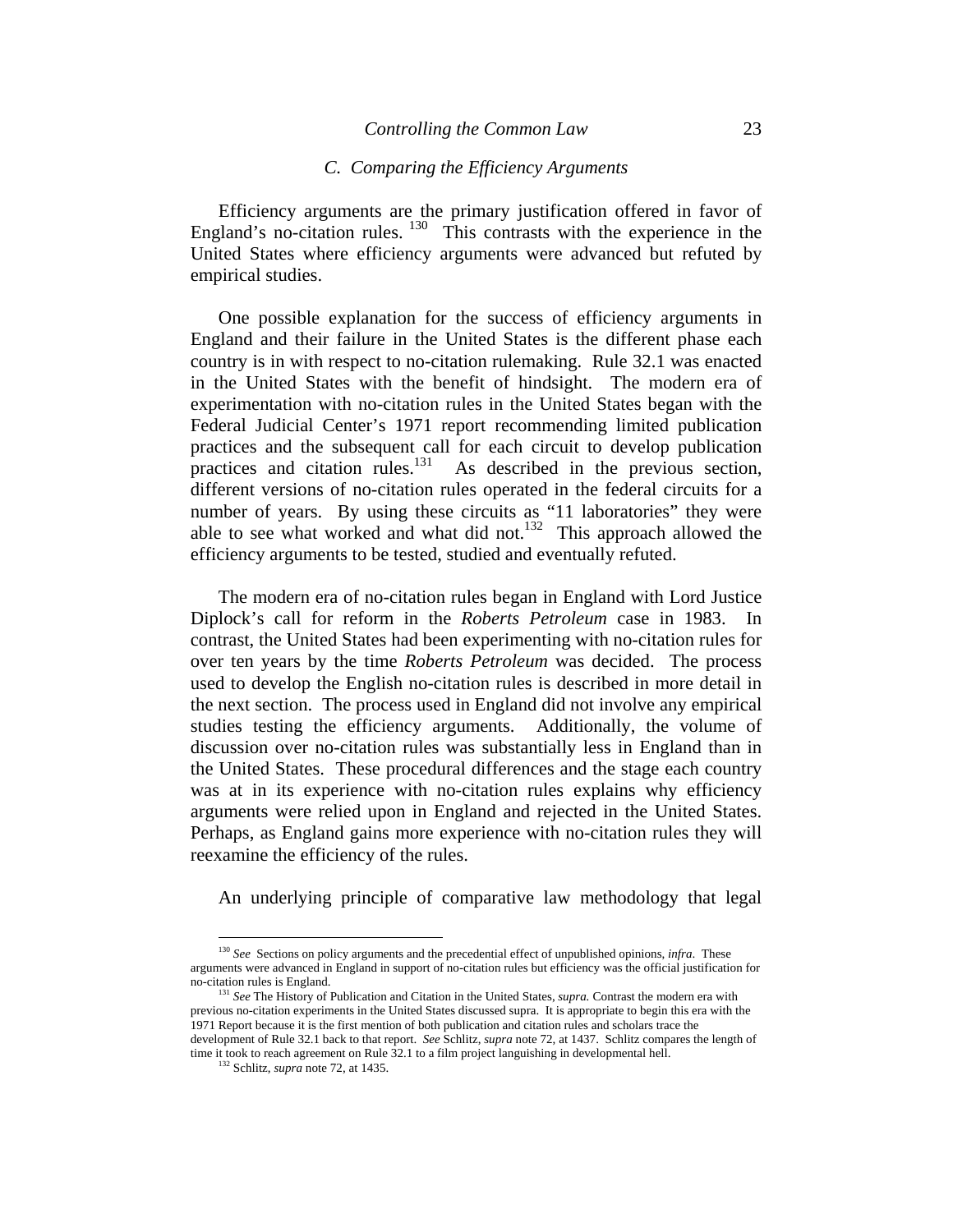### *C. Comparing the Efficiency Arguments*

Efficiency arguments are the primary justification offered in favor of England's no-citation rules.  $130$  This contrasts with the experience in the United States where efficiency arguments were advanced but refuted by empirical studies.

One possible explanation for the success of efficiency arguments in England and their failure in the United States is the different phase each country is in with respect to no-citation rulemaking. Rule 32.1 was enacted in the United States with the benefit of hindsight. The modern era of experimentation with no-citation rules in the United States began with the Federal Judicial Center's 1971 report recommending limited publication practices and the subsequent call for each circuit to develop publication practices and citation rules. $^{131}$  As described in the previous section, different versions of no-citation rules operated in the federal circuits for a number of years. By using these circuits as "11 laboratories" they were able to see what worked and what did not.<sup>132</sup> This approach allowed the efficiency arguments to be tested, studied and eventually refuted.

The modern era of no-citation rules began in England with Lord Justice Diplock's call for reform in the *Roberts Petroleum* case in 1983. In contrast, the United States had been experimenting with no-citation rules for over ten years by the time *Roberts Petroleum* was decided. The process used to develop the English no-citation rules is described in more detail in the next section. The process used in England did not involve any empirical studies testing the efficiency arguments. Additionally, the volume of discussion over no-citation rules was substantially less in England than in the United States. These procedural differences and the stage each country was at in its experience with no-citation rules explains why efficiency arguments were relied upon in England and rejected in the United States. Perhaps, as England gains more experience with no-citation rules they will reexamine the efficiency of the rules.

An underlying principle of comparative law methodology that legal

<sup>130</sup> *See* Sections on policy arguments and the precedential effect of unpublished opinions, *infra*. These arguments were advanced in England in support of no-citation rules but efficiency was the official justification for

<sup>&</sup>lt;sup>131</sup> See The History of Publication and Citation in the United States, *supra*. Contrast the modern era with previous no-citation experiments in the United States discussed supra. It is appropriate to begin this era with the 1971 Report because it is the first mention of both publication and citation rules and scholars trace the development of Rule 32.1 back to that report. *See* Schlitz, *supra* note 72, at 1437. Schlitz compares the length of time it took to reach agreement on Rule 32.1 to a film project languishing in developmental hell. 132 Schlitz, *supra* note 72, at 1435.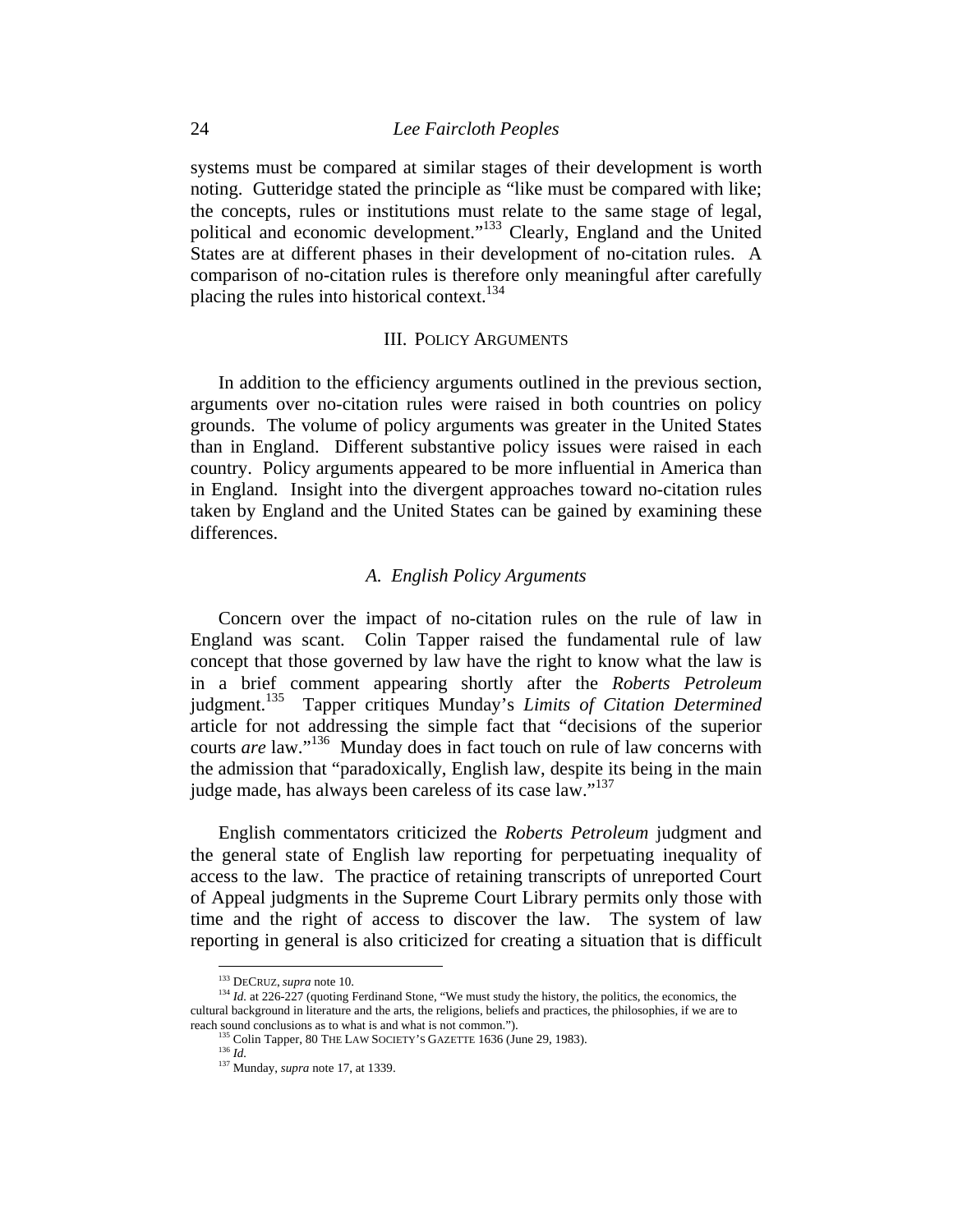systems must be compared at similar stages of their development is worth noting. Gutteridge stated the principle as "like must be compared with like; the concepts, rules or institutions must relate to the same stage of legal, political and economic development."133 Clearly, England and the United States are at different phases in their development of no-citation rules. A comparison of no-citation rules is therefore only meaningful after carefully placing the rules into historical context.<sup>134</sup>

#### III. POLICY ARGUMENTS

In addition to the efficiency arguments outlined in the previous section, arguments over no-citation rules were raised in both countries on policy grounds. The volume of policy arguments was greater in the United States than in England. Different substantive policy issues were raised in each country. Policy arguments appeared to be more influential in America than in England. Insight into the divergent approaches toward no-citation rules taken by England and the United States can be gained by examining these differences.

### *A. English Policy Arguments*

Concern over the impact of no-citation rules on the rule of law in England was scant. Colin Tapper raised the fundamental rule of law concept that those governed by law have the right to know what the law is in a brief comment appearing shortly after the *Roberts Petroleum*  judgment.135 Tapper critiques Munday's *Limits of Citation Determined*  article for not addressing the simple fact that "decisions of the superior courts *are* law."136 Munday does in fact touch on rule of law concerns with the admission that "paradoxically, English law, despite its being in the main judge made, has always been careless of its case law."<sup>137</sup>

English commentators criticized the *Roberts Petroleum* judgment and the general state of English law reporting for perpetuating inequality of access to the law. The practice of retaining transcripts of unreported Court of Appeal judgments in the Supreme Court Library permits only those with time and the right of access to discover the law. The system of law reporting in general is also criticized for creating a situation that is difficult

<sup>&</sup>lt;sup>133</sup> DECRUZ, *supra* note 10.<br><sup>134</sup> *Id.* at 226-227 (quoting Ferdinand Stone, "We must study the history, the politics, the economics, the cultural background in literature and the arts, the religions, beliefs and practices, the philosophies, if we are to reach sound conclusions as to what is and what is not common."). <sup>135</sup> Colin Tapper, 80 THE LAW SOCIETY'S GAZETTE 1636 (June 29, 1983). <sup>136</sup> *Id* 

<sup>137</sup> Munday, *supra* note 17, at 1339.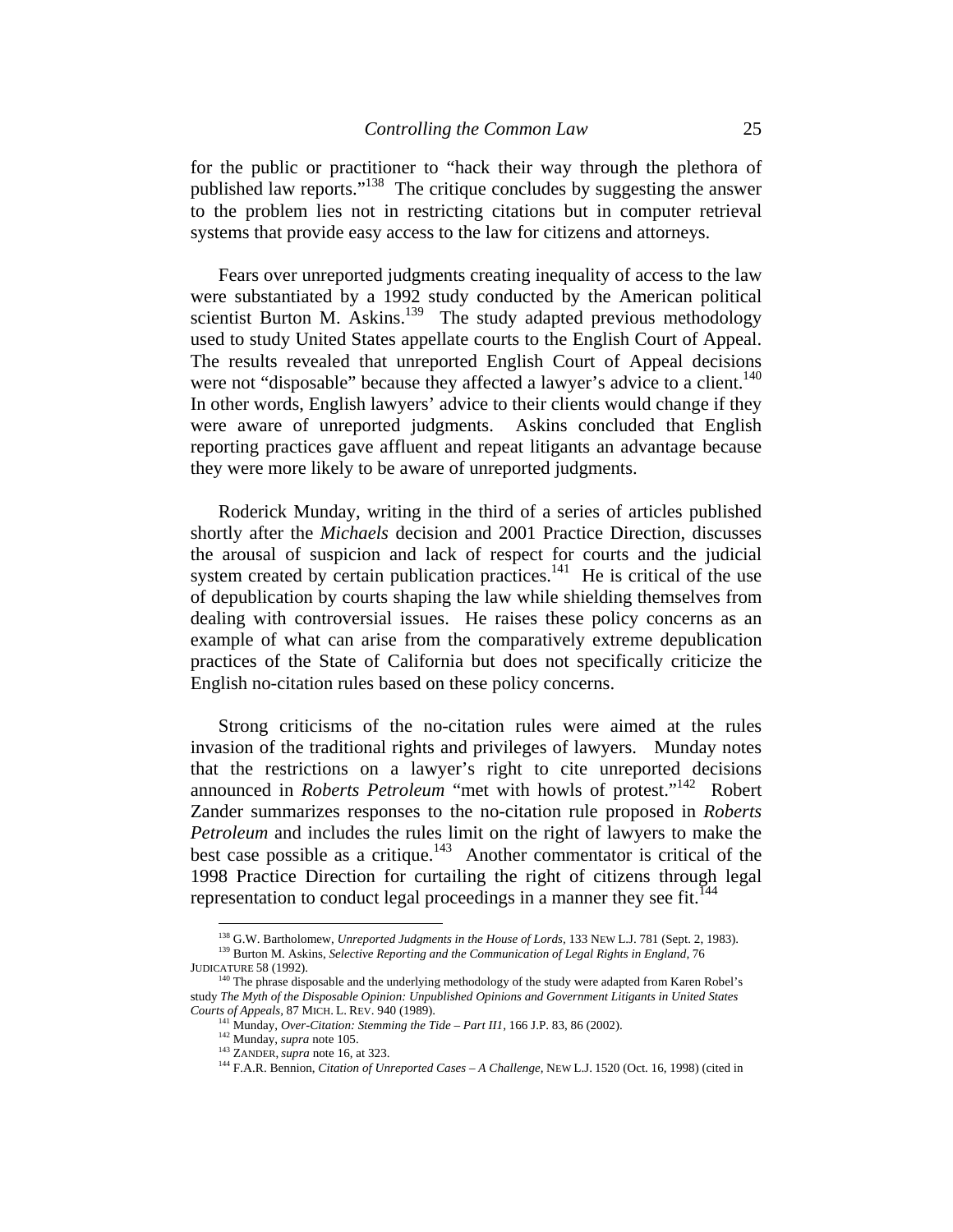for the public or practitioner to "hack their way through the plethora of published law reports."138 The critique concludes by suggesting the answer to the problem lies not in restricting citations but in computer retrieval systems that provide easy access to the law for citizens and attorneys.

Fears over unreported judgments creating inequality of access to the law were substantiated by a 1992 study conducted by the American political scientist Burton M. Askins. $139$  The study adapted previous methodology used to study United States appellate courts to the English Court of Appeal. The results revealed that unreported English Court of Appeal decisions were not "disposable" because they affected a lawyer's advice to a client.<sup>140</sup> In other words, English lawyers' advice to their clients would change if they were aware of unreported judgments. Askins concluded that English reporting practices gave affluent and repeat litigants an advantage because they were more likely to be aware of unreported judgments.

Roderick Munday, writing in the third of a series of articles published shortly after the *Michaels* decision and 2001 Practice Direction, discusses the arousal of suspicion and lack of respect for courts and the judicial system created by certain publication practices.<sup>141</sup> He is critical of the use of depublication by courts shaping the law while shielding themselves from dealing with controversial issues. He raises these policy concerns as an example of what can arise from the comparatively extreme depublication practices of the State of California but does not specifically criticize the English no-citation rules based on these policy concerns.

Strong criticisms of the no-citation rules were aimed at the rules invasion of the traditional rights and privileges of lawyers. Munday notes that the restrictions on a lawyer's right to cite unreported decisions announced in *Roberts Petroleum* "met with howls of protest."142 Robert Zander summarizes responses to the no-citation rule proposed in *Roberts Petroleum* and includes the rules limit on the right of lawyers to make the best case possible as a critique.<sup>143</sup> Another commentator is critical of the 1998 Practice Direction for curtailing the right of citizens through legal representation to conduct legal proceedings in a manner they see fit.<sup>144</sup>

<sup>&</sup>lt;sup>138</sup> G.W. Bartholomew, *Unreported Judgments in the House of Lords*, 133 NEW L.J. 781 (Sept. 2, 1983).<br><sup>139</sup> Burton M. Askins, *Selective Reporting and the Communication of Legal Rights in England, 76*<br>JUDICATURE 58 (1992

 $140$  The phrase disposable and the underlying methodology of the study were adapted from Karen Robel's study *The Myth of the Disposable Opinion: Unpublished Opinions and Government Litigants in United States* 

<sup>&</sup>lt;sup>141</sup> Munday, *Over-Citation: Stemming the Tide – Part II1*, 166 J.P. 83, 86 (2002).<br><sup>142</sup> Munday, *supra* note 105.<br><sup>143</sup> ZANDER, *supra* note 16, at 323.<br><sup>143</sup> F.A.R. Bennion, *Citation of Unreported Cases – A Challenge*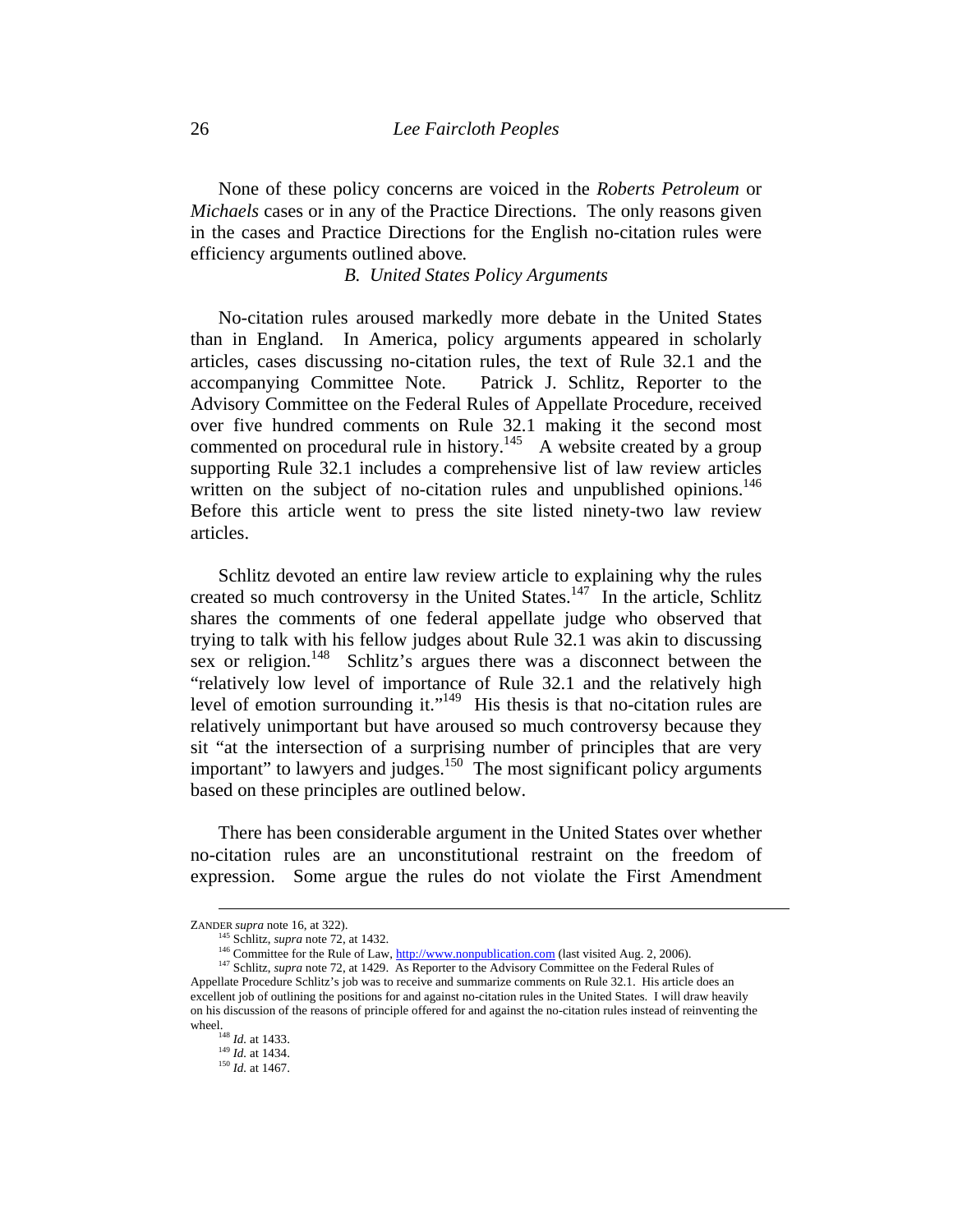None of these policy concerns are voiced in the *Roberts Petroleum* or *Michaels* cases or in any of the Practice Directions. The only reasons given in the cases and Practice Directions for the English no-citation rules were efficiency arguments outlined above*.* 

*B. United States Policy Arguments* 

No-citation rules aroused markedly more debate in the United States than in England. In America, policy arguments appeared in scholarly articles, cases discussing no-citation rules, the text of Rule 32.1 and the accompanying Committee Note. Patrick J. Schlitz, Reporter to the Advisory Committee on the Federal Rules of Appellate Procedure, received over five hundred comments on Rule 32.1 making it the second most commented on procedural rule in history.<sup>145</sup> A website created by a group supporting Rule 32.1 includes a comprehensive list of law review articles written on the subject of no-citation rules and unpublished opinions.<sup>146</sup> Before this article went to press the site listed ninety-two law review articles.

Schlitz devoted an entire law review article to explaining why the rules created so much controversy in the United States.<sup>147</sup> In the article, Schlitz shares the comments of one federal appellate judge who observed that trying to talk with his fellow judges about Rule 32.1 was akin to discussing sex or religion.<sup>148</sup> Schlitz's argues there was a disconnect between the "relatively low level of importance of Rule 32.1 and the relatively high level of emotion surrounding it."149 His thesis is that no-citation rules are relatively unimportant but have aroused so much controversy because they sit "at the intersection of a surprising number of principles that are very important" to lawyers and judges.<sup>150</sup> The most significant policy arguments based on these principles are outlined below.

There has been considerable argument in the United States over whether no-citation rules are an unconstitutional restraint on the freedom of expression. Some argue the rules do not violate the First Amendment

ZANDER *supra* note 16, at 322).<br><sup>145</sup> Schlitz, *supra* note 72, at 1432.<br><sup>146</sup> Committee for the Rule of Law, <u>http://www.nonpublication.com</u> (last visited Aug. 2, 2006).<br><sup>147</sup> Schlitz, *supra* note 72, at 1429. As Repor Appellate Procedure Schlitz's job was to receive and summarize comments on Rule 32.1. His article does an excellent job of outlining the positions for and against no-citation rules in the United States. I will draw heavily on his discussion of the reasons of principle offered for and against the no-citation rules instead of reinventing the wheel.<br><sup>148</sup> *Id.* at 1433.<br><sup>149</sup> *Id.* at 1434.<br><sup>150</sup> *Id.* at 1467.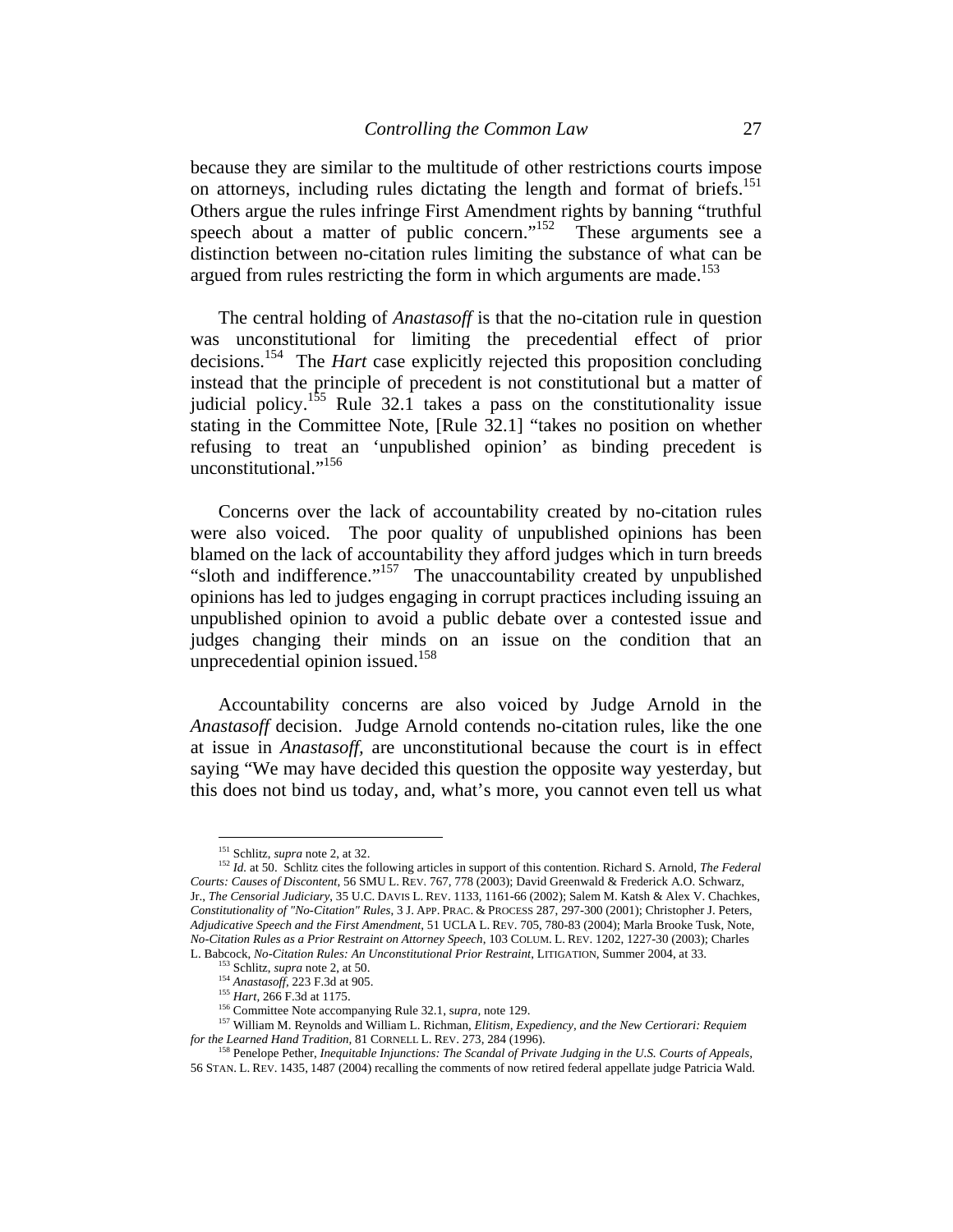because they are similar to the multitude of other restrictions courts impose on attorneys, including rules dictating the length and format of briefs.<sup>151</sup> Others argue the rules infringe First Amendment rights by banning "truthful speech about a matter of public concern." $152$  These arguments see a distinction between no-citation rules limiting the substance of what can be argued from rules restricting the form in which arguments are made.<sup>153</sup>

The central holding of *Anastasoff* is that the no-citation rule in question was unconstitutional for limiting the precedential effect of prior decisions.154 The *Hart* case explicitly rejected this proposition concluding instead that the principle of precedent is not constitutional but a matter of judicial policy.<sup>155</sup> Rule 32.1 takes a pass on the constitutionality issue stating in the Committee Note, [Rule 32.1] "takes no position on whether refusing to treat an 'unpublished opinion' as binding precedent is unconstitutional."<sup>156</sup>

Concerns over the lack of accountability created by no-citation rules were also voiced. The poor quality of unpublished opinions has been blamed on the lack of accountability they afford judges which in turn breeds "sloth and indifference."<sup>157</sup> The unaccountability created by unpublished opinions has led to judges engaging in corrupt practices including issuing an unpublished opinion to avoid a public debate over a contested issue and judges changing their minds on an issue on the condition that an unprecedential opinion issued. $158$ 

Accountability concerns are also voiced by Judge Arnold in the *Anastasoff* decision. Judge Arnold contends no-citation rules, like the one at issue in *Anastasoff,* are unconstitutional because the court is in effect saying "We may have decided this question the opposite way yesterday, but this does not bind us today, and, what's more, you cannot even tell us what

<sup>&</sup>lt;sup>151</sup> Schlitz, *supra* note 2, at 32.

<sup>&</sup>lt;sup>152</sup> Id. at 50. Schlitz cites the following articles in support of this contention. Richard S. Arnold, *The Federal Courts: Causes of Discontent*, 56 SMU L. REV. 767, 778 (2003); David Greenwald & Frederick A.O. Schwarz, Jr., *The Censorial Judiciary*, 35 U.C. DAVIS L. REV. 1133, 1161-66 (2002); Salem M. Katsh & Alex V. Chachkes, *Constitutionality of "No-Citation" Rules*, 3 J. APP. PRAC. & PROCESS 287, 297-300 (2001); Christopher J. Peters, *Adjudicative Speech and the First Amendment*, 51 UCLA L. REV. 705, 780-83 (2004); Marla Brooke Tusk, Note, *No-Citation Rules as a Prior Restraint on Attorney Speech*, 103 COLUM. L. REV. 1202, 1227-30 (2003); Charles

L. Babcock, *No-Citation Rules: An Unconstitutional Prior Restraint*, LITIGATION, Summer 2004, at 33.<br><sup>153</sup> Schlitz, *supra* note 2, at 50.<br><sup>154</sup> *Anastasoff*, 223 F.3d at 905.<br><sup>155</sup> *Hart*, 266 F.3d at 1175.<br><sup>156</sup> Commit

<sup>&</sup>lt;sup>158</sup> Penelope Pether, *Inequitable Injunctions: The Scandal of Private Judging in the U.S. Courts of Appeals,* 56 STAN. L. REV. 1435, 1487 (2004) recalling the comments of now retired federal appellate judge Patricia Wald.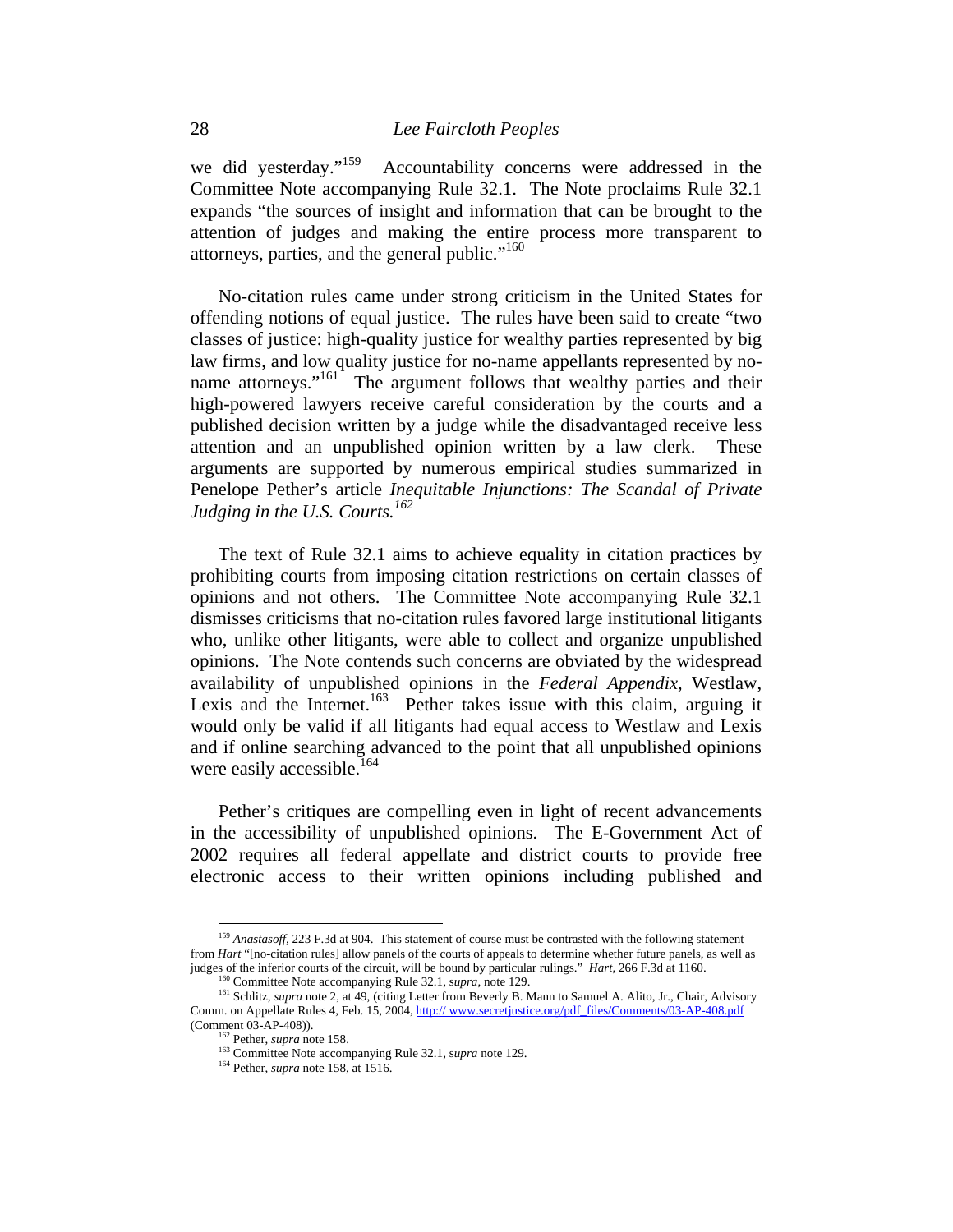we did yesterday."<sup>159</sup> Accountability concerns were addressed in the Committee Note accompanying Rule 32.1. The Note proclaims Rule 32.1 expands "the sources of insight and information that can be brought to the attention of judges and making the entire process more transparent to attorneys, parties, and the general public."160

No-citation rules came under strong criticism in the United States for offending notions of equal justice. The rules have been said to create "two classes of justice: high-quality justice for wealthy parties represented by big law firms, and low quality justice for no-name appellants represented by noname attorneys."<sup>161</sup> The argument follows that wealthy parties and their high-powered lawyers receive careful consideration by the courts and a published decision written by a judge while the disadvantaged receive less attention and an unpublished opinion written by a law clerk. These arguments are supported by numerous empirical studies summarized in Penelope Pether's article *Inequitable Injunctions: The Scandal of Private Judging in the U.S. Courts.*<sup>162</sup>

The text of Rule 32.1 aims to achieve equality in citation practices by prohibiting courts from imposing citation restrictions on certain classes of opinions and not others. The Committee Note accompanying Rule 32.1 dismisses criticisms that no-citation rules favored large institutional litigants who, unlike other litigants, were able to collect and organize unpublished opinions. The Note contends such concerns are obviated by the widespread availability of unpublished opinions in the *Federal Appendix,* Westlaw, Lexis and the Internet.<sup>163</sup> Pether takes issue with this claim, arguing it would only be valid if all litigants had equal access to Westlaw and Lexis and if online searching advanced to the point that all unpublished opinions were easily accessible.<sup>164</sup>

Pether's critiques are compelling even in light of recent advancements in the accessibility of unpublished opinions. The E-Government Act of 2002 requires all federal appellate and district courts to provide free electronic access to their written opinions including published and

<sup>159</sup> *Anastasoff,* 223 F.3d at 904. This statement of course must be contrasted with the following statement from *Hart* "[no-citation rules] allow panels of the courts of appeals to determine whether future panels, as well as judges of the inferior courts of the circuit, will be bound by particular rulings." *Hart*, 266 F.3d at 1160.<br><sup>160</sup> Committee Note accompanying Rule 32.1, *supra*, note 129.<br><sup>161</sup> Schlitz, *supra* note 2, at 49, (citing Le

Comm. on Appellate Rules 4, Feb. 15, 2004, http:// www.secretjustice.org/pdf\_files/Comments/03-AP-408.pdf (Comment 03-AP-408)). 162 Pether, *supra* note 158. 163 Committee Note accompanying Rule 32.1, s*upra* note 129. 164 Pether, *supra* note 158, at 1516.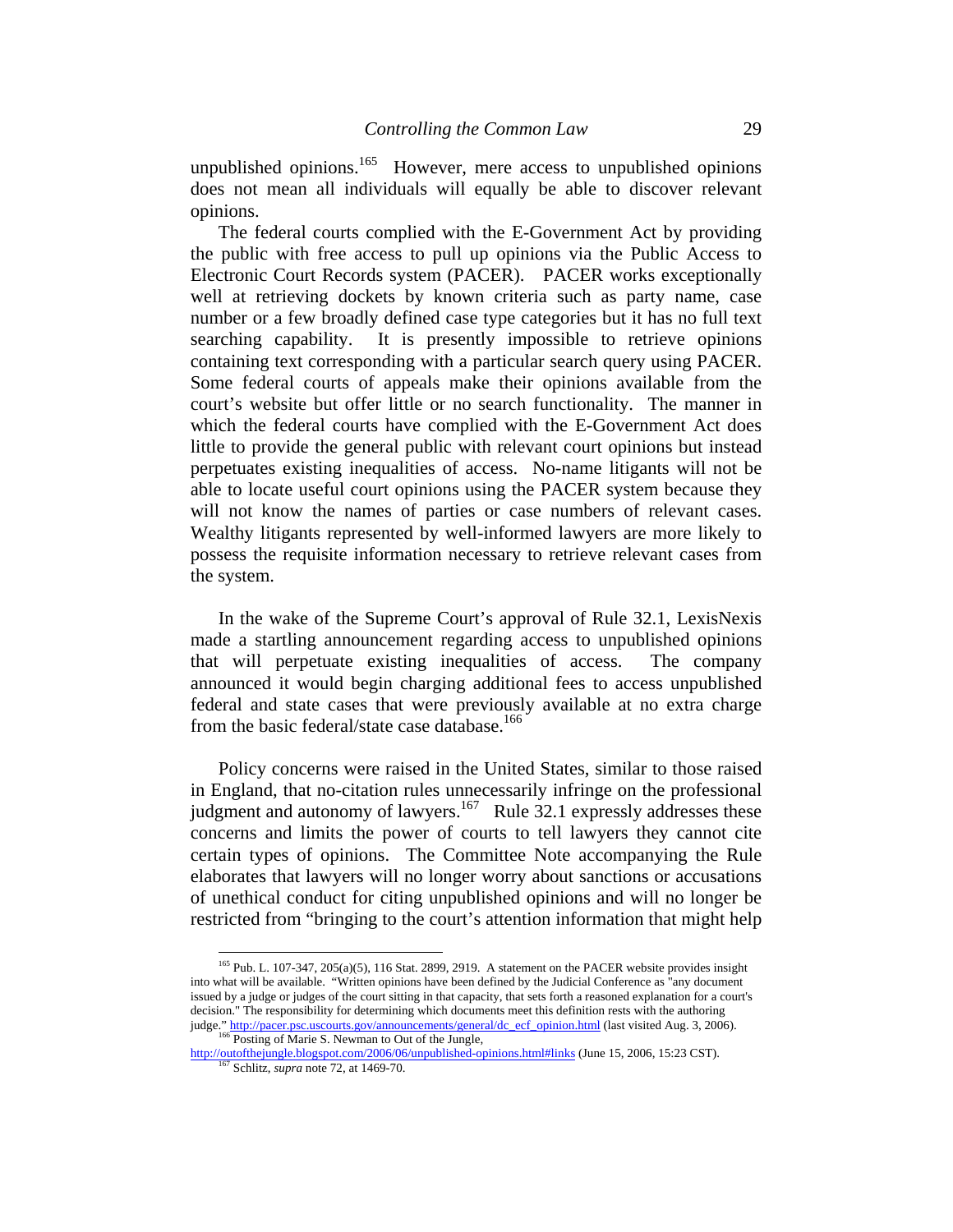unpublished opinions.<sup>165</sup> However, mere access to unpublished opinions does not mean all individuals will equally be able to discover relevant opinions.

The federal courts complied with the E-Government Act by providing the public with free access to pull up opinions via the Public Access to Electronic Court Records system (PACER). PACER works exceptionally well at retrieving dockets by known criteria such as party name, case number or a few broadly defined case type categories but it has no full text searching capability. It is presently impossible to retrieve opinions containing text corresponding with a particular search query using PACER. Some federal courts of appeals make their opinions available from the court's website but offer little or no search functionality. The manner in which the federal courts have complied with the E-Government Act does little to provide the general public with relevant court opinions but instead perpetuates existing inequalities of access. No-name litigants will not be able to locate useful court opinions using the PACER system because they will not know the names of parties or case numbers of relevant cases. Wealthy litigants represented by well-informed lawyers are more likely to possess the requisite information necessary to retrieve relevant cases from the system.

In the wake of the Supreme Court's approval of Rule 32.1, LexisNexis made a startling announcement regarding access to unpublished opinions that will perpetuate existing inequalities of access. The company announced it would begin charging additional fees to access unpublished federal and state cases that were previously available at no extra charge from the basic federal/state case database.<sup>166</sup>

Policy concerns were raised in the United States, similar to those raised in England, that no-citation rules unnecessarily infringe on the professional judgment and autonomy of lawyers.<sup>167</sup> Rule 32.1 expressly addresses these concerns and limits the power of courts to tell lawyers they cannot cite certain types of opinions. The Committee Note accompanying the Rule elaborates that lawyers will no longer worry about sanctions or accusations of unethical conduct for citing unpublished opinions and will no longer be restricted from "bringing to the court's attention information that might help

<sup>165</sup> Pub. L. 107-347, 205(a)(5), 116 Stat. 2899, 2919. A statement on the PACER website provides insight into what will be available. "Written opinions have been defined by the Judicial Conference as "any document issued by a judge or judges of the court sitting in that capacity, that sets forth a reasoned explanation for a court's decision." The responsibility for determining which documents meet this definition rests with the authoring judge." http://pacer.psc.uscourts.gov/announcements/general/dc\_ecf\_opinion.html (last visited Aug. 3, 2006). 166 Posting of Marie S. Newman to Out of the Jungle,

http://outofthejungle.blogspot.com/2006/06/unpublished-opinions.html#links (June 15, 2006, 15:23 CST). 167 Schlitz, *supra* note 72, at 1469-70.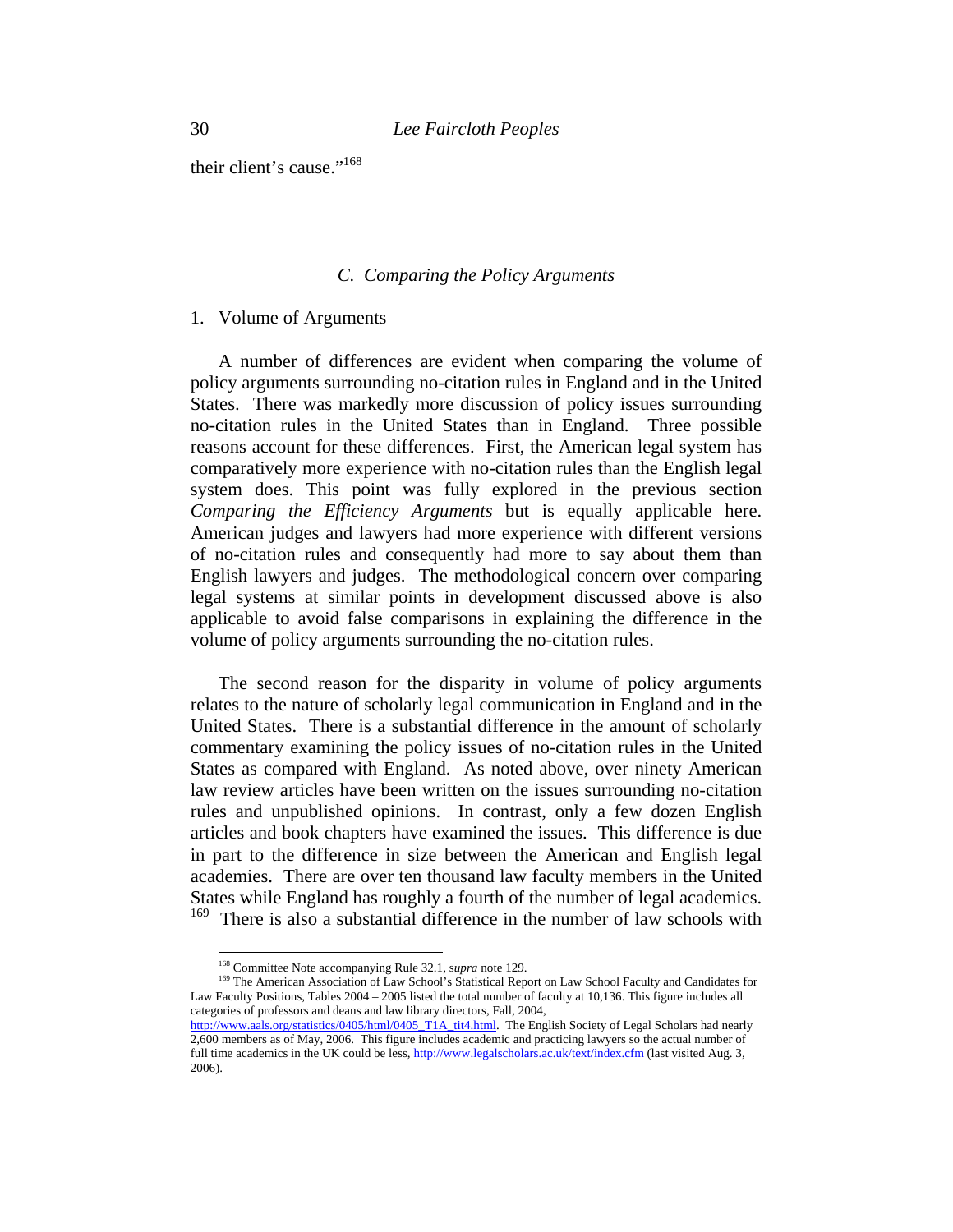their client's cause."<sup>168</sup>

#### *C. Comparing the Policy Arguments*

#### 1. Volume of Arguments

A number of differences are evident when comparing the volume of policy arguments surrounding no-citation rules in England and in the United States. There was markedly more discussion of policy issues surrounding no-citation rules in the United States than in England. Three possible reasons account for these differences. First, the American legal system has comparatively more experience with no-citation rules than the English legal system does. This point was fully explored in the previous section *Comparing the Efficiency Arguments* but is equally applicable here. American judges and lawyers had more experience with different versions of no-citation rules and consequently had more to say about them than English lawyers and judges. The methodological concern over comparing legal systems at similar points in development discussed above is also applicable to avoid false comparisons in explaining the difference in the volume of policy arguments surrounding the no-citation rules.

The second reason for the disparity in volume of policy arguments relates to the nature of scholarly legal communication in England and in the United States. There is a substantial difference in the amount of scholarly commentary examining the policy issues of no-citation rules in the United States as compared with England. As noted above, over ninety American law review articles have been written on the issues surrounding no-citation rules and unpublished opinions. In contrast, only a few dozen English articles and book chapters have examined the issues. This difference is due in part to the difference in size between the American and English legal academies. There are over ten thousand law faculty members in the United States while England has roughly a fourth of the number of legal academics. <sup>169</sup> There is also a substantial difference in the number of law schools with

<sup>&</sup>lt;sup>168</sup> Committee Note accompanying Rule 32.1, *supra* note 129.

<sup>&</sup>lt;sup>169</sup> The American Association of Law School's Statistical Report on Law School Faculty and Candidates for Law Faculty Positions, Tables 2004 – 2005 listed the total number of faculty at 10,136. This figure includes all categories of professors and deans and law library directors, Fall, 2004,

http://www.aals.org/statistics/0405/html/0405\_T1A\_tit4.html. The English Society of Legal Scholars had nearly 2,600 members as of May, 2006. This figure includes academic and practicing lawyers so the actual number of full time academics in the UK could be less, http://www.legalscholars.ac.uk/text/index.cfm (last visited Aug. 3, 2006).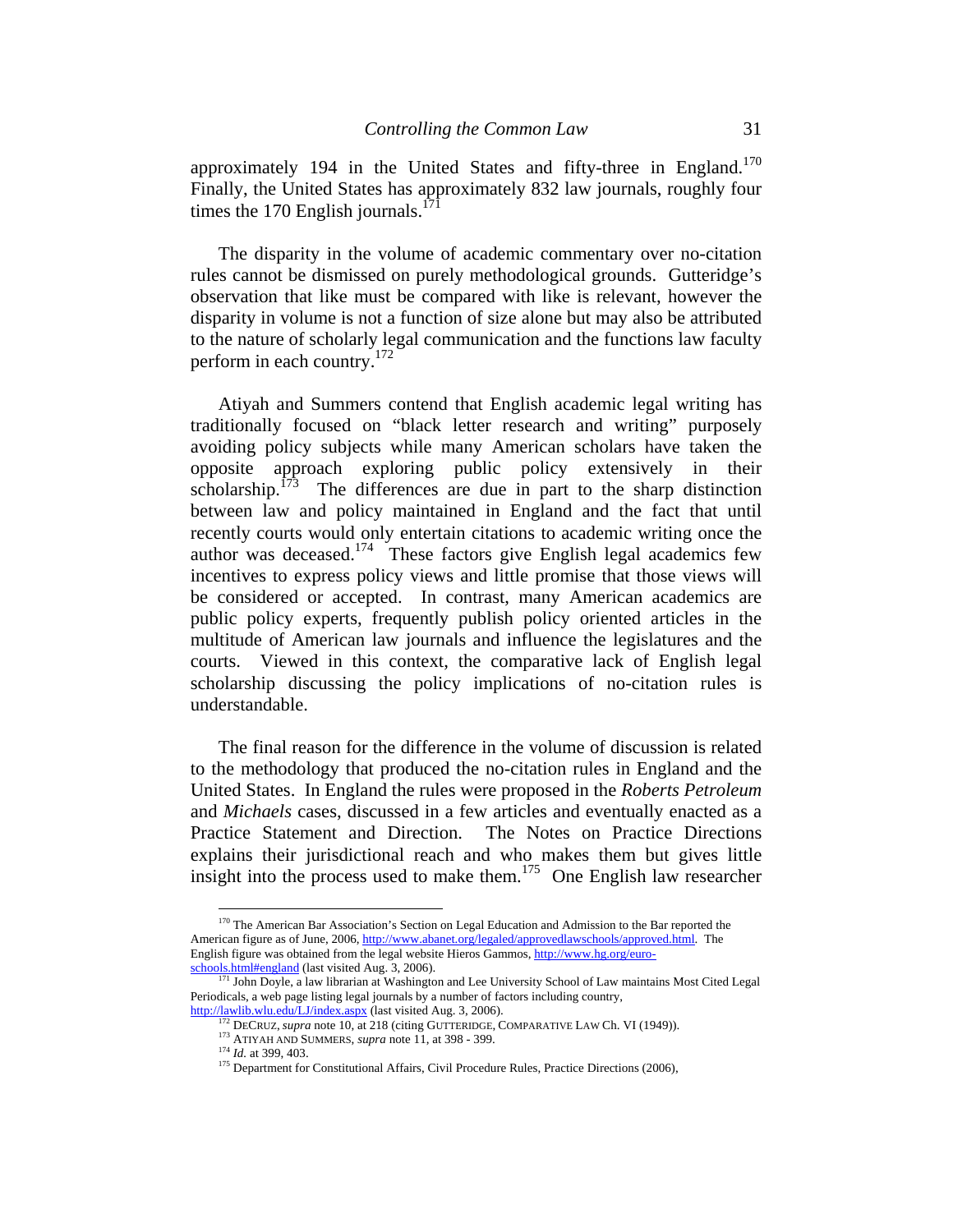approximately 194 in the United States and fifty-three in England.<sup>170</sup> Finally, the United States has approximately 832 law journals, roughly four times the 170 English journals.<sup>17</sup>

The disparity in the volume of academic commentary over no-citation rules cannot be dismissed on purely methodological grounds. Gutteridge's observation that like must be compared with like is relevant, however the disparity in volume is not a function of size alone but may also be attributed to the nature of scholarly legal communication and the functions law faculty perform in each country.<sup>172</sup>

Atiyah and Summers contend that English academic legal writing has traditionally focused on "black letter research and writing" purposely avoiding policy subjects while many American scholars have taken the opposite approach exploring public policy extensively in their scholarship.<sup>173</sup> The differences are due in part to the sharp distinction between law and policy maintained in England and the fact that until recently courts would only entertain citations to academic writing once the author was deceased.<sup>174</sup> These factors give English legal academics few incentives to express policy views and little promise that those views will be considered or accepted. In contrast, many American academics are public policy experts, frequently publish policy oriented articles in the multitude of American law journals and influence the legislatures and the courts. Viewed in this context, the comparative lack of English legal scholarship discussing the policy implications of no-citation rules is understandable.

The final reason for the difference in the volume of discussion is related to the methodology that produced the no-citation rules in England and the United States. In England the rules were proposed in the *Roberts Petroleum*  and *Michaels* cases, discussed in a few articles and eventually enacted as a Practice Statement and Direction. The Notes on Practice Directions explains their jurisdictional reach and who makes them but gives little insight into the process used to make them.<sup>175</sup> One English law researcher

<sup>&</sup>lt;sup>170</sup> The American Bar Association's Section on Legal Education and Admission to the Bar reported the American figure as of June, 2006, http://www.abanet.org/legaled/approvedlawschools/approved.html. The English figure was obtained from the legal website Hieros Gammos, http://www.hg.org/euroschools.html#england (last visited Aug. 3, 2006).<br><sup>171</sup> John Doyle, a law librarian at Washington and Lee University School of Law maintains Most Cited Legal

Periodicals, a web page listing legal journals by a number of factors including country,

http://lawlib.wlu.edu/LJ/index.aspx (last visited Aug. 3, 2006). 172 DECRUZ, *supra* note 10, at 218 (citing GUTTERIDGE, COMPARATIVE LAW Ch. VI (1949)).

<sup>&</sup>lt;sup>174</sup> *Id.* at 399, 403. <sup>175</sup> Department for Constitutional Affairs, Civil Procedure Rules, Practice Directions (2006),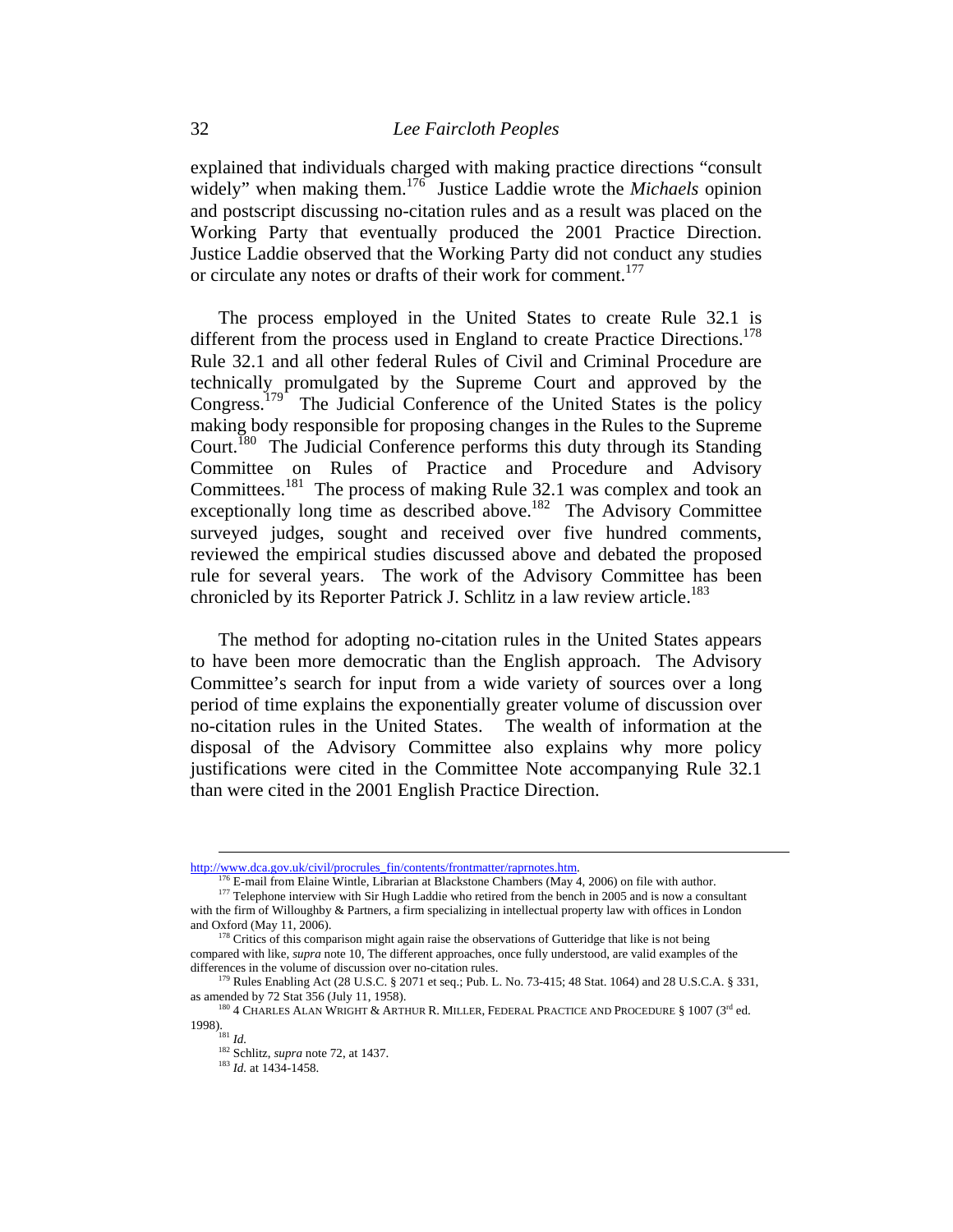explained that individuals charged with making practice directions "consult widely" when making them.176 Justice Laddie wrote the *Michaels* opinion and postscript discussing no-citation rules and as a result was placed on the Working Party that eventually produced the 2001 Practice Direction. Justice Laddie observed that the Working Party did not conduct any studies or circulate any notes or drafts of their work for comment.<sup>177</sup>

The process employed in the United States to create Rule 32.1 is different from the process used in England to create Practice Directions.<sup>178</sup> Rule 32.1 and all other federal Rules of Civil and Criminal Procedure are technically promulgated by the Supreme Court and approved by the Congress.<sup>179</sup> The Judicial Conference of the United States is the policy making body responsible for proposing changes in the Rules to the Supreme Court.<sup>180</sup> The Judicial Conference performs this duty through its Standing Committee on Rules of Practice and Procedure and Advisory Committees.181 The process of making Rule 32.1 was complex and took an exceptionally long time as described above.<sup>182</sup> The Advisory Committee surveyed judges, sought and received over five hundred comments, reviewed the empirical studies discussed above and debated the proposed rule for several years. The work of the Advisory Committee has been chronicled by its Reporter Patrick J. Schlitz in a law review article.<sup>183</sup>

The method for adopting no-citation rules in the United States appears to have been more democratic than the English approach. The Advisory Committee's search for input from a wide variety of sources over a long period of time explains the exponentially greater volume of discussion over no-citation rules in the United States. The wealth of information at the disposal of the Advisory Committee also explains why more policy justifications were cited in the Committee Note accompanying Rule 32.1 than were cited in the 2001 English Practice Direction.

http://www.dca.gov.uk/civil/procrules\_fin/contents/frontmatter/raprnotes.htm.<br><sup>176</sup> E-mail from Elaine Wintle, Librarian at Blackstone Chambers (May 4, 2006) on file with author.<br><sup>177</sup> Telephone interview with Sir Hugh Lad

with the firm of Willoughby & Partners, a firm specializing in intellectual property law with offices in London and Oxford (May 11, 2006).

 $178$  Critics of this comparison might again raise the observations of Gutteridge that like is not being compared with like, *supra* note 10, The different approaches, once fully understood, are valid examples of the differences in the volume of discussion over no-citation rules.<br><sup>179</sup> Rules Enabling Act (28 U.S.C. § 2071 et seq.; Pub. L. No. 73-415; 48 Stat. 1064) and 28 U.S.C.A. § 331,

as amended by 72 Stat 356 (July 11, 1958). 180 4 CHARLES ALAN WRIGHT & ARTHUR R. MILLER, FEDERAL PRACTICE AND PROCEDURE § 1007 (3<sup>rd</sup> ed.

<sup>1998). 181</sup> *Id.* 

<sup>182</sup> Schlitz, *supra* note 72, at 1437. 183 *Id.* at 1434-1458.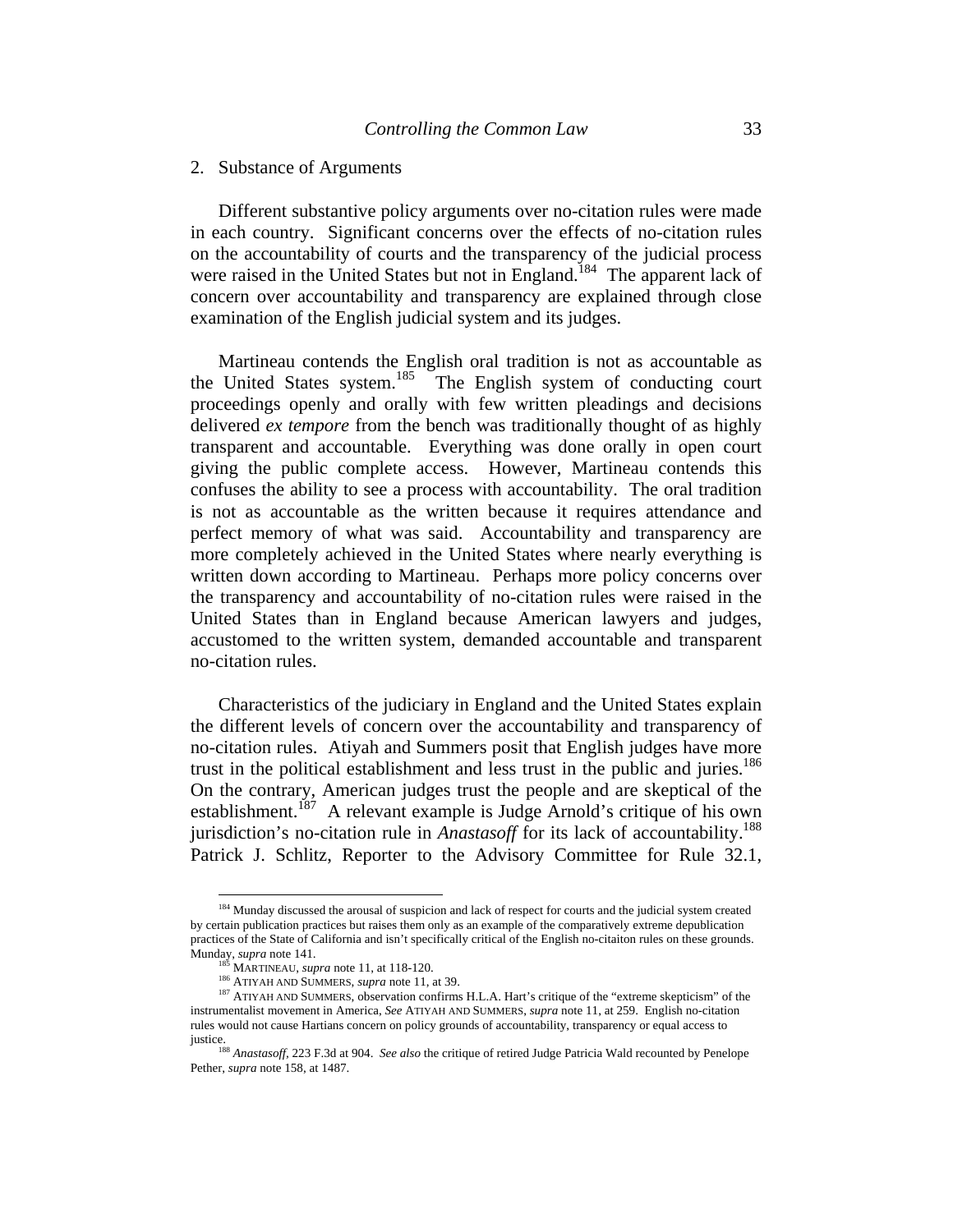#### 2. Substance of Arguments

Different substantive policy arguments over no-citation rules were made in each country. Significant concerns over the effects of no-citation rules on the accountability of courts and the transparency of the judicial process were raised in the United States but not in England.<sup>184</sup> The apparent lack of concern over accountability and transparency are explained through close examination of the English judicial system and its judges.

Martineau contends the English oral tradition is not as accountable as the United States system.<sup>185</sup> The English system of conducting court proceedings openly and orally with few written pleadings and decisions delivered *ex tempore* from the bench was traditionally thought of as highly transparent and accountable. Everything was done orally in open court giving the public complete access. However, Martineau contends this confuses the ability to see a process with accountability. The oral tradition is not as accountable as the written because it requires attendance and perfect memory of what was said. Accountability and transparency are more completely achieved in the United States where nearly everything is written down according to Martineau. Perhaps more policy concerns over the transparency and accountability of no-citation rules were raised in the United States than in England because American lawyers and judges, accustomed to the written system, demanded accountable and transparent no-citation rules.

Characteristics of the judiciary in England and the United States explain the different levels of concern over the accountability and transparency of no-citation rules. Atiyah and Summers posit that English judges have more trust in the political establishment and less trust in the public and juries.<sup>186</sup> On the contrary, American judges trust the people and are skeptical of the establishment.<sup>187</sup> A relevant example is Judge Arnold's critique of his own jurisdiction's no-citation rule in *Anastasoff* for its lack of accountability.<sup>188</sup> Patrick J. Schlitz, Reporter to the Advisory Committee for Rule 32.1,

<sup>&</sup>lt;sup>184</sup> Munday discussed the arousal of suspicion and lack of respect for courts and the judicial system created by certain publication practices but raises them only as an example of the comparatively extreme depublication practices of the State of California and isn't specifically critical of the English no-citaiton rules on these grounds.<br>Munday, *supra* note 141.<br><sup>185</sup> MARTINEAU, *supra* note 11, at 118-120.

<sup>&</sup>lt;sup>186</sup> ATIYAH AND SUMMERS, *supra* note 11, at 39.<br><sup>186</sup> ATIYAH AND SUMMERS, *supra* note 11, at 39.<br><sup>187</sup> ATIYAH AND SUMMERS, observation confirms H.L.A. Hart's critique of the "extreme skepticism" of the instrumentalist movement in America, *See* ATIYAH AND SUMMERS, *supra* note 11, at 259. English no-citation rules would not cause Hartians concern on policy grounds of accountability, transparency or equal access to

justice. 188 *Anastasoff,* 223 F.3d at 904. *See also* the critique of retired Judge Patricia Wald recounted by Penelope Pether, *supra* note 158, at 1487.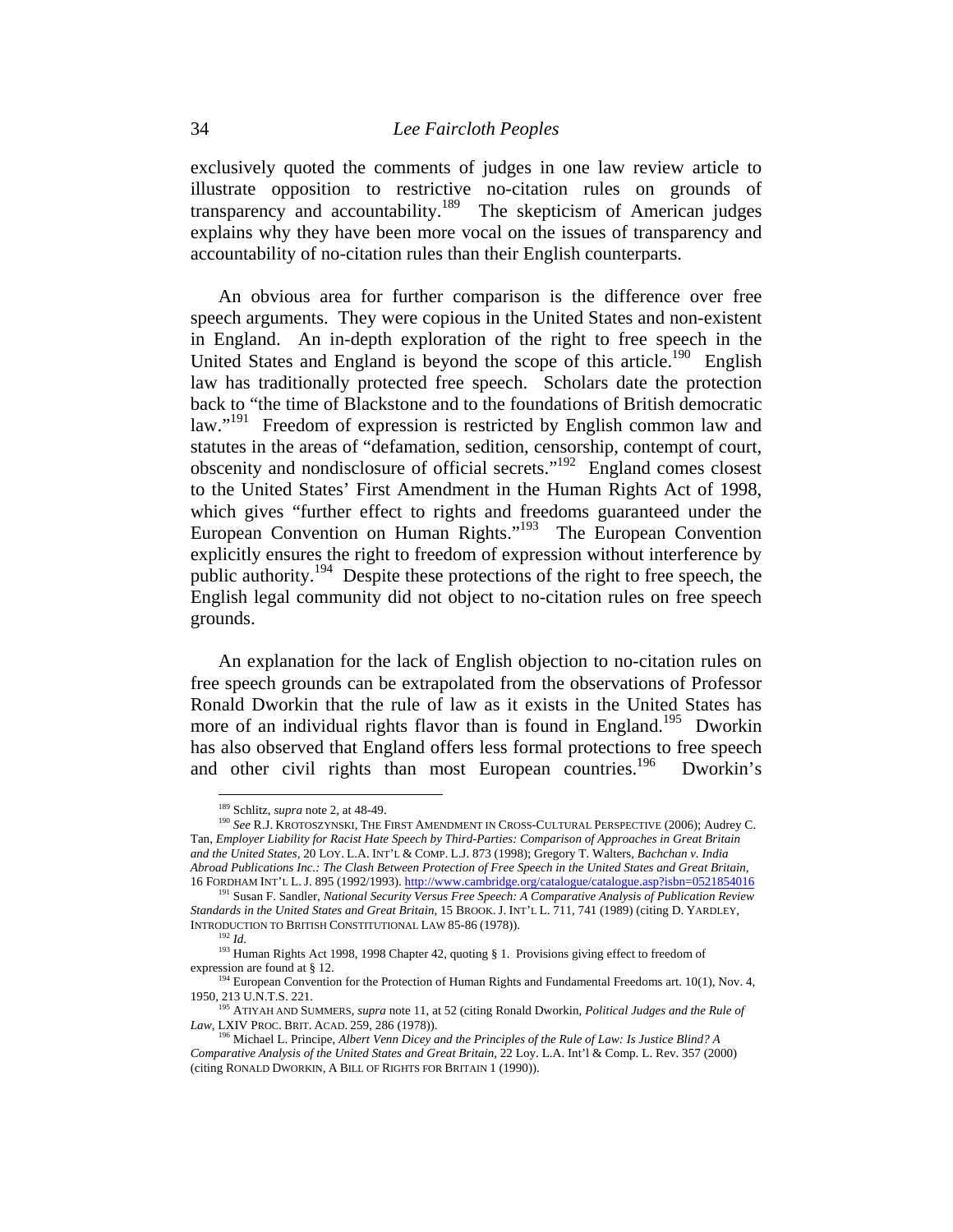exclusively quoted the comments of judges in one law review article to illustrate opposition to restrictive no-citation rules on grounds of transparency and accountability.<sup>189</sup> The skepticism of American judges explains why they have been more vocal on the issues of transparency and accountability of no-citation rules than their English counterparts.

An obvious area for further comparison is the difference over free speech arguments. They were copious in the United States and non-existent in England. An in-depth exploration of the right to free speech in the United States and England is beyond the scope of this article.<sup>190</sup> English law has traditionally protected free speech. Scholars date the protection back to "the time of Blackstone and to the foundations of British democratic law."<sup>191</sup> Freedom of expression is restricted by English common law and statutes in the areas of "defamation, sedition, censorship, contempt of court, obscenity and nondisclosure of official secrets."192 England comes closest to the United States' First Amendment in the Human Rights Act of 1998, which gives "further effect to rights and freedoms guaranteed under the European Convention on Human Rights."193 The European Convention explicitly ensures the right to freedom of expression without interference by public authority.194 Despite these protections of the right to free speech, the English legal community did not object to no-citation rules on free speech grounds.

An explanation for the lack of English objection to no-citation rules on free speech grounds can be extrapolated from the observations of Professor Ronald Dworkin that the rule of law as it exists in the United States has more of an individual rights flavor than is found in England.<sup>195</sup> Dworkin has also observed that England offers less formal protections to free speech and other civil rights than most European countries.<sup>196</sup> Dworkin's

<sup>&</sup>lt;sup>189</sup> Schlitz, *supra* note 2, at 48-49.<br><sup>190</sup> *See R.J. Krotoszynski*, The First Amendment in Cross-Cultural Perspective (2006); Audrey C. Tan, *Employer Liability for Racist Hate Speech by Third-Parties: Comparison of Approaches in Great Britain and the United States,* 20 LOY. L.A. INT'L & COMP. L.J. 873 (1998); Gregory T. Walters, *Bachchan v. India Abroad Publications Inc.: The Clash Between Protection of Free Speech in the United States and Great Britain,* 

<sup>16</sup> FORDHAM INT'L L. J. 895 (1992/1993). http://www.cambridge.org/catalogue/catalogue.asp?isbn=0521854016 191 Susan F. Sandler, *National Security Versus Free Speech: A Comparative Analysis of Publication Review Standards in the United States and Great Britain,* 15 BROOK. J. INT'L L. 711, 741 (1989) (citing D. YARDLEY, INTRODUCTION TO BRITISH CONSTITUTIONAL LAW 85-86 (1978)). 192 *Id.* 

<sup>&</sup>lt;sup>193</sup> Human Rights Act 1998, 1998 Chapter 42, quoting § 1. Provisions giving effect to freedom of expression are found at § 12.  $194$  European Convention for the Protection of Human Rights and Fundamental Freedoms art. 10(1), Nov. 4,

<sup>1950, 213</sup> U.N.T.S. 221. 195 ATIYAH AND SUMMERS, *supra* note 11, at 52 (citing Ronald Dworkin, *Political Judges and the Rule of* 

*Law,* LXIV PROC. BRIT. ACAD. 259, 286 (1978)). 196 Michael L. Principe, *Albert Venn Dicey and the Principles of the Rule of Law: Is Justice Blind? A* 

*Comparative Analysis of the United States and Great Britain,* 22 Loy. L.A. Int'l & Comp. L. Rev. 357 (2000) (citing RONALD DWORKIN, A BILL OF RIGHTS FOR BRITAIN 1 (1990)).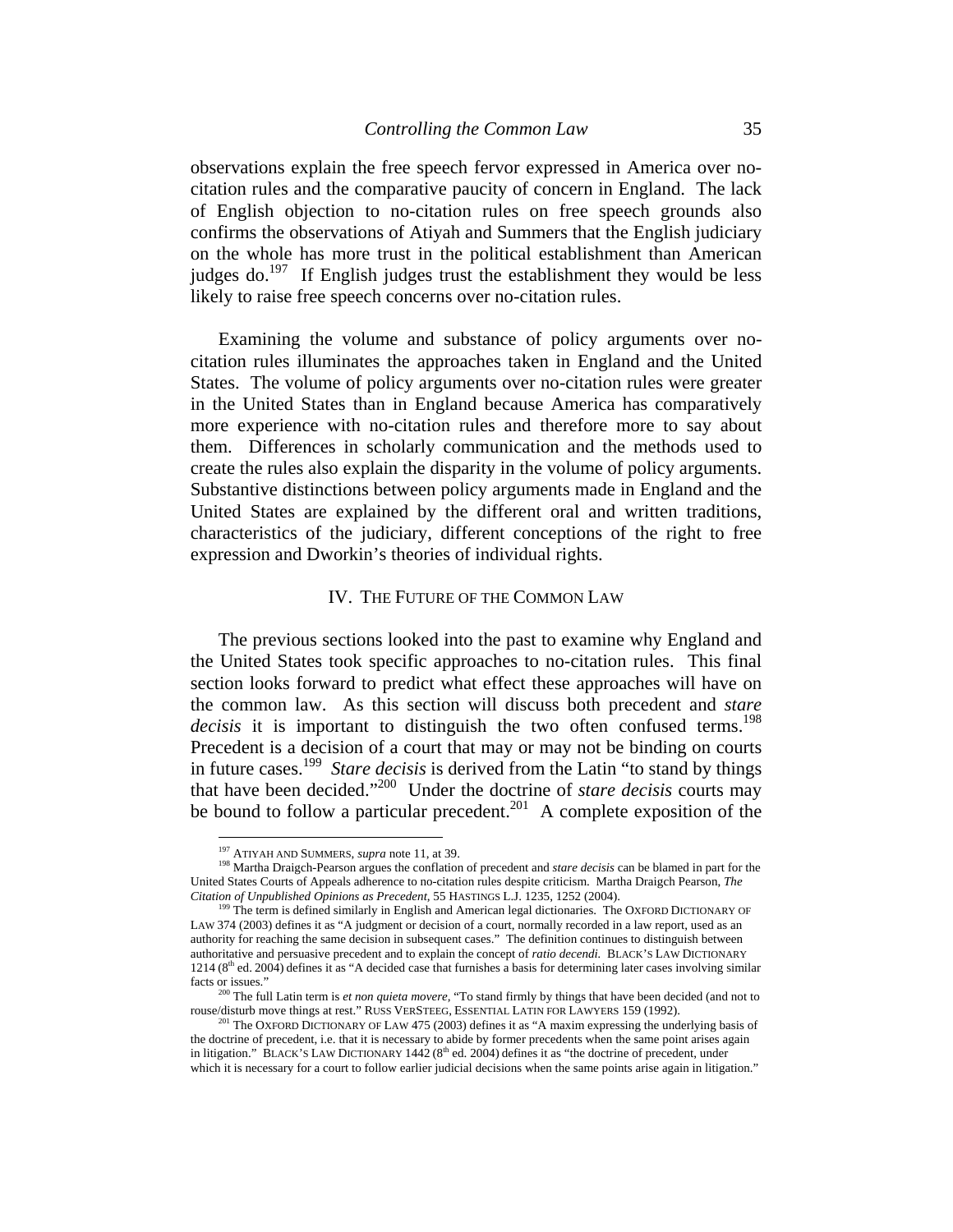observations explain the free speech fervor expressed in America over nocitation rules and the comparative paucity of concern in England. The lack of English objection to no-citation rules on free speech grounds also confirms the observations of Atiyah and Summers that the English judiciary on the whole has more trust in the political establishment than American judges do.<sup>197</sup> If English judges trust the establishment they would be less likely to raise free speech concerns over no-citation rules.

Examining the volume and substance of policy arguments over nocitation rules illuminates the approaches taken in England and the United States. The volume of policy arguments over no-citation rules were greater in the United States than in England because America has comparatively more experience with no-citation rules and therefore more to say about them. Differences in scholarly communication and the methods used to create the rules also explain the disparity in the volume of policy arguments. Substantive distinctions between policy arguments made in England and the United States are explained by the different oral and written traditions, characteristics of the judiciary, different conceptions of the right to free expression and Dworkin's theories of individual rights.

#### IV. THE FUTURE OF THE COMMON LAW

The previous sections looked into the past to examine why England and the United States took specific approaches to no-citation rules. This final section looks forward to predict what effect these approaches will have on the common law. As this section will discuss both precedent and *stare decisis* it is important to distinguish the two often confused terms.<sup>198</sup> Precedent is a decision of a court that may or may not be binding on courts in future cases.199 *Stare decisis* is derived from the Latin "to stand by things that have been decided."200 Under the doctrine of *stare decisis* courts may be bound to follow a particular precedent.<sup>201</sup> A complete exposition of the

<sup>&</sup>lt;sup>197</sup> ATIYAH AND SUMMERS, *supra* note 11, at 39.

<sup>&</sup>lt;sup>198</sup> Martha Draigch-Pearson argues the conflation of precedent and *stare decisis* can be blamed in part for the United States Courts of Appeals adherence to no-citation rules despite criticism. Martha Draigch Pearson, *The* 

<sup>&</sup>lt;sup>199</sup> The term is defined similarly in English and American legal dictionaries. The OXFORD DICTIONARY OF LAW 374 (2003) defines it as "A judgment or decision of a court, normally recorded in a law report, used as an authority for reaching the same decision in subsequent cases." The definition continues to distinguish between authoritative and persuasive precedent and to explain the concept of *ratio decendi.* BLACK'S LAW DICTIONARY  $1214 (8<sup>th</sup>$  ed. 2004) defines it as "A decided case that furnishes a basis for determining later cases involving similar facts or issues."

<sup>&</sup>lt;sup>200</sup> The full Latin term is *et non quieta movere*, "To stand firmly by things that have been decided (and not to rouse/disturb move things at rest." RUSS VERSTEEG, ESSENTIAL LATIN FOR LAWYERS 159 (1992).<br><sup>201</sup> The OXFORD DICTIONARY OF LAW 475 (2003) defines it as "A maxim expressing the underlying basis of

the doctrine of precedent, i.e. that it is necessary to abide by former precedents when the same point arises again in litigation." BLACK'S LAW DICTIONARY 1442 (8<sup>th</sup> ed. 2004) defines it as "the doctrine of precedent, under which it is necessary for a court to follow earlier judicial decisions when the same points arise again in litigation."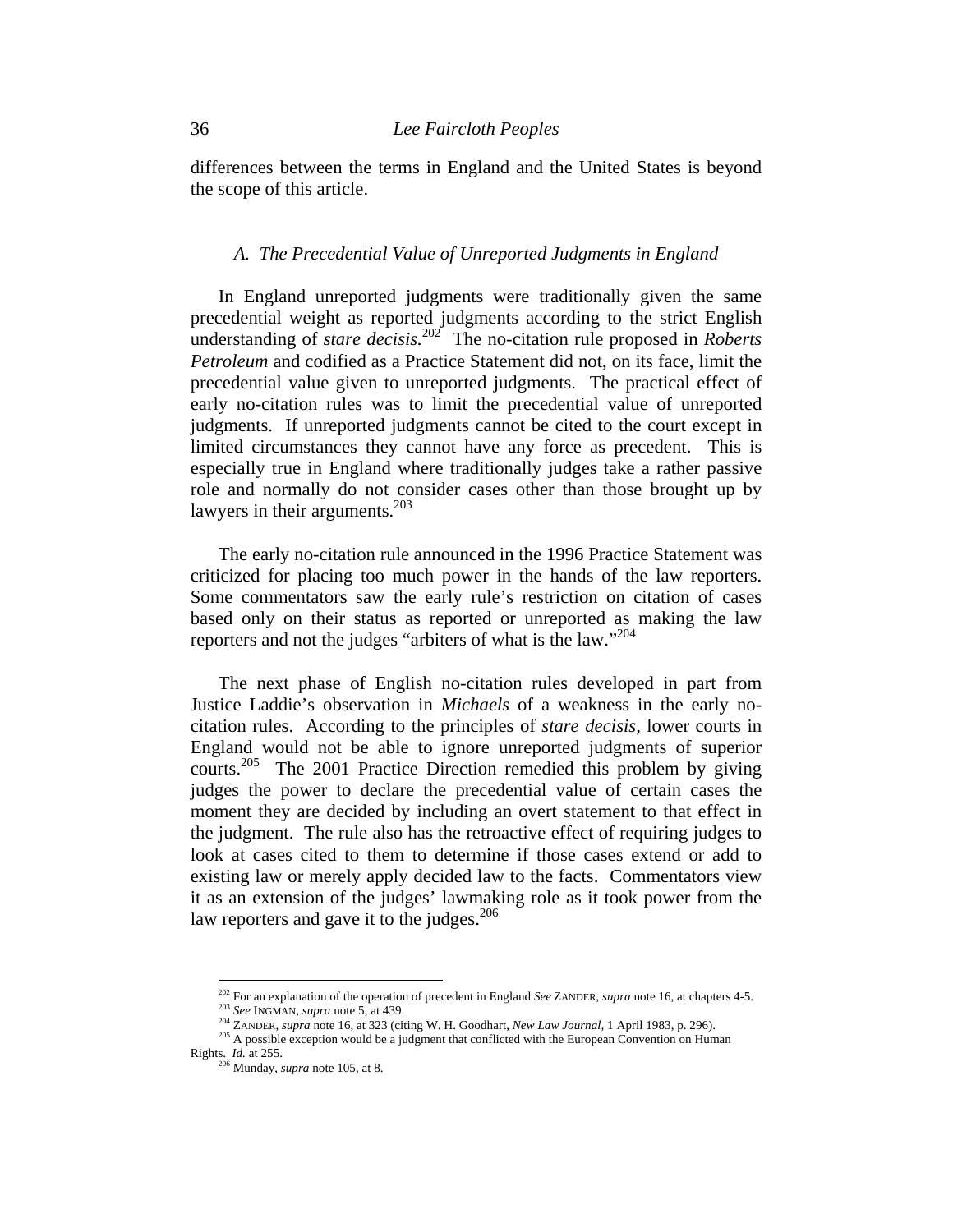differences between the terms in England and the United States is beyond the scope of this article.

#### *A. The Precedential Value of Unreported Judgments in England*

In England unreported judgments were traditionally given the same precedential weight as reported judgments according to the strict English understanding of *stare decisis.*<sup>202</sup>The no-citation rule proposed in *Roberts Petroleum* and codified as a Practice Statement did not, on its face, limit the precedential value given to unreported judgments. The practical effect of early no-citation rules was to limit the precedential value of unreported judgments. If unreported judgments cannot be cited to the court except in limited circumstances they cannot have any force as precedent. This is especially true in England where traditionally judges take a rather passive role and normally do not consider cases other than those brought up by lawyers in their arguments.<sup>203</sup>

The early no-citation rule announced in the 1996 Practice Statement was criticized for placing too much power in the hands of the law reporters. Some commentators saw the early rule's restriction on citation of cases based only on their status as reported or unreported as making the law reporters and not the judges "arbiters of what is the law."204

The next phase of English no-citation rules developed in part from Justice Laddie's observation in *Michaels* of a weakness in the early nocitation rules. According to the principles of *stare decisis,* lower courts in England would not be able to ignore unreported judgments of superior courts.<sup>205</sup> The 2001 Practice Direction remedied this problem by giving judges the power to declare the precedential value of certain cases the moment they are decided by including an overt statement to that effect in the judgment. The rule also has the retroactive effect of requiring judges to look at cases cited to them to determine if those cases extend or add to existing law or merely apply decided law to the facts. Commentators view it as an extension of the judges' lawmaking role as it took power from the law reporters and gave it to the judges.  $206$ 

<sup>&</sup>lt;sup>202</sup> For an explanation of the operation of precedent in England *See* ZANDER, *supra* note 16, at chapters 4-5.<br><sup>203</sup> *See* INGMAN, *supra* note 5, at 439.<br><sup>204</sup> ZANDER, *supra* note 16, at 323 (citing W. H. Goodhart,

Rights. *Id.* at 255. 206 Munday, *supra* note 105, at 8.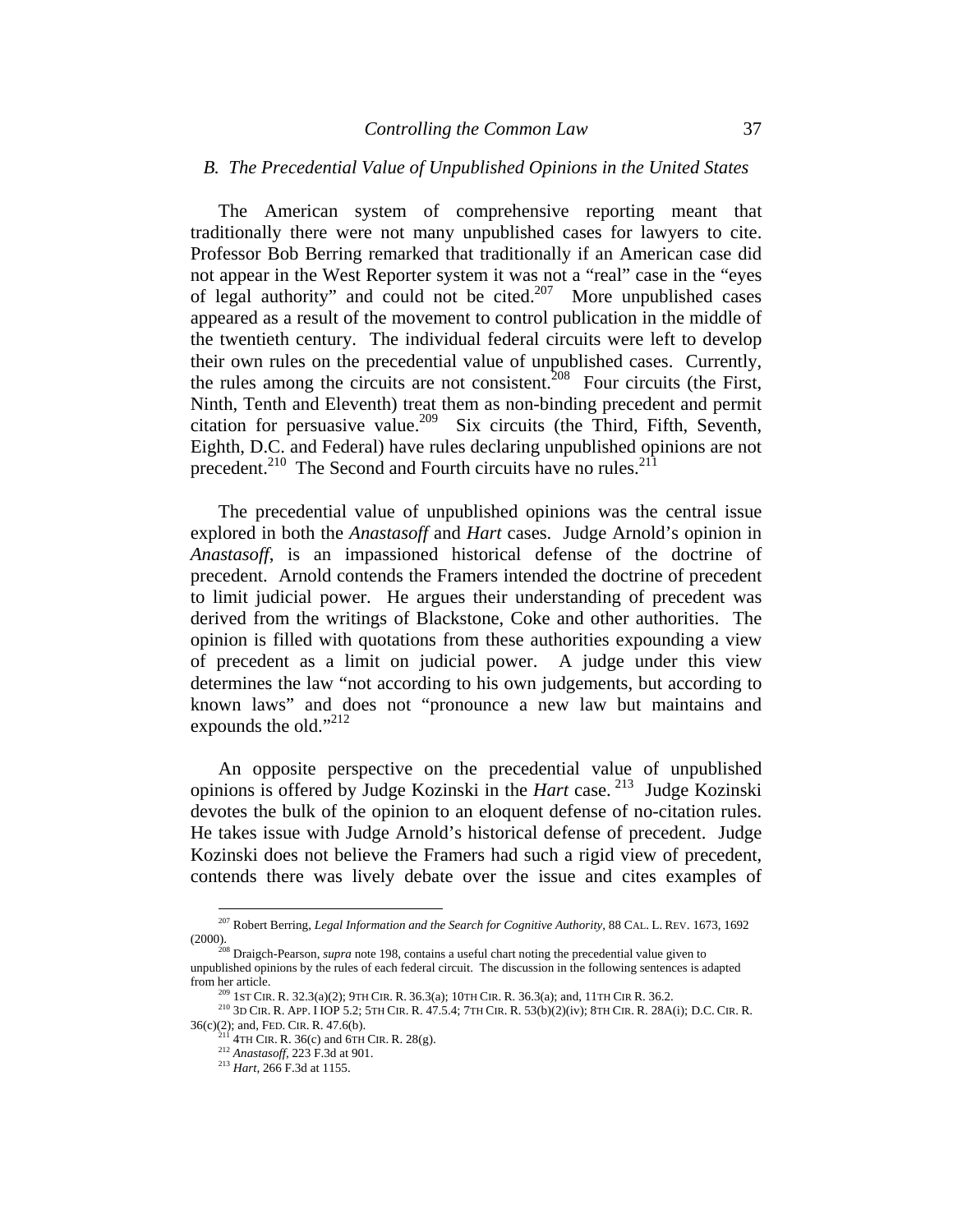### *B. The Precedential Value of Unpublished Opinions in the United States*

The American system of comprehensive reporting meant that traditionally there were not many unpublished cases for lawyers to cite. Professor Bob Berring remarked that traditionally if an American case did not appear in the West Reporter system it was not a "real" case in the "eyes of legal authority" and could not be cited.<sup>207</sup> More unpublished cases appeared as a result of the movement to control publication in the middle of the twentieth century. The individual federal circuits were left to develop their own rules on the precedential value of unpublished cases. Currently, the rules among the circuits are not consistent.<sup>208</sup> Four circuits (the First, Ninth, Tenth and Eleventh) treat them as non-binding precedent and permit citation for persuasive value.<sup>209</sup> Six circuits (the Third, Fifth, Seventh, Eighth, D.C. and Federal) have rules declaring unpublished opinions are not precedent.<sup>210</sup> The Second and Fourth circuits have no rules.<sup>211</sup>

The precedential value of unpublished opinions was the central issue explored in both the *Anastasoff* and *Hart* cases. Judge Arnold's opinion in *Anastasoff*, is an impassioned historical defense of the doctrine of precedent. Arnold contends the Framers intended the doctrine of precedent to limit judicial power. He argues their understanding of precedent was derived from the writings of Blackstone, Coke and other authorities. The opinion is filled with quotations from these authorities expounding a view of precedent as a limit on judicial power. A judge under this view determines the law "not according to his own judgements, but according to known laws" and does not "pronounce a new law but maintains and expounds the old." $^{212}$ 

An opposite perspective on the precedential value of unpublished opinions is offered by Judge Kozinski in the *Hart* case. 213 Judge Kozinski devotes the bulk of the opinion to an eloquent defense of no-citation rules. He takes issue with Judge Arnold's historical defense of precedent. Judge Kozinski does not believe the Framers had such a rigid view of precedent, contends there was lively debate over the issue and cites examples of

<sup>207</sup> Robert Berring, *Legal Information and the Search for Cognitive Authority,* 88 CAL. L. REV. 1673, 1692

<sup>(2000). 208</sup> Draigch-Pearson, *supra* note 198, contains a useful chart noting the precedential value given to unpublished opinions by the rules of each federal circuit. The discussion in the following sentences is adapted

<sup>&</sup>lt;sup>209</sup> 1ST CIR. R. 32.3(a)(2); 9TH CIR. R. 36.3(a); 10TH CIR. R. 36.3(a); and, 11TH CIR R. 36.2.<br><sup>210</sup> 3D CIR. R. APP. I IOP 5.2; 5TH CIR. R. 47.5.4; 7TH CIR. R. 53(b)(2)(iv); 8TH CIR. R. 28A(i); D.C. CIR. R.<br>36(c)(2); and

<sup>&</sup>lt;sup>211</sup> 4TH CIR. R. 36(c) and 6TH CIR. R. 28(g). <sup>212</sup> *Anastasoff,* 223 F.3d at 901.<br><sup>213</sup> *Hart*, 266 F.3d at 1155.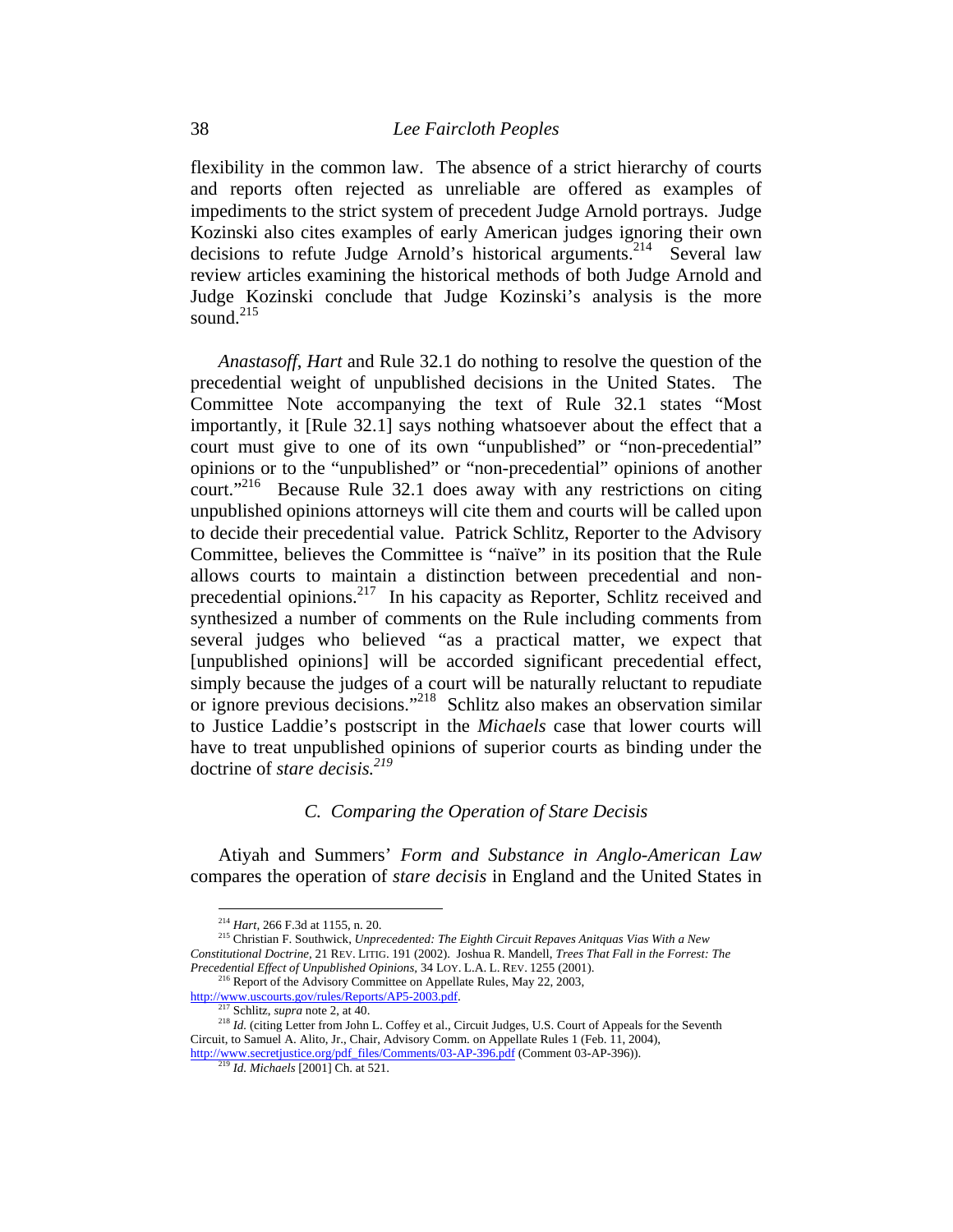flexibility in the common law. The absence of a strict hierarchy of courts and reports often rejected as unreliable are offered as examples of impediments to the strict system of precedent Judge Arnold portrays. Judge Kozinski also cites examples of early American judges ignoring their own decisions to refute Judge Arnold's historical arguments.<sup>214</sup> Several law review articles examining the historical methods of both Judge Arnold and Judge Kozinski conclude that Judge Kozinski's analysis is the more sound. $^{215}$ 

*Anastasoff*, *Hart* and Rule 32.1 do nothing to resolve the question of the precedential weight of unpublished decisions in the United States. The Committee Note accompanying the text of Rule 32.1 states "Most importantly, it [Rule 32.1] says nothing whatsoever about the effect that a court must give to one of its own "unpublished" or "non-precedential" opinions or to the "unpublished" or "non-precedential" opinions of another court."<sup>216</sup> Because Rule 32.1 does away with any restrictions on citing unpublished opinions attorneys will cite them and courts will be called upon to decide their precedential value. Patrick Schlitz, Reporter to the Advisory Committee, believes the Committee is "naïve" in its position that the Rule allows courts to maintain a distinction between precedential and nonprecedential opinions.217 In his capacity as Reporter, Schlitz received and synthesized a number of comments on the Rule including comments from several judges who believed "as a practical matter, we expect that [unpublished opinions] will be accorded significant precedential effect, simply because the judges of a court will be naturally reluctant to repudiate or ignore previous decisions."218 Schlitz also makes an observation similar to Justice Laddie's postscript in the *Michaels* case that lower courts will have to treat unpublished opinions of superior courts as binding under the doctrine of *stare decisis.219*

### *C. Comparing the Operation of Stare Decisis*

Atiyah and Summers' *Form and Substance in Anglo-American Law* compares the operation of *stare decisis* in England and the United States in

 $\overline{a}$ 

*Precedential Effect of Unpublished Opinions*, 34 LOY. L.A. L. REV. 1255 (2001).<br><sup>216</sup> Report of the Advisory Committee on Appellate Rules, May 22, 2003,<br> $\frac{http://www.uscourts.gov/rules/Repository/AP5-2003.pdf.}{^{217} Schlitz, *supra* note 2, at 40.}$ 

<sup>&</sup>lt;sup>214</sup> *Hart, 266 F.3d at 1155, n. 20. D. D. D. 215 Christian F. Southwick, Unprecedented: The Eighth Circuit Repaves Anitquas Vias With a New* <sup>215</sup> Christian F. Southwick, *Unprecedented: The Eighth Circuit Repaves An Constitutional Doctrine,* 21 REV. LITIG. 191 (2002). Joshua R. Mandell, *Trees That Fall in the Forrest: The* 

<sup>&</sup>lt;sup>218</sup> Id. (citing Letter from John L. Coffey et al., Circuit Judges, U.S. Court of Appeals for the Seventh Circuit, to Samuel A. Alito, Jr., Chair, Advisory Comm. on Appellate Rules 1 (Feb. 11, 2004),

http://www.secretjustice.org/pdf\_files/Comments/03-AP-396.pdf (Comment 03-AP-396)). 219 *Id. Michaels* [2001] Ch. at 521.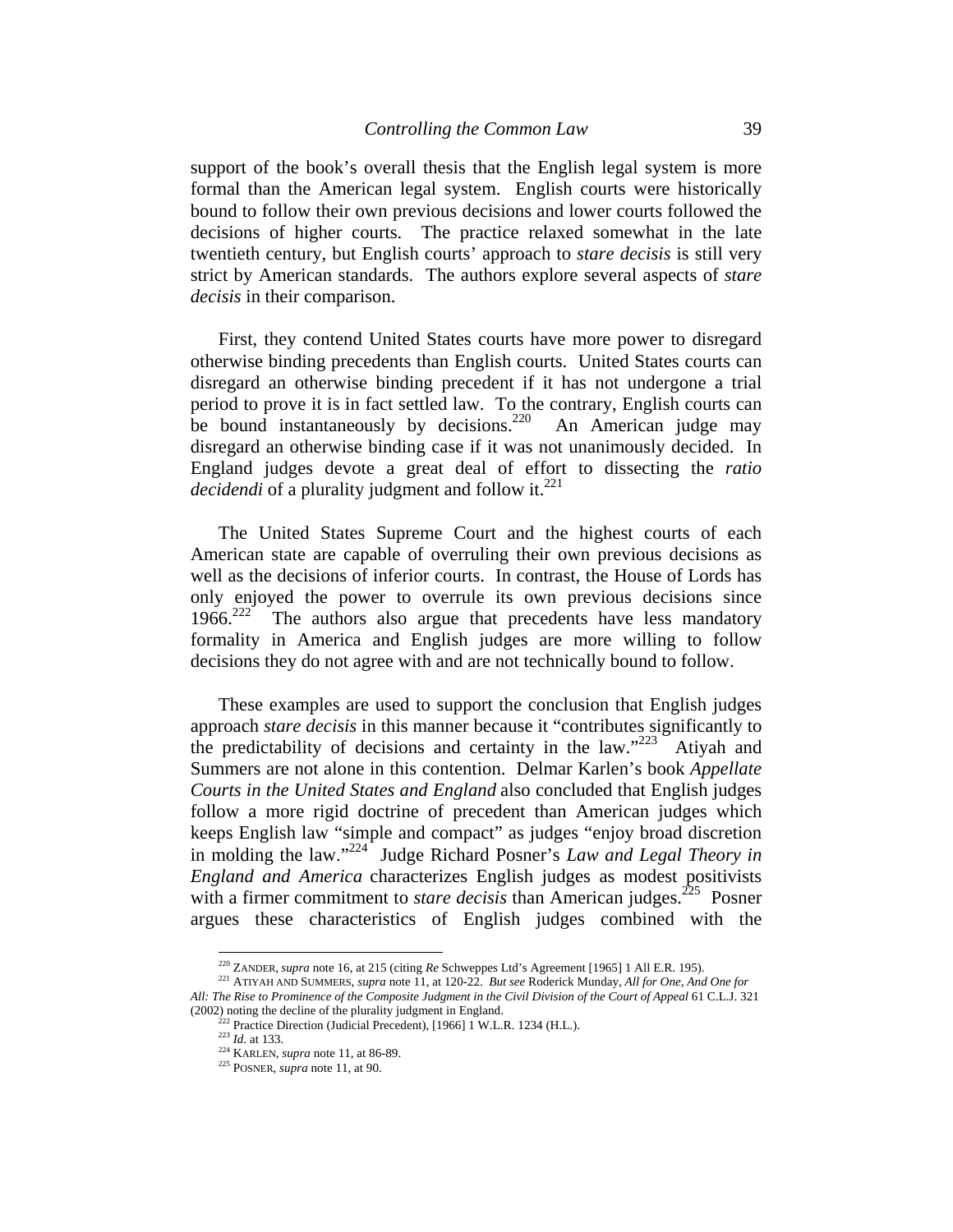support of the book's overall thesis that the English legal system is more formal than the American legal system. English courts were historically bound to follow their own previous decisions and lower courts followed the decisions of higher courts. The practice relaxed somewhat in the late twentieth century, but English courts' approach to *stare decisis* is still very strict by American standards. The authors explore several aspects of *stare decisis* in their comparison.

First, they contend United States courts have more power to disregard otherwise binding precedents than English courts. United States courts can disregard an otherwise binding precedent if it has not undergone a trial period to prove it is in fact settled law. To the contrary, English courts can be bound instantaneously by decisions.<sup>220</sup> An American judge may disregard an otherwise binding case if it was not unanimously decided. In England judges devote a great deal of effort to dissecting the *ratio decidendi* of a plurality judgment and follow it.<sup>221</sup>

The United States Supreme Court and the highest courts of each American state are capable of overruling their own previous decisions as well as the decisions of inferior courts. In contrast, the House of Lords has only enjoyed the power to overrule its own previous decisions since  $1966.<sup>222</sup>$  The authors also argue that precedents have less mandatory formality in America and English judges are more willing to follow decisions they do not agree with and are not technically bound to follow.

These examples are used to support the conclusion that English judges approach *stare decisis* in this manner because it "contributes significantly to the predictability of decisions and certainty in the law."<sup>223</sup> Atiyah and Summers are not alone in this contention. Delmar Karlen's book *Appellate Courts in the United States and England* also concluded that English judges follow a more rigid doctrine of precedent than American judges which keeps English law "simple and compact" as judges "enjoy broad discretion in molding the law."224 Judge Richard Posner's *Law and Legal Theory in England and America* characterizes English judges as modest positivists with a firmer commitment to *stare decisis* than American judges.<sup>225</sup> Posner argues these characteristics of English judges combined with the

<sup>&</sup>lt;sup>220</sup> ZANDER, supra note 16, at 215 (citing Re Schweppes Ltd's Agreement [1965] 1 All E.R. 195).

<sup>&</sup>lt;sup>221</sup> ATIYAH AND SUMMERS, *supra* note 11, at 120-22. But see Roderick Munday, All for One, And One for *All: The Rise to Prominence of the Composite Judgment in the Civil Division of the Court of Appeal 61 C.L.J. 321* (2002) noting the decline of the plurality judgment in England.

<sup>&</sup>lt;sup>222</sup> Practice Direction (Judicial Precedent), [1966] 1 W.L.R. 1234 (H.L.).<br><sup>223</sup> *Id.* at 133.<br><sup>224</sup> KARLEN, *supra* note 11, at 86-89.<br><sup>225</sup> POSNER, *supra* note 11, at 90.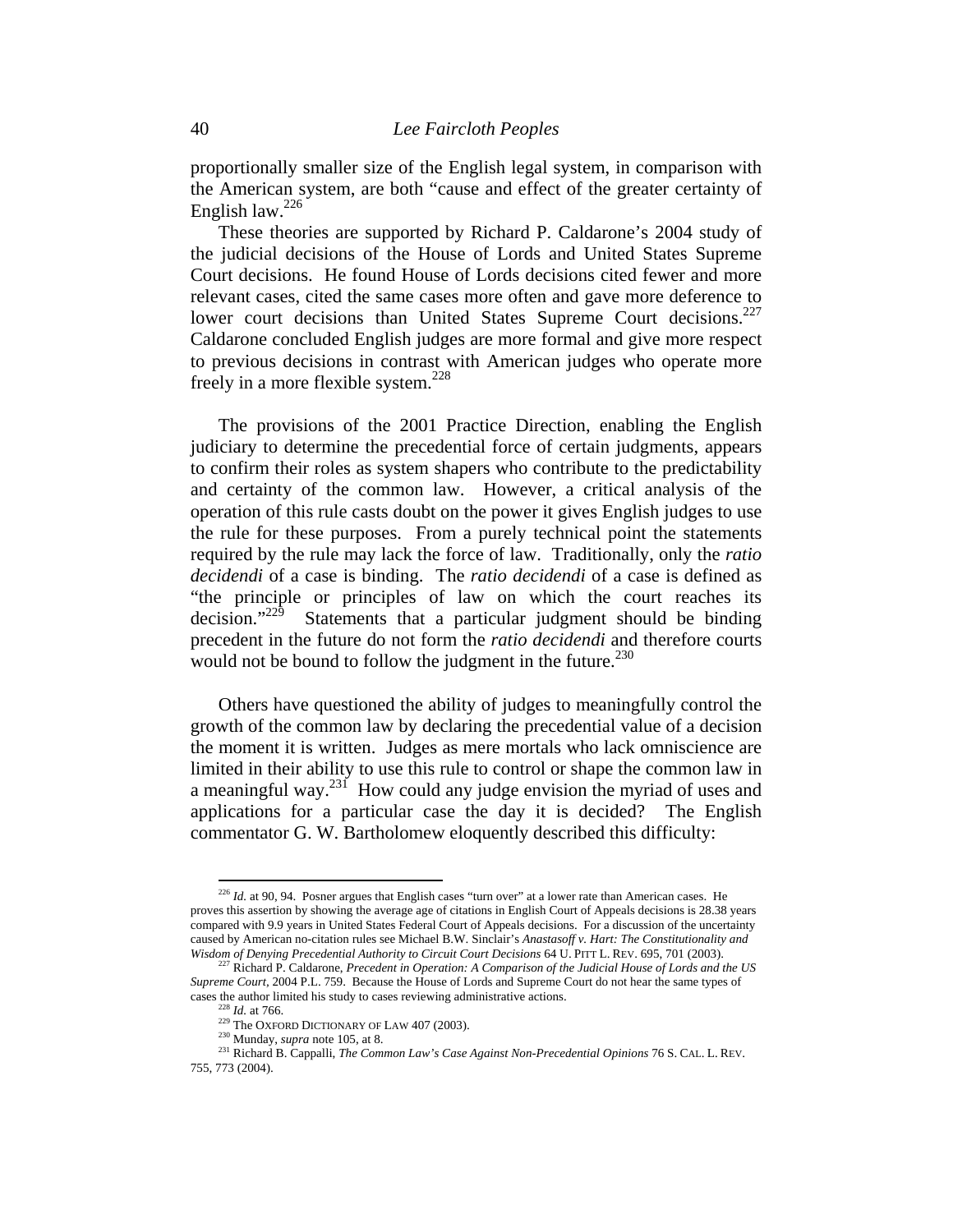proportionally smaller size of the English legal system, in comparison with the American system, are both "cause and effect of the greater certainty of English law. $^{226}$ 

These theories are supported by Richard P. Caldarone's 2004 study of the judicial decisions of the House of Lords and United States Supreme Court decisions. He found House of Lords decisions cited fewer and more relevant cases, cited the same cases more often and gave more deference to lower court decisions than United States Supreme Court decisions. $227$ Caldarone concluded English judges are more formal and give more respect to previous decisions in contrast with American judges who operate more freely in a more flexible system.<sup>228</sup>

The provisions of the 2001 Practice Direction, enabling the English judiciary to determine the precedential force of certain judgments, appears to confirm their roles as system shapers who contribute to the predictability and certainty of the common law. However, a critical analysis of the operation of this rule casts doubt on the power it gives English judges to use the rule for these purposes. From a purely technical point the statements required by the rule may lack the force of law. Traditionally, only the *ratio decidendi* of a case is binding. The *ratio decidendi* of a case is defined as "the principle or principles of law on which the court reaches its decision." $229$  Statements that a particular judgment should be binding Statements that a particular judgment should be binding precedent in the future do not form the *ratio decidendi* and therefore courts would not be bound to follow the judgment in the future. $^{230}$ 

Others have questioned the ability of judges to meaningfully control the growth of the common law by declaring the precedential value of a decision the moment it is written. Judges as mere mortals who lack omniscience are limited in their ability to use this rule to control or shape the common law in a meaningful way.<sup>231</sup> How could any judge envision the myriad of uses and applications for a particular case the day it is decided? The English commentator G. W. Bartholomew eloquently described this difficulty:

<sup>&</sup>lt;sup>226</sup> *Id.* at 90, 94. Posner argues that English cases "turn over" at a lower rate than American cases. He proves this assertion by showing the average age of citations in English Court of Appeals decisions is 28.38 years compared with 9.9 years in United States Federal Court of Appeals decisions. For a discussion of the uncertainty caused by American no-citation rules see Michael B.W. Sinclair's *Anastasoff v. Hart: The Constitutionality and Wisdom of Denying Precedential Authority to Circuit Court Decisions 64 U. PITT L. REV. 695, 701 (2003).* <sup>227</sup> Richard P. Caldarone, *Precedent in Operation: A Comparison of the Judicial House of Lords and the US* 

*Supreme Court,* 2004 P.L. 759. Because the House of Lords and Supreme Court do not hear the same types of

cases the author limited his study to cases reviewing administrative actions.<br>
<sup>228</sup> *Id.* at 766.<br>
<sup>229</sup> The OXFORD DICTIONARY OF LAW 407 (2003).<br>
<sup>230</sup> Munday, *supra* note 105, at 8.<br>
<sup>231</sup> Richard B. Cappalli, *The Co* 755, 773 (2004).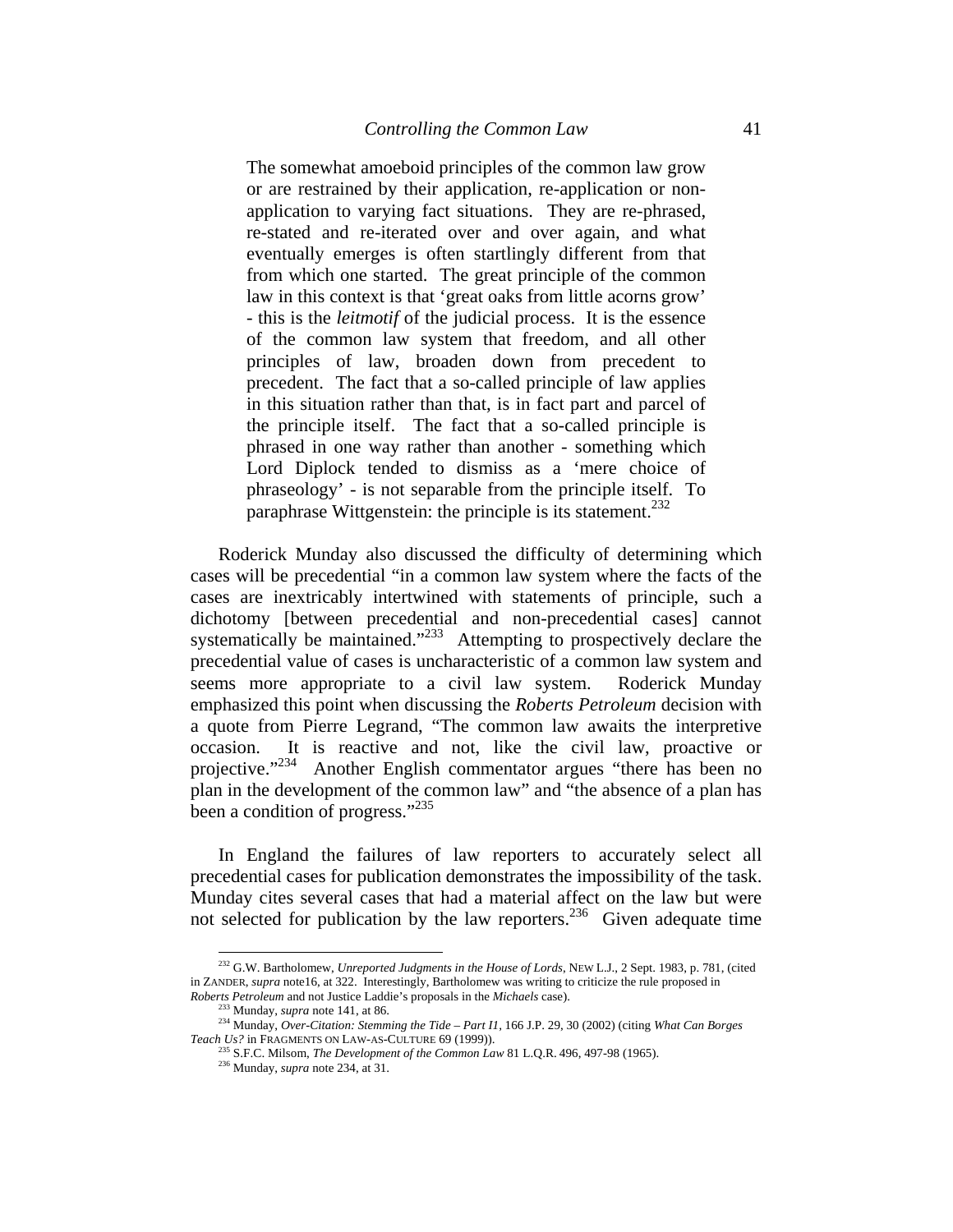The somewhat amoeboid principles of the common law grow or are restrained by their application, re-application or nonapplication to varying fact situations. They are re-phrased, re-stated and re-iterated over and over again, and what eventually emerges is often startlingly different from that from which one started. The great principle of the common law in this context is that 'great oaks from little acorns grow' - this is the *leitmotif* of the judicial process. It is the essence of the common law system that freedom, and all other principles of law, broaden down from precedent to precedent. The fact that a so-called principle of law applies in this situation rather than that, is in fact part and parcel of the principle itself. The fact that a so-called principle is phrased in one way rather than another - something which Lord Diplock tended to dismiss as a 'mere choice of phraseology' - is not separable from the principle itself. To paraphrase Wittgenstein: the principle is its statement.<sup>232</sup>

Roderick Munday also discussed the difficulty of determining which cases will be precedential "in a common law system where the facts of the cases are inextricably intertwined with statements of principle, such a dichotomy [between precedential and non-precedential cases] cannot systematically be maintained."<sup>233</sup> Attempting to prospectively declare the precedential value of cases is uncharacteristic of a common law system and seems more appropriate to a civil law system. Roderick Munday emphasized this point when discussing the *Roberts Petroleum* decision with a quote from Pierre Legrand, "The common law awaits the interpretive occasion. It is reactive and not, like the civil law, proactive or projective."<sup>234</sup> Another English commentator argues "there has been no plan in the development of the common law" and "the absence of a plan has been a condition of progress." $^{235}$ 

In England the failures of law reporters to accurately select all precedential cases for publication demonstrates the impossibility of the task. Munday cites several cases that had a material affect on the law but were not selected for publication by the law reporters.<sup>236</sup> Given adequate time

<sup>232</sup> G.W. Bartholomew, *Unreported Judgments in the House of Lords*, NEW L.J., 2 Sept. 1983, p. 781, (cited in ZANDER, *supra* note16, at 322. Interestingly, Bartholomew was writing to criticize the rule proposed in

Roberts Petroleum and not Justice Laddie's proposals in the Michaels case).<br><sup>233</sup> Munday, *supra* note 141, at 86.<br><sup>234</sup> Munday, *Over-Citation: Stemming the Tide – Part I1*, 166 J.P. 29, 30 (2002) (citing *What Can Borges* 

*Teach Us?* in FRAGMENTS ON LAW-AS-CULTURE <sup>69</sup> (1999)). 235 S.F.C. Milsom, *The Development of the Common Law* <sup>81</sup> L.Q.R. 496, 497-98 (1965). 236 Munday, *supra* note 234, at 31.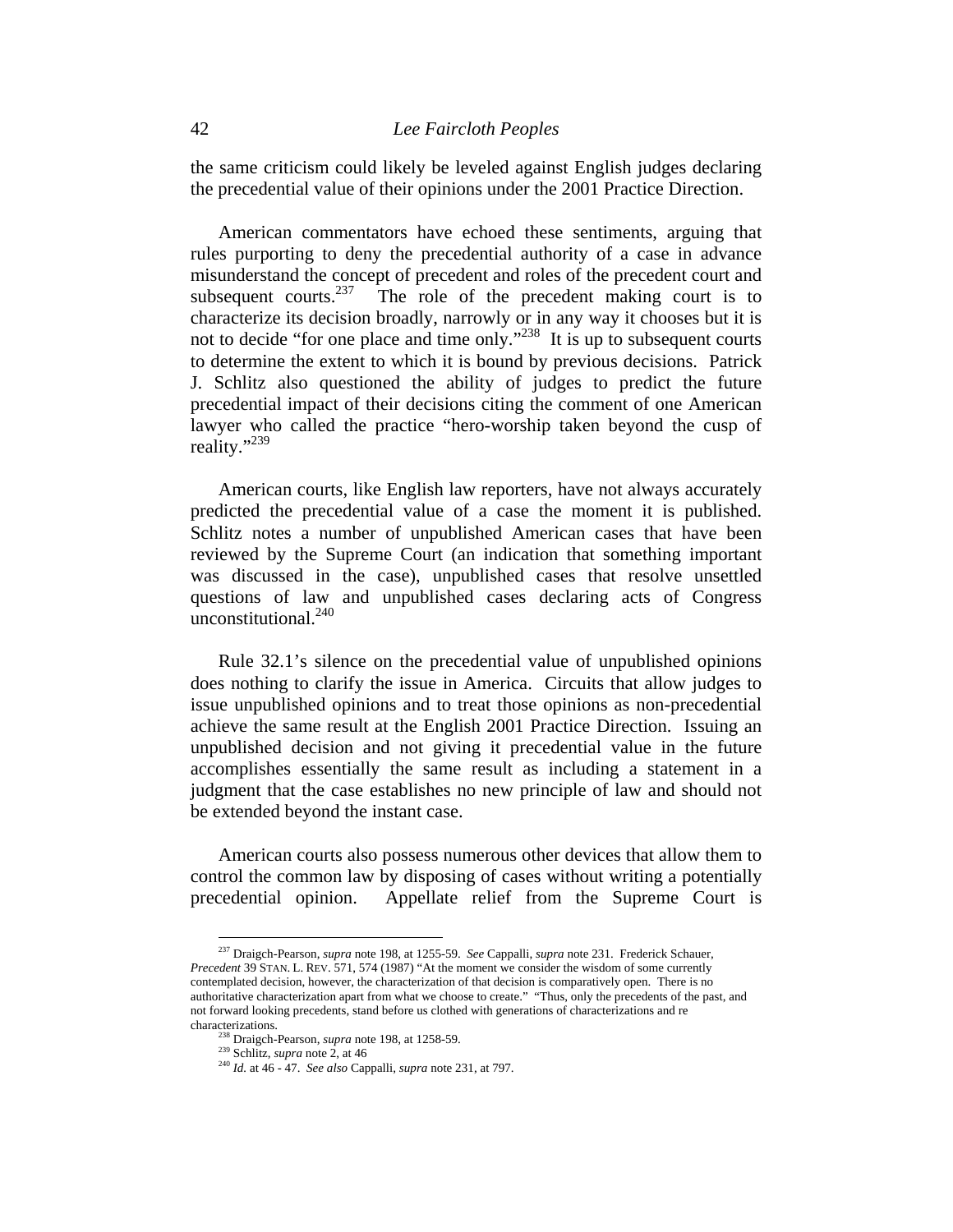the same criticism could likely be leveled against English judges declaring the precedential value of their opinions under the 2001 Practice Direction.

American commentators have echoed these sentiments, arguing that rules purporting to deny the precedential authority of a case in advance misunderstand the concept of precedent and roles of the precedent court and subsequent courts.<sup>237</sup> The role of the precedent making court is to The role of the precedent making court is to characterize its decision broadly, narrowly or in any way it chooses but it is not to decide "for one place and time only."<sup>238</sup> It is up to subsequent courts to determine the extent to which it is bound by previous decisions. Patrick J. Schlitz also questioned the ability of judges to predict the future precedential impact of their decisions citing the comment of one American lawyer who called the practice "hero-worship taken beyond the cusp of reality."239

American courts, like English law reporters, have not always accurately predicted the precedential value of a case the moment it is published. Schlitz notes a number of unpublished American cases that have been reviewed by the Supreme Court (an indication that something important was discussed in the case), unpublished cases that resolve unsettled questions of law and unpublished cases declaring acts of Congress unconstitutional.<sup>240</sup>

Rule 32.1's silence on the precedential value of unpublished opinions does nothing to clarify the issue in America. Circuits that allow judges to issue unpublished opinions and to treat those opinions as non-precedential achieve the same result at the English 2001 Practice Direction. Issuing an unpublished decision and not giving it precedential value in the future accomplishes essentially the same result as including a statement in a judgment that the case establishes no new principle of law and should not be extended beyond the instant case.

American courts also possess numerous other devices that allow them to control the common law by disposing of cases without writing a potentially precedential opinion. Appellate relief from the Supreme Court is

<sup>237</sup> Draigch-Pearson, *supra* note 198, at 1255-59. *See* Cappalli, *supra* note 231. Frederick Schauer, *Precedent* 39 STAN. L. REV. 571, 574 (1987) "At the moment we consider the wisdom of some currently contemplated decision, however, the characterization of that decision is comparatively open. There is no authoritative characterization apart from what we choose to create." "Thus, only the precedents of the past, and not forward looking precedents, stand before us clothed with generations of characterizations and re characterizations. 238 Draigch-Pearson, *supra* note 198, at 1258-59. 239 Schlitz, *supra* note 2, at 46 240 *Id.* at 46 - 47. *See also* Cappalli, *supra* note 231, at 797.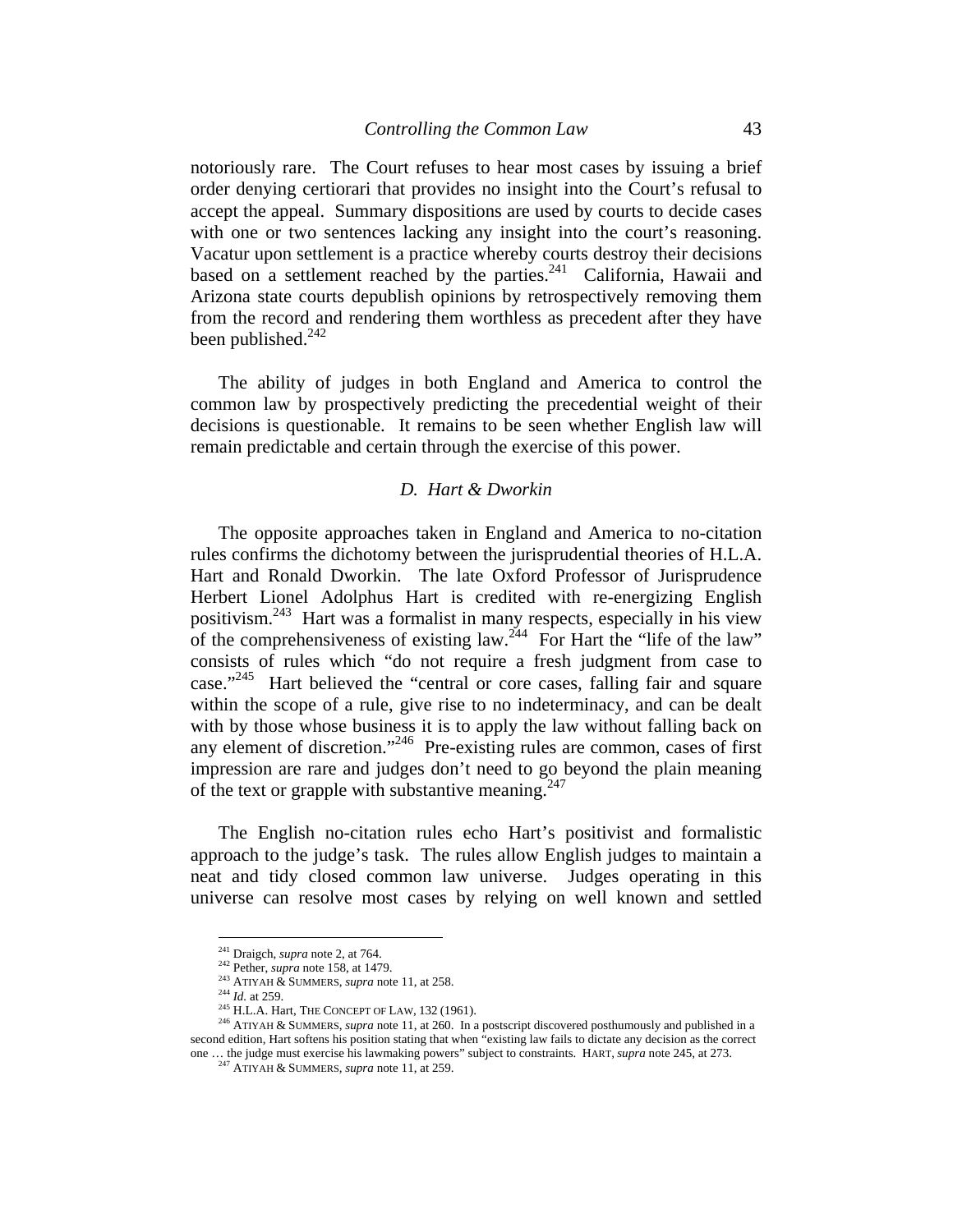notoriously rare. The Court refuses to hear most cases by issuing a brief order denying certiorari that provides no insight into the Court's refusal to accept the appeal. Summary dispositions are used by courts to decide cases with one or two sentences lacking any insight into the court's reasoning. Vacatur upon settlement is a practice whereby courts destroy their decisions based on a settlement reached by the parties. $241$  California, Hawaii and Arizona state courts depublish opinions by retrospectively removing them from the record and rendering them worthless as precedent after they have been published. $^{242}$ 

The ability of judges in both England and America to control the common law by prospectively predicting the precedential weight of their decisions is questionable. It remains to be seen whether English law will remain predictable and certain through the exercise of this power.

### *D. Hart & Dworkin*

The opposite approaches taken in England and America to no-citation rules confirms the dichotomy between the jurisprudential theories of H.L.A. Hart and Ronald Dworkin. The late Oxford Professor of Jurisprudence Herbert Lionel Adolphus Hart is credited with re-energizing English positivism.243 Hart was a formalist in many respects, especially in his view of the comprehensiveness of existing law.<sup>244</sup> For Hart the "life of the law" consists of rules which "do not require a fresh judgment from case to case."245 Hart believed the "central or core cases, falling fair and square within the scope of a rule, give rise to no indeterminacy, and can be dealt with by those whose business it is to apply the law without falling back on any element of discretion."<sup>246</sup> Pre-existing rules are common, cases of first impression are rare and judges don't need to go beyond the plain meaning of the text or grapple with substantive meaning.<sup>247</sup>

The English no-citation rules echo Hart's positivist and formalistic approach to the judge's task. The rules allow English judges to maintain a neat and tidy closed common law universe. Judges operating in this universe can resolve most cases by relying on well known and settled

 $241$  Draigch, *supra* note 2, at 764.

<sup>242</sup> Pether, *supra* note 158, at 1479.<br>
<sup>243</sup> ATIYAH & SUMMERS, *supra* note 11, at 258.<br>
<sup>244</sup> *Id.* at 259.<br>
<sup>245</sup> H.L.A. Hart, THE CONCEPT OF LAW, 132 (1961).<br>
<sup>246</sup> ATIYAH & SUMMERS, *supra* note 11, at 260. In a post second edition, Hart softens his position stating that when "existing law fails to dictate any decision as the correct one … the judge must exercise his lawmaking powers" subject to constraints. HART, *supra* note 245, at 273. 247 ATIYAH & SUMMERS, *supra* note 11, at 259.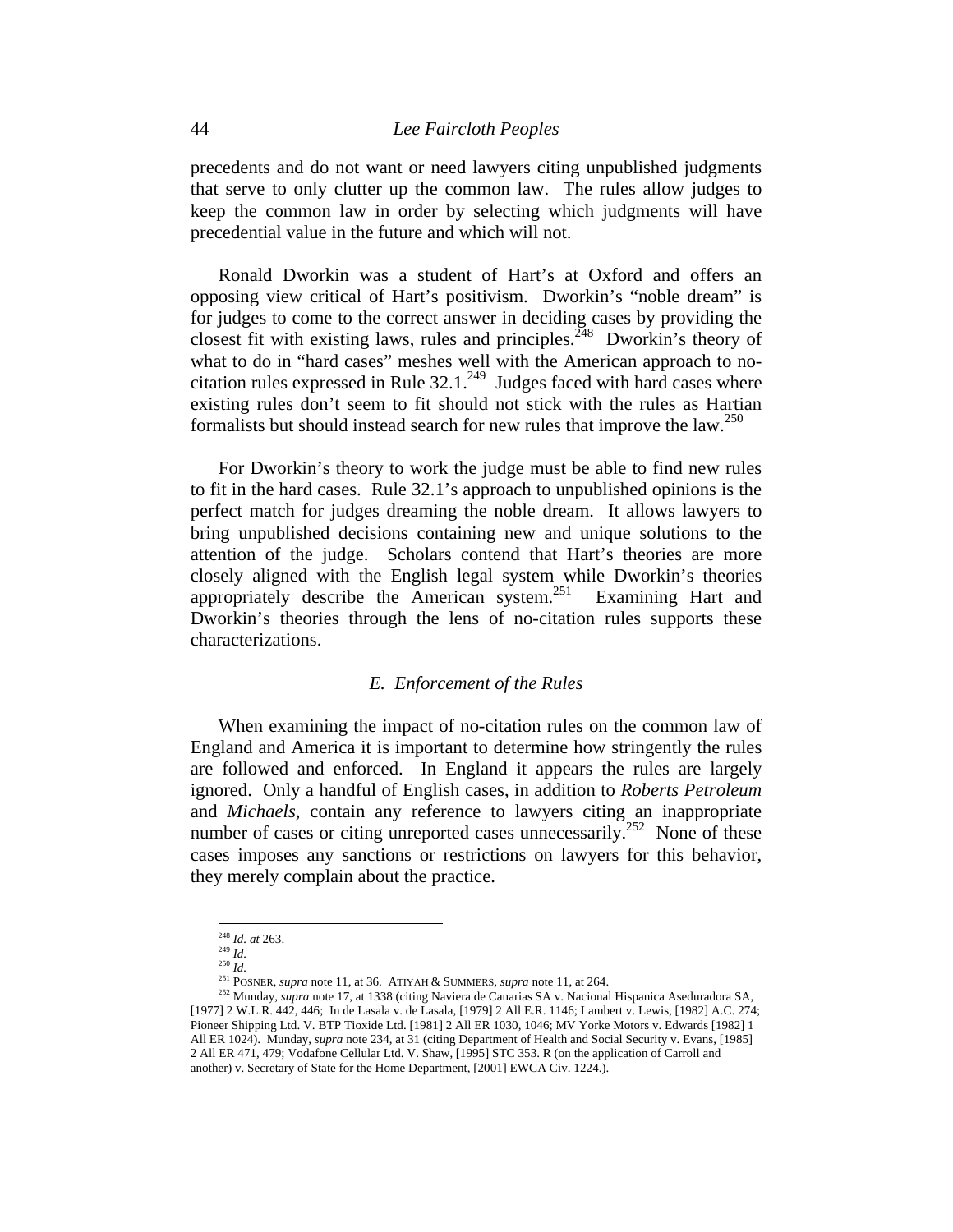precedents and do not want or need lawyers citing unpublished judgments that serve to only clutter up the common law. The rules allow judges to keep the common law in order by selecting which judgments will have precedential value in the future and which will not.

Ronald Dworkin was a student of Hart's at Oxford and offers an opposing view critical of Hart's positivism. Dworkin's "noble dream" is for judges to come to the correct answer in deciding cases by providing the closest fit with existing laws, rules and principles.<sup>248</sup> Dworkin's theory of what to do in "hard cases" meshes well with the American approach to nocitation rules expressed in Rule  $32.1^{249}$  Judges faced with hard cases where existing rules don't seem to fit should not stick with the rules as Hartian formalists but should instead search for new rules that improve the law.<sup>250</sup>

For Dworkin's theory to work the judge must be able to find new rules to fit in the hard cases. Rule 32.1's approach to unpublished opinions is the perfect match for judges dreaming the noble dream. It allows lawyers to bring unpublished decisions containing new and unique solutions to the attention of the judge. Scholars contend that Hart's theories are more closely aligned with the English legal system while Dworkin's theories appropriately describe the American system.251 Examining Hart and Dworkin's theories through the lens of no-citation rules supports these characterizations.

### *E. Enforcement of the Rules*

When examining the impact of no-citation rules on the common law of England and America it is important to determine how stringently the rules are followed and enforced. In England it appears the rules are largely ignored. Only a handful of English cases, in addition to *Roberts Petroleum*  and *Michaels*, contain any reference to lawyers citing an inappropriate number of cases or citing unreported cases unnecessarily.<sup>252</sup> None of these cases imposes any sanctions or restrictions on lawyers for this behavior, they merely complain about the practice.

<sup>248</sup> *Id. at* 263. 249 *Id.*

<sup>&</sup>lt;sup>250</sup> *Id.*<br><sup>250</sup> *Id.*<br><sup>251</sup> POSNER, *supra* note 11, at 36. ATIYAH & SUMMERS, *supra* note 11, at 264.

<sup>&</sup>lt;sup>252</sup> Munday, *supra* note 17, at 1338 (citing Naviera de Canarias SA v. Nacional Hispanica Aseduradora SA, [1977] 2 W.L.R. 442, 446; In de Lasala v. de Lasala, [1979] 2 All E.R. 1146; Lambert v. Lewis, [1982] A.C. 274; Pioneer Shipping Ltd. V. BTP Tioxide Ltd. [1981] 2 All ER 1030, 1046; MV Yorke Motors v. Edwards [1982] 1 All ER 1024). Munday, *supra* note 234, at 31 (citing Department of Health and Social Security v. Evans, [1985] 2 All ER 471, 479; Vodafone Cellular Ltd. V. Shaw, [1995] STC 353. R (on the application of Carroll and another) v. Secretary of State for the Home Department, [2001] EWCA Civ. 1224.).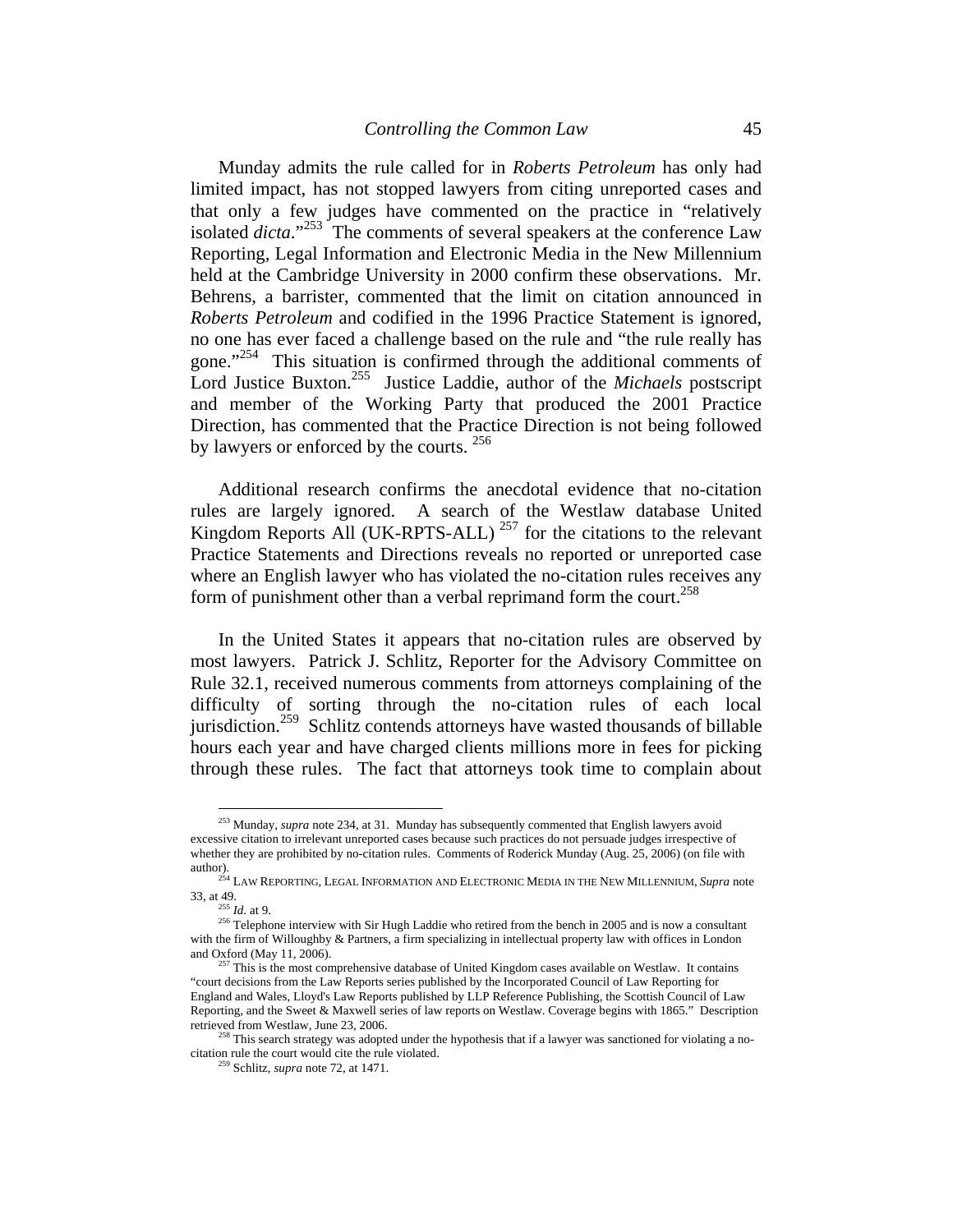Munday admits the rule called for in *Roberts Petroleum* has only had limited impact, has not stopped lawyers from citing unreported cases and that only a few judges have commented on the practice in "relatively isolated *dicta*."<sup>253</sup> The comments of several speakers at the conference Law Reporting, Legal Information and Electronic Media in the New Millennium held at the Cambridge University in 2000 confirm these observations. Mr. Behrens, a barrister, commented that the limit on citation announced in *Roberts Petroleum* and codified in the 1996 Practice Statement is ignored, no one has ever faced a challenge based on the rule and "the rule really has gone."<sup>254</sup> This situation is confirmed through the additional comments of Lord Justice Buxton.255 Justice Laddie, author of the *Michaels* postscript and member of the Working Party that produced the 2001 Practice Direction, has commented that the Practice Direction is not being followed by lawyers or enforced by the courts. <sup>256</sup>

Additional research confirms the anecdotal evidence that no-citation rules are largely ignored. A search of the Westlaw database United Kingdom Reports All (UK-RPTS-ALL)<sup>257</sup> for the citations to the relevant Practice Statements and Directions reveals no reported or unreported case where an English lawyer who has violated the no-citation rules receives any form of punishment other than a verbal reprimand form the court.<sup>258</sup>

In the United States it appears that no-citation rules are observed by most lawyers. Patrick J. Schlitz, Reporter for the Advisory Committee on Rule 32.1, received numerous comments from attorneys complaining of the difficulty of sorting through the no-citation rules of each local jurisdiction.<sup>259</sup> Schlitz contends attorneys have wasted thousands of billable hours each year and have charged clients millions more in fees for picking through these rules. The fact that attorneys took time to complain about

<sup>253</sup> Munday, *supra* note 234, at 31. Munday has subsequently commented that English lawyers avoid excessive citation to irrelevant unreported cases because such practices do not persuade judges irrespective of whether they are prohibited by no-citation rules. Comments of Roderick Munday (Aug. 25, 2006) (on file with

author).<br><sup>254</sup> LAW REPORTING, LEGAL INFORMATION AND ELECTRONIC MEDIA IN THE NEW MILLENNIUM, *Supra* note<br>33, at 49.

<sup>&</sup>lt;sup>256</sup> Telephone interview with Sir Hugh Laddie who retired from the bench in 2005 and is now a consultant with the firm of Willoughby & Partners, a firm specializing in intellectual property law with offices in London and Oxford (May 11, 2006). <sup>257</sup> This is the most comprehensive database of United Kingdom cases available on Westlaw. It contains

<sup>&</sup>quot;court decisions from the Law Reports series published by the Incorporated Council of Law Reporting for England and Wales, Lloyd's Law Reports published by LLP Reference Publishing, the Scottish Council of Law Reporting, and the Sweet & Maxwell series of law reports on Westlaw. Coverage begins with 1865." Description retrieved from Westlaw, June 23, 2006.<br><sup>258</sup> This search strategy was adopted under the hypothesis that if a lawyer was sanctioned for violating a no-

citation rule the court would cite the rule violated. 259 Schlitz, *supra* note 72, at 1471.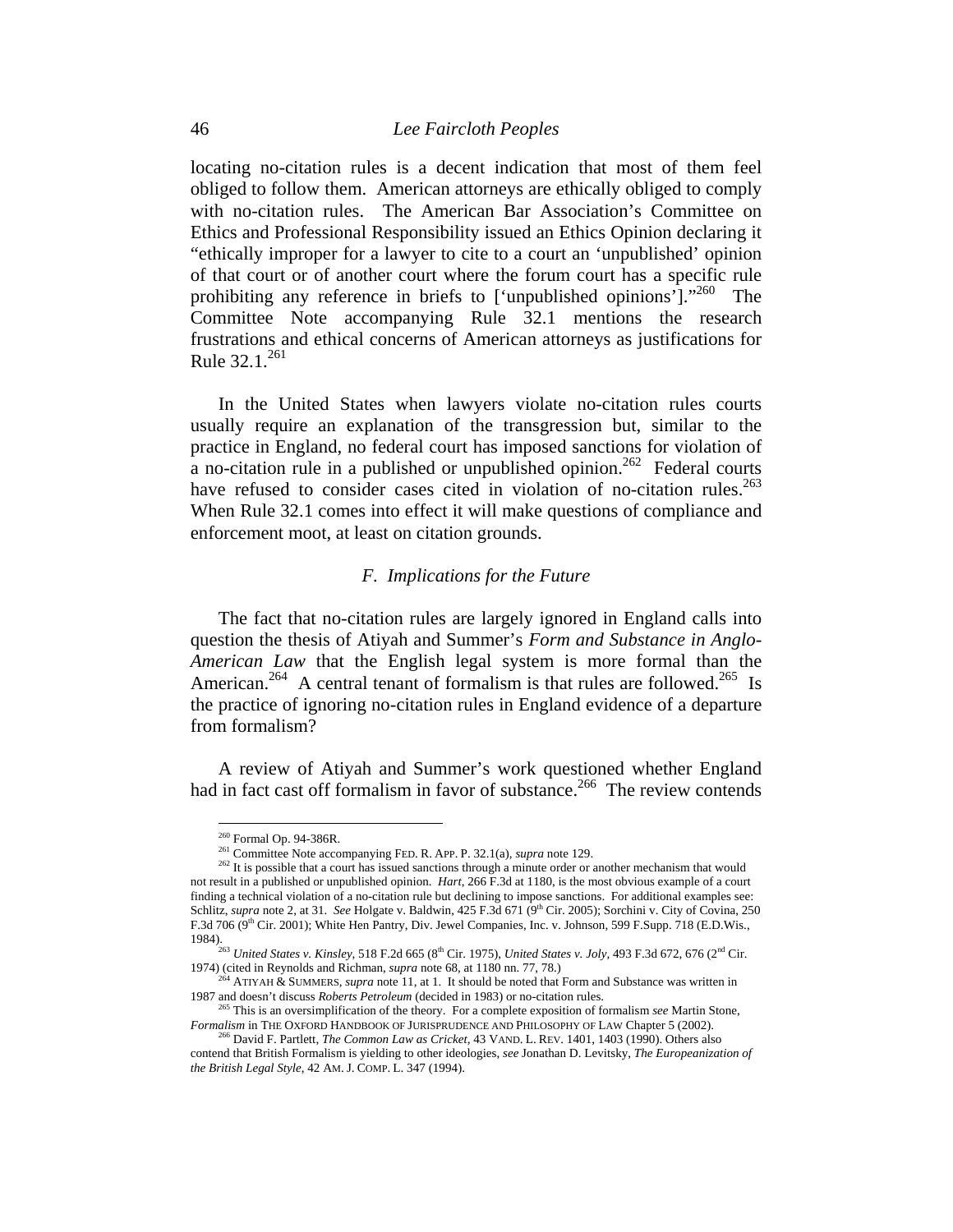locating no-citation rules is a decent indication that most of them feel obliged to follow them. American attorneys are ethically obliged to comply with no-citation rules. The American Bar Association's Committee on Ethics and Professional Responsibility issued an Ethics Opinion declaring it "ethically improper for a lawyer to cite to a court an 'unpublished' opinion of that court or of another court where the forum court has a specific rule prohibiting any reference in briefs to ['unpublished opinions']."<sup>260</sup> The Committee Note accompanying Rule 32.1 mentions the research frustrations and ethical concerns of American attorneys as justifications for Rule  $32.1.^{261}$ 

In the United States when lawyers violate no-citation rules courts usually require an explanation of the transgression but, similar to the practice in England, no federal court has imposed sanctions for violation of a no-citation rule in a published or unpublished opinion.<sup>262</sup> Federal courts have refused to consider cases cited in violation of no-citation rules.<sup>263</sup> When Rule 32.1 comes into effect it will make questions of compliance and enforcement moot, at least on citation grounds.

### *F. Implications for the Future*

The fact that no-citation rules are largely ignored in England calls into question the thesis of Atiyah and Summer's *Form and Substance in Anglo-American Law* that the English legal system is more formal than the American.<sup>264</sup> A central tenant of formalism is that rules are followed.<sup>265</sup> Is the practice of ignoring no-citation rules in England evidence of a departure from formalism?

A review of Atiyah and Summer's work questioned whether England had in fact cast off formalism in favor of substance.<sup>266</sup> The review contends

<sup>&</sup>lt;sup>260</sup> Formal Op. 94-386R.

<sup>&</sup>lt;sup>261</sup> Committee Note accompanying FED. R. APP. P. 32.1(a), *supra* note 129.<br><sup>262</sup> It is possible that a court has issued sanctions through a minute order or another mechanism that would not result in a published or unpublished opinion. *Hart*, 266 F.3d at 1180, is the most obvious example of a court finding a technical violation of a no-citation rule but declining to impose sanctions. For additional examples see: Schlitz, *supra* note 2, at 31. *See* Holgate v. Baldwin, 425 F.3d 671 (9<sup>th</sup> Cir. 2005); Sorchini v. City of Covina, 250 F.3d 706 (9th Cir. 2001); White Hen Pantry, Div. Jewel Companies, Inc. v. Johnson, 599 F.Supp. 718 (E.D.Wis.,

<sup>1984).&</sup>lt;br><sup>263</sup> *United States v. Kinsley*, 518 F.2d 665 (8<sup>th</sup> Cir. 1975), *United States v. Joly,* 493 F.3d 672, 676 (2<sup>nd</sup> Cir.

<sup>1974) (</sup>cited in Reynolds and Richman, *supra* note 68, at 1180 nn. 77, 78.)<br><sup>264</sup> ATIYAH & SUMMERS, *supra* note 11, at 1. It should be noted that Form and Substance was written in<br>1987 and doesn't discuss *Roberts Petrole* 

<sup>&</sup>lt;sup>7</sup> This is an oversimplification of the theory. For a complete exposition of formalism *see* Martin Stone, *Formalism* in THE OXFORD HANDBOOK OF JURISPRUDENCE AND PHILOSOPHY OF LAW Chapter 5 (2002). 266 David F. Partlett, *The Common Law as Cricket,* 43 VAND. L. REV. 1401, 1403 (1990). Others also

contend that British Formalism is yielding to other ideologies, *see* Jonathan D. Levitsky, *The Europeanization of the British Legal Style*, 42 AM. J. COMP. L. 347 (1994).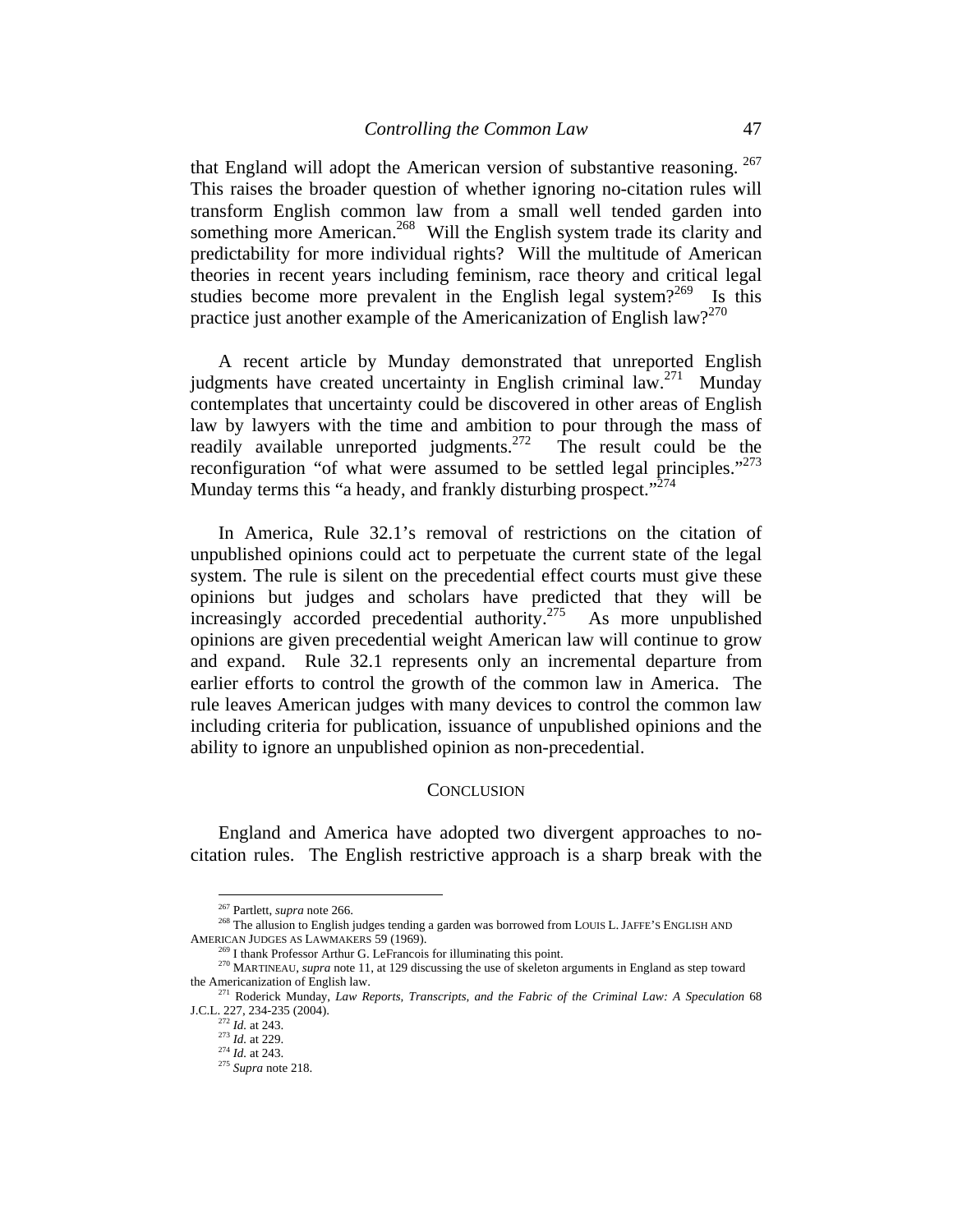that England will adopt the American version of substantive reasoning. 267 This raises the broader question of whether ignoring no-citation rules will transform English common law from a small well tended garden into something more American.<sup>268</sup> Will the English system trade its clarity and predictability for more individual rights? Will the multitude of American theories in recent years including feminism, race theory and critical legal studies become more prevalent in the English legal system?<sup>269</sup> Is this practice just another example of the Americanization of English law?<sup>270</sup>

A recent article by Munday demonstrated that unreported English judgments have created uncertainty in English criminal law.<sup>271</sup> Munday contemplates that uncertainty could be discovered in other areas of English law by lawyers with the time and ambition to pour through the mass of readily available unreported judgments.<sup>272</sup> The result could be the reconfiguration "of what were assumed to be settled legal principles."<sup>273</sup> Munday terms this "a heady, and frankly disturbing prospect."<sup>274</sup>

In America, Rule 32.1's removal of restrictions on the citation of unpublished opinions could act to perpetuate the current state of the legal system. The rule is silent on the precedential effect courts must give these opinions but judges and scholars have predicted that they will be increasingly accorded precedential authority.275 As more unpublished opinions are given precedential weight American law will continue to grow and expand. Rule 32.1 represents only an incremental departure from earlier efforts to control the growth of the common law in America. The rule leaves American judges with many devices to control the common law including criteria for publication, issuance of unpublished opinions and the ability to ignore an unpublished opinion as non-precedential.

#### **CONCLUSION**

England and America have adopted two divergent approaches to nocitation rules. The English restrictive approach is a sharp break with the

<sup>&</sup>lt;sup>267</sup> Partlett, supra note 266.

<sup>&</sup>lt;sup>268</sup> The allusion to English judges tending a garden was borrowed from LOUIS L. JAFFE'S ENGLISH AND

AMERICAN JUDGES AS LAWMAKERS 59 (1969).<br><sup>269</sup> I thank Professor Arthur G. LeFrancois for illuminating this point.<br><sup>270</sup> MARTINEAU, *supra* note 11, at 129 discussing the use of skeleton arguments in England as step toward<br>

<sup>&</sup>lt;sup>271</sup> Roderick Munday, *Law Reports, Transcripts, and the Fabric of the Criminal Law: A Speculation* 68<br>J.C.L. 227, 234-235 (2004).

J.C.L. 227, 234-235 (2004). 272 *Id.* at 243. 273 *Id.* at 229. 274 *Id.* at 243. 275 *Supra* note 218.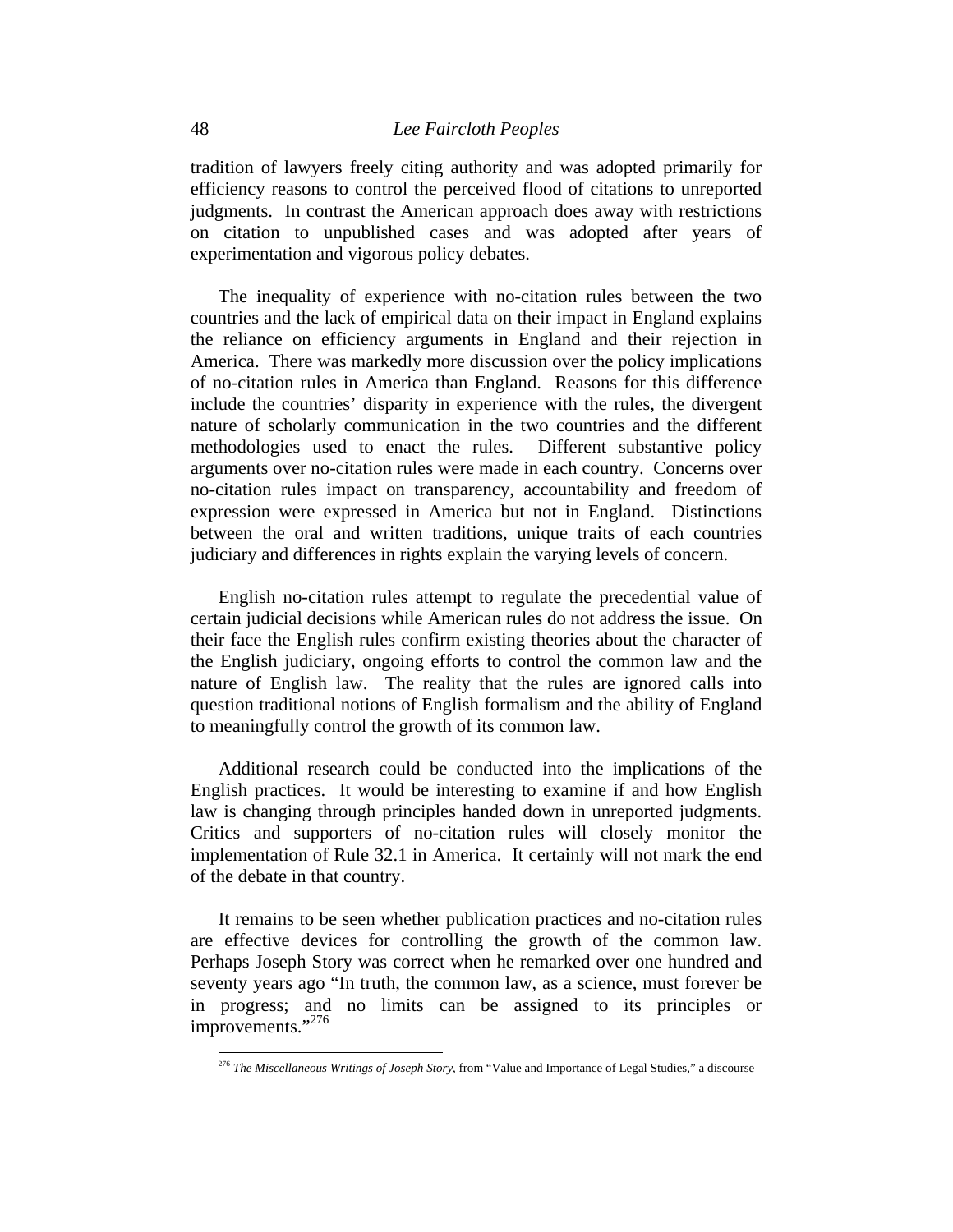tradition of lawyers freely citing authority and was adopted primarily for efficiency reasons to control the perceived flood of citations to unreported judgments. In contrast the American approach does away with restrictions on citation to unpublished cases and was adopted after years of experimentation and vigorous policy debates.

The inequality of experience with no-citation rules between the two countries and the lack of empirical data on their impact in England explains the reliance on efficiency arguments in England and their rejection in America. There was markedly more discussion over the policy implications of no-citation rules in America than England. Reasons for this difference include the countries' disparity in experience with the rules, the divergent nature of scholarly communication in the two countries and the different methodologies used to enact the rules. Different substantive policy arguments over no-citation rules were made in each country. Concerns over no-citation rules impact on transparency, accountability and freedom of expression were expressed in America but not in England. Distinctions between the oral and written traditions, unique traits of each countries judiciary and differences in rights explain the varying levels of concern.

English no-citation rules attempt to regulate the precedential value of certain judicial decisions while American rules do not address the issue. On their face the English rules confirm existing theories about the character of the English judiciary, ongoing efforts to control the common law and the nature of English law. The reality that the rules are ignored calls into question traditional notions of English formalism and the ability of England to meaningfully control the growth of its common law.

Additional research could be conducted into the implications of the English practices. It would be interesting to examine if and how English law is changing through principles handed down in unreported judgments. Critics and supporters of no-citation rules will closely monitor the implementation of Rule 32.1 in America. It certainly will not mark the end of the debate in that country.

It remains to be seen whether publication practices and no-citation rules are effective devices for controlling the growth of the common law. Perhaps Joseph Story was correct when he remarked over one hundred and seventy years ago "In truth, the common law, as a science, must forever be in progress; and no limits can be assigned to its principles or improvements."<sup>276</sup>

<sup>276</sup> *The Miscellaneous Writings of Joseph Story*, from "Value and Importance of Legal Studies," a discourse